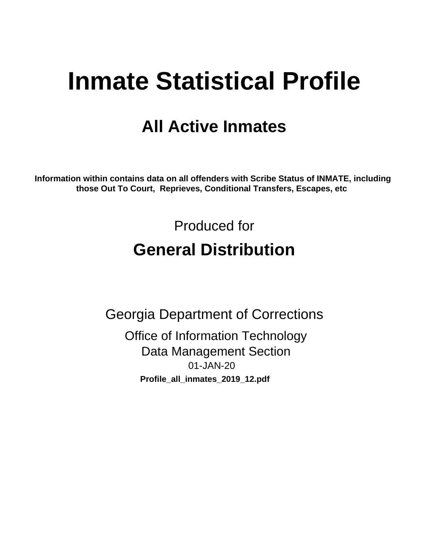# **Inmate Statistical Profile**

# **All Active Inmates**

Information within contains data on all offenders with Scribe Status of INMATE, including those Out To Court, Reprieves, Conditional Transfers, Escapes, etc

> Produced for **General Distribution**

**Georgia Department of Corrections Office of Information Technology Data Management Section** 01-JAN-20 Profile\_all\_inmates\_2019\_12.pdf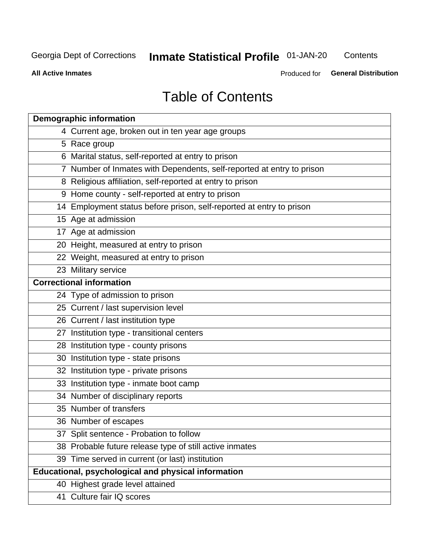# **Inmate Statistical Profile 01-JAN-20**

Contents

**All Active Inmates** 

Produced for General Distribution

# **Table of Contents**

| <b>Demographic information</b>                                        |
|-----------------------------------------------------------------------|
| 4 Current age, broken out in ten year age groups                      |
| 5 Race group                                                          |
| 6 Marital status, self-reported at entry to prison                    |
| 7 Number of Inmates with Dependents, self-reported at entry to prison |
| 8 Religious affiliation, self-reported at entry to prison             |
| 9 Home county - self-reported at entry to prison                      |
| 14 Employment status before prison, self-reported at entry to prison  |
| 15 Age at admission                                                   |
| 17 Age at admission                                                   |
| 20 Height, measured at entry to prison                                |
| 22 Weight, measured at entry to prison                                |
| 23 Military service                                                   |
| <b>Correctional information</b>                                       |
| 24 Type of admission to prison                                        |
| 25 Current / last supervision level                                   |
| 26 Current / last institution type                                    |
| 27 Institution type - transitional centers                            |
| 28 Institution type - county prisons                                  |
| 30 Institution type - state prisons                                   |
| 32 Institution type - private prisons                                 |
| 33 Institution type - inmate boot camp                                |
| 34 Number of disciplinary reports                                     |
| 35 Number of transfers                                                |
| 36 Number of escapes                                                  |
| 37 Split sentence - Probation to follow                               |
| 38 Probable future release type of still active inmates               |
| 39 Time served in current (or last) institution                       |
| Educational, psychological and physical information                   |
| 40 Highest grade level attained                                       |
| 41 Culture fair IQ scores                                             |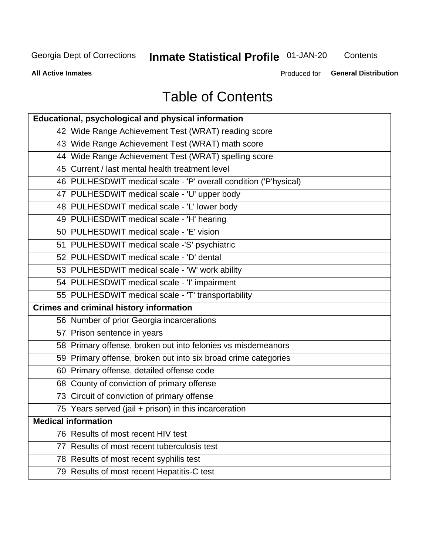# **Inmate Statistical Profile 01-JAN-20**

Contents

**All Active Inmates** 

**General Distribution** Produced for

# **Table of Contents**

| Educational, psychological and physical information              |
|------------------------------------------------------------------|
| 42 Wide Range Achievement Test (WRAT) reading score              |
| 43 Wide Range Achievement Test (WRAT) math score                 |
| 44 Wide Range Achievement Test (WRAT) spelling score             |
| 45 Current / last mental health treatment level                  |
| 46 PULHESDWIT medical scale - 'P' overall condition ('P'hysical) |
| 47 PULHESDWIT medical scale - 'U' upper body                     |
| 48 PULHESDWIT medical scale - 'L' lower body                     |
| 49 PULHESDWIT medical scale - 'H' hearing                        |
| 50 PULHESDWIT medical scale - 'E' vision                         |
| 51 PULHESDWIT medical scale -'S' psychiatric                     |
| 52 PULHESDWIT medical scale - 'D' dental                         |
| 53 PULHESDWIT medical scale - 'W' work ability                   |
| 54 PULHESDWIT medical scale - 'I' impairment                     |
| 55 PULHESDWIT medical scale - 'T' transportability               |
| <b>Crimes and criminal history information</b>                   |
| 56 Number of prior Georgia incarcerations                        |
| 57 Prison sentence in years                                      |
| 58 Primary offense, broken out into felonies vs misdemeanors     |
| 59 Primary offense, broken out into six broad crime categories   |
| 60 Primary offense, detailed offense code                        |
| 68 County of conviction of primary offense                       |
| 73 Circuit of conviction of primary offense                      |
| 75 Years served (jail + prison) in this incarceration            |
| <b>Medical information</b>                                       |
| 76 Results of most recent HIV test                               |
| 77 Results of most recent tuberculosis test                      |
| 78 Results of most recent syphilis test                          |
| 79 Results of most recent Hepatitis-C test                       |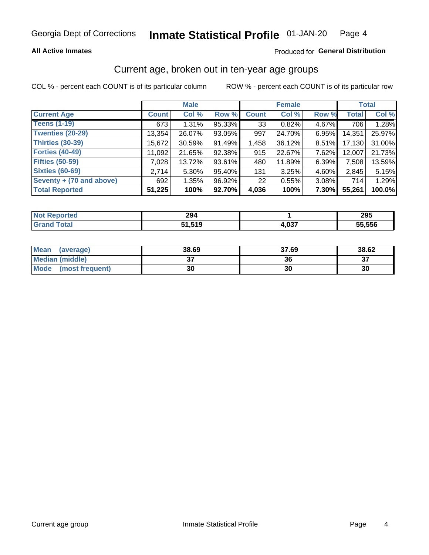### **All Active Inmates**

### Produced for General Distribution

# Current age, broken out in ten-year age groups

COL % - percent each COUNT is of its particular column

|                          |              | <b>Male</b> |        |              | <b>Female</b> |          |              | <b>Total</b> |  |
|--------------------------|--------------|-------------|--------|--------------|---------------|----------|--------------|--------------|--|
| <b>Current Age</b>       | <b>Count</b> | Col %       | Row %  | <b>Count</b> | Col %         | Row %    | <b>Total</b> | Col %        |  |
| <b>Teens (1-19)</b>      | 673          | 1.31%       | 95.33% | 33           | 0.82%         | 4.67%    | 706          | 1.28%        |  |
| <b>Twenties (20-29)</b>  | 13,354       | 26.07%      | 93.05% | 997          | 24.70%        | 6.95%    | 14,351       | 25.97%       |  |
| <b>Thirties (30-39)</b>  | 15,672       | 30.59%      | 91.49% | 1,458        | 36.12%        | 8.51%    | 17,130       | 31.00%       |  |
| <b>Forties (40-49)</b>   | 11,092       | 21.65%      | 92.38% | 915          | 22.67%        | 7.62%    | 12,007       | 21.73%       |  |
| <b>Fifties (50-59)</b>   | 7,028        | 13.72%      | 93.61% | 480          | 11.89%        | 6.39%    | 7,508        | 13.59%       |  |
| <b>Sixties (60-69)</b>   | 2.714        | $5.30\%$    | 95.40% | 131          | 3.25%         | 4.60%    | 2.845        | 5.15%        |  |
| Seventy + (70 and above) | 692          | 1.35%       | 96.92% | 22           | 0.55%         | $3.08\%$ | 714          | 1.29%        |  |
| <b>Total Reported</b>    | 51,225       | 100%        | 92.70% | 4,036        | 100%          | 7.30%    | 55,261       | 100.0%       |  |

| τeα<br><b>NOT</b> | 294    |                    | 295    |
|-------------------|--------|--------------------|--------|
| <b>Total</b>      | '4 E10 | <b>027</b><br>∴∪J. | 55,556 |

| <b>Mean</b><br>(average) | 38.69         | 37.69 | 38.62    |
|--------------------------|---------------|-------|----------|
| Median (middle)          | $\sim$<br>ا پ | 36    | ^¬<br>o. |
| Mode<br>(most frequent)  | 30            | 30    | 30       |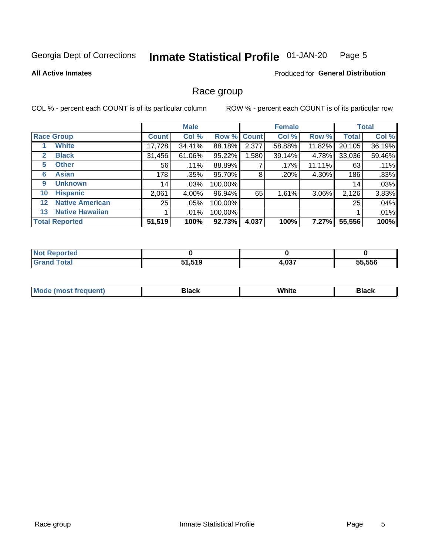#### **Inmate Statistical Profile 01-JAN-20** Page 5

### **All Active Inmates**

### Produced for General Distribution

# Race group

COL % - percent each COUNT is of its particular column

|                   |                        | <b>Male</b>  |         |             | <b>Female</b> |        |        | <b>Total</b> |        |
|-------------------|------------------------|--------------|---------|-------------|---------------|--------|--------|--------------|--------|
|                   | <b>Race Group</b>      | <b>Count</b> | Col %   | Row % Count |               | Col %  | Row %  | <b>Total</b> | Col %  |
|                   | <b>White</b>           | 17,728       | 34.41%  | 88.18%      | 2,377         | 58.88% | 11.82% | 20,105       | 36.19% |
| 2                 | <b>Black</b>           | 31,456       | 61.06%  | 95.22%      | ,580          | 39.14% | 4.78%  | 33,036       | 59.46% |
| 5                 | <b>Other</b>           | 56           | .11%    | 88.89%      |               | .17%   | 11.11% | 63           | .11%   |
| 6                 | <b>Asian</b>           | 178          | .35%    | 95.70%      | 8             | .20%   | 4.30%  | 186          | .33%   |
| 9                 | <b>Unknown</b>         | 14           | $.03\%$ | 100.00%     |               |        |        | 14           | .03%   |
| 10                | <b>Hispanic</b>        | 2,061        | 4.00%   | 96.94%      | 65            | 1.61%  | 3.06%  | 2,126        | 3.83%  |
| $12 \overline{ }$ | <b>Native American</b> | 25           | .05%    | 100.00%     |               |        |        | 25           | .04%   |
| 13                | <b>Native Hawaiian</b> |              | $.01\%$ | 100.00%     |               |        |        |              | .01%   |
|                   | <b>Total Reported</b>  | 51,519       | 100%    | 92.73%      | 4,037         | 100%   | 7.27%  | 55,556       | 100%   |

| <b>orted</b><br>N. |        |       |        |
|--------------------|--------|-------|--------|
| <b>c</b> otal      | 51,519 | 4,037 | 55,556 |

| <b>Mode</b><br>uent)<br>most treo | 3lack | White | Black |
|-----------------------------------|-------|-------|-------|
|                                   |       |       |       |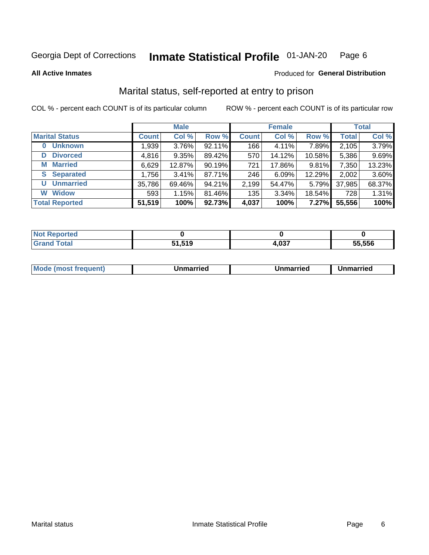#### **Inmate Statistical Profile 01-JAN-20** Page 6

**All Active Inmates** 

### Produced for General Distribution

# Marital status, self-reported at entry to prison

COL % - percent each COUNT is of its particular column

|                            | <b>Male</b>  |        |        |              | <b>Female</b> | <b>Total</b> |              |        |
|----------------------------|--------------|--------|--------|--------------|---------------|--------------|--------------|--------|
| <b>Marital Status</b>      | <b>Count</b> | Col %  | Row %  | <b>Count</b> | Col %         | Row %        | <b>Total</b> | Col %  |
| <b>Unknown</b><br>$\bf{0}$ | 1,939        | 3.76%  | 92.11% | 166          | 4.11%         | 7.89%        | 2,105        | 3.79%  |
| <b>Divorced</b><br>D       | 4,816        | 9.35%  | 89.42% | 570          | 14.12%        | 10.58%       | 5,386        | 9.69%  |
| <b>Married</b><br>М        | 6,629        | 12.87% | 90.19% | 721          | 17.86%        | 9.81%        | 7,350        | 13.23% |
| <b>S</b> Separated         | 1,756        | 3.41%  | 87.71% | 246          | 6.09%         | 12.29%       | 2,002        | 3.60%  |
| <b>Unmarried</b><br>U      | 35,786       | 69.46% | 94.21% | 2,199        | 54.47%        | 5.79%        | 37,985       | 68.37% |
| <b>Widow</b><br>W          | 593          | 1.15%  | 81.46% | 135          | 3.34%         | 18.54%       | 728          | 1.31%  |
| <b>Total Reported</b>      | 51,519       | 100%   | 92.73% | 4,037        | 100%          | 7.27%        | 55,556       | 100%   |

| ----<br>rreol<br>NO  |                       |        |        |
|----------------------|-----------------------|--------|--------|
| $\sim$ $\sim$ $\sim$ | $\overline{ }$<br>- - | $\sim$ | 55.556 |

|--|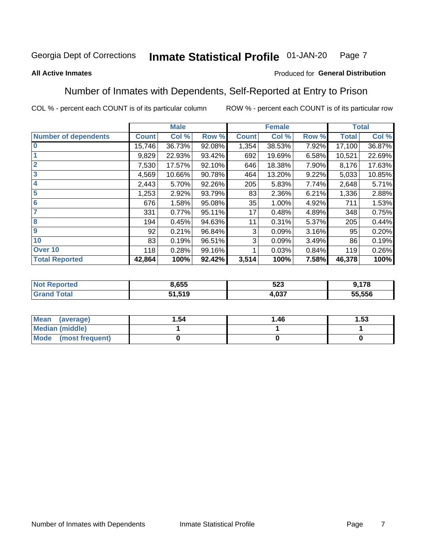#### **Inmate Statistical Profile 01-JAN-20** Page 7

### **All Active Inmates**

### Produced for General Distribution

# Number of Inmates with Dependents, Self-Reported at Entry to Prison

COL % - percent each COUNT is of its particular column

|                             |              | <b>Male</b> |        |              | <b>Female</b> |       |              | <b>Total</b> |
|-----------------------------|--------------|-------------|--------|--------------|---------------|-------|--------------|--------------|
| <b>Number of dependents</b> | <b>Count</b> | Col %       | Row %  | <b>Count</b> | Col %         | Row % | <b>Total</b> | Col %        |
| l 0                         | 15,746       | 36.73%      | 92.08% | 1,354        | 38.53%        | 7.92% | 17,100       | 36.87%       |
|                             | 9,829        | 22.93%      | 93.42% | 692          | 19.69%        | 6.58% | 10,521       | 22.69%       |
| $\overline{2}$              | 7,530        | 17.57%      | 92.10% | 646          | 18.38%        | 7.90% | 8,176        | 17.63%       |
| $\mathbf{3}$                | 4,569        | 10.66%      | 90.78% | 464          | 13.20%        | 9.22% | 5,033        | 10.85%       |
| $\overline{\mathbf{4}}$     | 2,443        | 5.70%       | 92.26% | 205          | 5.83%         | 7.74% | 2,648        | 5.71%        |
| 5                           | 1,253        | 2.92%       | 93.79% | 83           | 2.36%         | 6.21% | 1,336        | 2.88%        |
| 6                           | 676          | 1.58%       | 95.08% | 35           | 1.00%         | 4.92% | 711          | 1.53%        |
| 7                           | 331          | 0.77%       | 95.11% | 17           | 0.48%         | 4.89% | 348          | 0.75%        |
| 8                           | 194          | 0.45%       | 94.63% | 11           | 0.31%         | 5.37% | 205          | 0.44%        |
| 9                           | 92           | 0.21%       | 96.84% | 3            | 0.09%         | 3.16% | 95           | 0.20%        |
| 10                          | 83           | 0.19%       | 96.51% | 3            | 0.09%         | 3.49% | 86           | 0.19%        |
| Over 10                     | 118          | 0.28%       | 99.16% |              | 0.03%         | 0.84% | 119          | 0.26%        |
| <b>Total Reported</b>       | 42,864       | 100%        | 92.42% | 3,514        | 100%          | 7.58% | 46,378       | 100%         |

| 8,655  | E O O<br>ວ∠ວ | 170            |
|--------|--------------|----------------|
| 1,519ۃ | 027          | 55,556<br>- 11 |

| Mean (average)         | 1.54 | 1.46 | 1.53 |
|------------------------|------|------|------|
| <b>Median (middle)</b> |      |      |      |
| Mode (most frequent)   |      |      |      |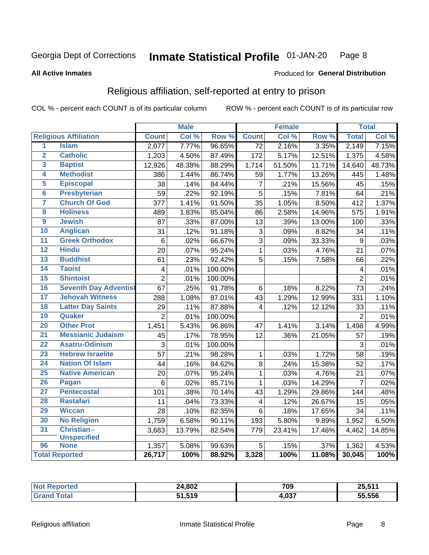#### **Inmate Statistical Profile 01-JAN-20** Page 8

### **All Active Inmates**

### Produced for General Distribution

# Religious affiliation, self-reported at entry to prison

COL % - percent each COUNT is of its particular column

|                         |                              |                 | <b>Male</b> |         |                         | <b>Female</b> |        |                | <b>Total</b> |
|-------------------------|------------------------------|-----------------|-------------|---------|-------------------------|---------------|--------|----------------|--------------|
|                         | <b>Religious Affiliation</b> | <b>Count</b>    | Col %       | Row %   | <b>Count</b>            | Col %         | Row %  | <b>Total</b>   | Col %        |
| $\overline{1}$          | <b>Islam</b>                 | 2,077           | 7.77%       | 96.65%  | $\overline{72}$         | 2.16%         | 3.35%  | 2,149          | 7.15%        |
| $\overline{2}$          | <b>Catholic</b>              | 1,203           | 4.50%       | 87.49%  | 172                     | 5.17%         | 12.51% | 1,375          | 4.58%        |
| 3                       | <b>Baptist</b>               | 12,926          | 48.38%      | 88.29%  | 1,714                   | 51.50%        | 11.71% | 14,640         | 48.73%       |
| 4                       | <b>Methodist</b>             | 386             | 1.44%       | 86.74%  | 59                      | 1.77%         | 13.26% | 445            | 1.48%        |
| 5                       | <b>Episcopal</b>             | 38              | .14%        | 84.44%  | $\overline{7}$          | .21%          | 15.56% | 45             | .15%         |
| $\overline{\bf{6}}$     | <b>Presbyterian</b>          | 59              | .22%        | 92.19%  | $\overline{5}$          | .15%          | 7.81%  | 64             | .21%         |
| 7                       | <b>Church Of God</b>         | 377             | 1.41%       | 91.50%  | 35                      | 1.05%         | 8.50%  | 412            | 1.37%        |
| $\overline{\mathbf{8}}$ | <b>Holiness</b>              | 489             | 1.83%       | 85.04%  | 86                      | 2.58%         | 14.96% | 575            | 1.91%        |
| $\overline{9}$          | <b>Jewish</b>                | 87              | .33%        | 87.00%  | 13                      | .39%          | 13.00% | 100            | .33%         |
| 10                      | <b>Anglican</b>              | 31              | .12%        | 91.18%  | 3                       | .09%          | 8.82%  | 34             | .11%         |
| $\overline{11}$         | <b>Greek Orthodox</b>        | $6\phantom{1}6$ | .02%        | 66.67%  | $\overline{3}$          | .09%          | 33.33% | 9              | .03%         |
| 12                      | <b>Hindu</b>                 | 20              | .07%        | 95.24%  | $\mathbf{1}$            | .03%          | 4.76%  | 21             | .07%         |
| 13                      | <b>Buddhist</b>              | 61              | .23%        | 92.42%  | 5                       | .15%          | 7.58%  | 66             | .22%         |
| 14                      | <b>Taoist</b>                | $\overline{4}$  | .01%        | 100.00% |                         |               |        | 4              | .01%         |
| 15                      | <b>Shintoist</b>             | $\overline{2}$  | .01%        | 100.00% |                         |               |        | $\overline{2}$ | .01%         |
| 16                      | <b>Seventh Day Adventist</b> | 67              | .25%        | 91.78%  | 6                       | .18%          | 8.22%  | 73             | .24%         |
| 17                      | <b>Jehovah Witness</b>       | 288             | 1.08%       | 87.01%  | 43                      | 1.29%         | 12.99% | 331            | 1.10%        |
| 18                      | <b>Latter Day Saints</b>     | 29              | .11%        | 87.88%  | 4                       | .12%          | 12.12% | 33             | .11%         |
| 19                      | Quaker                       | $\overline{2}$  | .01%        | 100.00% |                         |               |        | $\overline{2}$ | .01%         |
| 20                      | <b>Other Prot</b>            | 1,451           | 5.43%       | 96.86%  | 47                      | 1.41%         | 3.14%  | 1,498          | 4.99%        |
| 21                      | <b>Messianic Judaism</b>     | 45              | .17%        | 78.95%  | 12                      | .36%          | 21.05% | 57             | .19%         |
| 22                      | <b>Asatru-Odinism</b>        | 3               | .01%        | 100.00% |                         |               |        | 3              | .01%         |
| 23                      | <b>Hebrew Israelite</b>      | $\overline{57}$ | .21%        | 98.28%  | $\mathbf{1}$            | .03%          | 1.72%  | 58             | .19%         |
| 24                      | <b>Nation Of Islam</b>       | 44              | .16%        | 84.62%  | 8                       | .24%          | 15.38% | 52             | .17%         |
| 25                      | <b>Native American</b>       | $\overline{20}$ | .07%        | 95.24%  | $\mathbf{1}$            | .03%          | 4.76%  | 21             | .07%         |
| 26                      | Pagan                        | $\,6$           | .02%        | 85.71%  | $\mathbf{1}$            | .03%          | 14.29% | $\overline{7}$ | .02%         |
| 27                      | <b>Pentecostal</b>           | 101             | .38%        | 70.14%  | 43                      | 1.29%         | 29.86% | 144            | .48%         |
| 28                      | <b>Rastafari</b>             | 11              | .04%        | 73.33%  | $\overline{\mathbf{4}}$ | .12%          | 26.67% | 15             | .05%         |
| 29                      | <b>Wiccan</b>                | 28              | .10%        | 82.35%  | $6\phantom{1}$          | .18%          | 17.65% | 34             | .11%         |
| 30                      | <b>No Religion</b>           | 1,759           | 6.58%       | 90.11%  | 193                     | 5.80%         | 9.89%  | 1,952          | 6.50%        |
| 31                      | Christian -                  | 3,683           | 13.79%      | 82.54%  | 779                     | 23.41%        | 17.46% | 4,462          | 14.85%       |
|                         | <b>Unspecified</b>           |                 |             |         |                         |               |        |                |              |
| 96                      | <b>None</b>                  | 1,357           | 5.08%       | 99.63%  | 5                       | .15%          | .37%   | 1,362          | 4.53%        |
|                         | <b>Total Reported</b>        | 26,717          | 100%        | 88.92%  | 3,328                   | 100%          | 11.08% | 30,045         | 100%         |

| тес. | 24,802       | 709          | 25,511 |
|------|--------------|--------------|--------|
|      | 1.519<br>E4. | 00T<br>4.UJ. | 55.556 |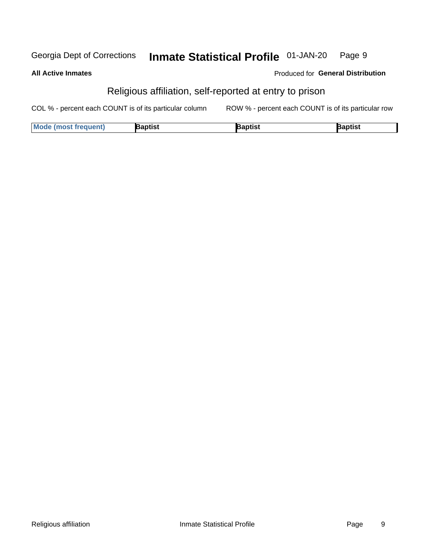#### **Inmate Statistical Profile 01-JAN-20** Georgia Dept of Corrections Page 9

**All Active Inmates** 

## Produced for General Distribution

# Religious affiliation, self-reported at entry to prison

COL % - percent each COUNT is of its particular column ROW % - percent each COUNT is of its particular row

| <b>Mode (most frequent)</b> | Baptist | lantiet<br>ναυιιοι | 3aptist |
|-----------------------------|---------|--------------------|---------|
|-----------------------------|---------|--------------------|---------|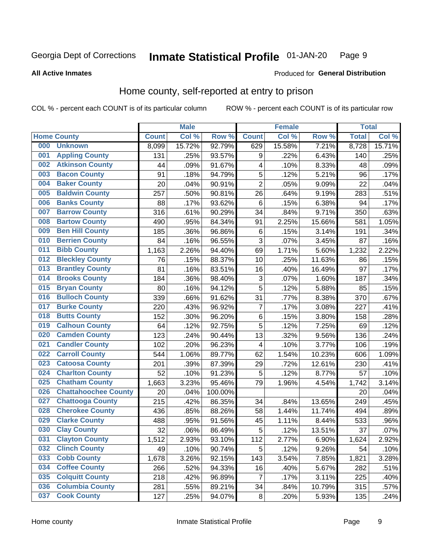#### **Inmate Statistical Profile 01-JAN-20** Page 9

### **All Active Inmates**

### **Produced for General Distribution**

# Home county, self-reported at entry to prison

COL % - percent each COUNT is of its particular column

|     |                             |              | <b>Male</b> |                  |                         | <b>Female</b> |        | <b>Total</b> |        |
|-----|-----------------------------|--------------|-------------|------------------|-------------------------|---------------|--------|--------------|--------|
|     | <b>Home County</b>          | <b>Count</b> | Col %       | Row <sup>%</sup> | <b>Count</b>            | Col %         | Row %  | <b>Total</b> | Col %  |
| 000 | <b>Unknown</b>              | 8,099        | 15.72%      | 92.79%           | 629                     | 15.58%        | 7.21%  | 8,728        | 15.71% |
| 001 | <b>Appling County</b>       | 131          | .25%        | 93.57%           | 9                       | .22%          | 6.43%  | 140          | .25%   |
| 002 | <b>Atkinson County</b>      | 44           | .09%        | 91.67%           | $\overline{\mathbf{4}}$ | .10%          | 8.33%  | 48           | .09%   |
| 003 | <b>Bacon County</b>         | 91           | .18%        | 94.79%           | 5                       | .12%          | 5.21%  | 96           | .17%   |
| 004 | <b>Baker County</b>         | 20           | .04%        | 90.91%           | $\overline{2}$          | .05%          | 9.09%  | 22           | .04%   |
| 005 | <b>Baldwin County</b>       | 257          | .50%        | 90.81%           | 26                      | .64%          | 9.19%  | 283          | .51%   |
| 006 | <b>Banks County</b>         | 88           | .17%        | 93.62%           | $\,6$                   | .15%          | 6.38%  | 94           | .17%   |
| 007 | <b>Barrow County</b>        | 316          | .61%        | 90.29%           | $\overline{34}$         | .84%          | 9.71%  | 350          | .63%   |
| 008 | <b>Bartow County</b>        | 490          | .95%        | 84.34%           | 91                      | 2.25%         | 15.66% | 581          | 1.05%  |
| 009 | <b>Ben Hill County</b>      | 185          | .36%        | 96.86%           | $\,6$                   | .15%          | 3.14%  | 191          | .34%   |
| 010 | <b>Berrien County</b>       | 84           | .16%        | 96.55%           | 3                       | .07%          | 3.45%  | 87           | .16%   |
| 011 | <b>Bibb County</b>          | 1,163        | 2.26%       | 94.40%           | 69                      | 1.71%         | 5.60%  | 1,232        | 2.22%  |
| 012 | <b>Bleckley County</b>      | 76           | .15%        | 88.37%           | 10                      | .25%          | 11.63% | 86           | .15%   |
| 013 | <b>Brantley County</b>      | 81           | .16%        | 83.51%           | 16                      | .40%          | 16.49% | 97           | .17%   |
| 014 | <b>Brooks County</b>        | 184          | .36%        | 98.40%           | 3                       | .07%          | 1.60%  | 187          | .34%   |
| 015 | <b>Bryan County</b>         | 80           | .16%        | 94.12%           | 5                       | .12%          | 5.88%  | 85           | .15%   |
| 016 | <b>Bulloch County</b>       | 339          | .66%        | 91.62%           | 31                      | .77%          | 8.38%  | 370          | .67%   |
| 017 | <b>Burke County</b>         | 220          | .43%        | 96.92%           | $\overline{7}$          | .17%          | 3.08%  | 227          | .41%   |
| 018 | <b>Butts County</b>         | 152          | .30%        | 96.20%           | $\,6$                   | .15%          | 3.80%  | 158          | .28%   |
| 019 | <b>Calhoun County</b>       | 64           | .12%        | 92.75%           | 5                       | .12%          | 7.25%  | 69           | .12%   |
| 020 | <b>Camden County</b>        | 123          | .24%        | 90.44%           | 13                      | .32%          | 9.56%  | 136          | .24%   |
| 021 | <b>Candler County</b>       | 102          | .20%        | 96.23%           | $\overline{\mathbf{4}}$ | .10%          | 3.77%  | 106          | .19%   |
| 022 | <b>Carroll County</b>       | 544          | 1.06%       | 89.77%           | 62                      | 1.54%         | 10.23% | 606          | 1.09%  |
| 023 | <b>Catoosa County</b>       | 201          | .39%        | 87.39%           | 29                      | .72%          | 12.61% | 230          | .41%   |
| 024 | <b>Charlton County</b>      | 52           | .10%        | 91.23%           | 5                       | .12%          | 8.77%  | 57           | .10%   |
| 025 | <b>Chatham County</b>       | 1,663        | 3.23%       | 95.46%           | 79                      | 1.96%         | 4.54%  | 1,742        | 3.14%  |
| 026 | <b>Chattahoochee County</b> | 20           | .04%        | 100.00%          |                         |               |        | 20           | .04%   |
| 027 | <b>Chattooga County</b>     | 215          | .42%        | 86.35%           | 34                      | .84%          | 13.65% | 249          | .45%   |
| 028 | <b>Cherokee County</b>      | 436          | .85%        | 88.26%           | 58                      | 1.44%         | 11.74% | 494          | .89%   |
| 029 | <b>Clarke County</b>        | 488          | .95%        | 91.56%           | 45                      | 1.11%         | 8.44%  | 533          | .96%   |
| 030 | <b>Clay County</b>          | 32           | .06%        | 86.49%           | 5                       | .12%          | 13.51% | 37           | .07%   |
| 031 | <b>Clayton County</b>       | 1,512        | 2.93%       | 93.10%           | 112                     | 2.77%         | 6.90%  | 1,624        | 2.92%  |
| 032 | <b>Clinch County</b>        | 49           | .10%        | 90.74%           | 5                       | .12%          | 9.26%  | 54           | .10%   |
| 033 | <b>Cobb County</b>          | 1,678        | 3.26%       | 92.15%           | 143                     | 3.54%         | 7.85%  | 1,821        | 3.28%  |
| 034 | <b>Coffee County</b>        | 266          | .52%        | 94.33%           | 16                      | .40%          | 5.67%  | 282          | .51%   |
| 035 | <b>Colquitt County</b>      | 218          | .42%        | 96.89%           | $\overline{7}$          | .17%          | 3.11%  | 225          | .40%   |
| 036 | <b>Columbia County</b>      | 281          | .55%        | 89.21%           | 34                      | .84%          | 10.79% | 315          | .57%   |
| 037 | <b>Cook County</b>          | 127          | .25%        | 94.07%           | $\bf 8$                 | .20%          | 5.93%  | 135          | .24%   |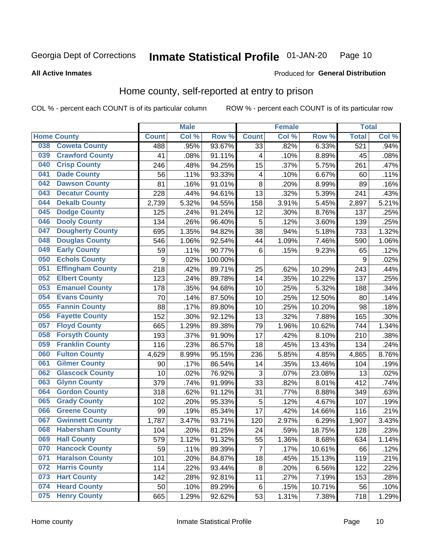#### Inmate Statistical Profile 01-JAN-20 Page 10

### **All Active Inmates**

### Produced for General Distribution

# Home county, self-reported at entry to prison

COL % - percent each COUNT is of its particular column

|     |                         |              | <b>Male</b> |         |                 | <b>Female</b> |        | <b>Total</b>     |         |
|-----|-------------------------|--------------|-------------|---------|-----------------|---------------|--------|------------------|---------|
|     | <b>Home County</b>      | <b>Count</b> | Col %       | Row %   | <b>Count</b>    | Col %         | Row %  | <b>Total</b>     | Col%    |
| 038 | <b>Coweta County</b>    | 488          | .95%        | 93.67%  | $\overline{33}$ | .82%          | 6.33%  | $\overline{521}$ | .94%    |
| 039 | <b>Crawford County</b>  | 41           | .08%        | 91.11%  | 4               | .10%          | 8.89%  | 45               | .08%    |
| 040 | <b>Crisp County</b>     | 246          | .48%        | 94.25%  | 15              | .37%          | 5.75%  | 261              | .47%    |
| 041 | <b>Dade County</b>      | 56           | .11%        | 93.33%  | 4               | .10%          | 6.67%  | 60               | .11%    |
| 042 | <b>Dawson County</b>    | 81           | .16%        | 91.01%  | 8               | .20%          | 8.99%  | 89               | .16%    |
| 043 | <b>Decatur County</b>   | 228          | .44%        | 94.61%  | 13              | .32%          | 5.39%  | 241              | .43%    |
| 044 | <b>Dekalb County</b>    | 2,739        | 5.32%       | 94.55%  | 158             | 3.91%         | 5.45%  | 2,897            | 5.21%   |
| 045 | <b>Dodge County</b>     | 125          | .24%        | 91.24%  | 12              | .30%          | 8.76%  | 137              | .25%    |
| 046 | <b>Dooly County</b>     | 134          | .26%        | 96.40%  | 5               | .12%          | 3.60%  | 139              | .25%    |
| 047 | <b>Dougherty County</b> | 695          | 1.35%       | 94.82%  | 38              | .94%          | 5.18%  | 733              | 1.32%   |
| 048 | <b>Douglas County</b>   | 546          | 1.06%       | 92.54%  | 44              | 1.09%         | 7.46%  | 590              | 1.06%   |
| 049 | <b>Early County</b>     | 59           | .11%        | 90.77%  | 6               | .15%          | 9.23%  | 65               | .12%    |
| 050 | <b>Echols County</b>    | 9            | .02%        | 100.00% |                 |               |        | 9                | .02%    |
| 051 | <b>Effingham County</b> | 218          | .42%        | 89.71%  | 25              | .62%          | 10.29% | 243              | .44%    |
| 052 | <b>Elbert County</b>    | 123          | .24%        | 89.78%  | 14              | .35%          | 10.22% | 137              | .25%    |
| 053 | <b>Emanuel County</b>   | 178          | .35%        | 94.68%  | 10              | .25%          | 5.32%  | 188              | .34%    |
| 054 | <b>Evans County</b>     | 70           | .14%        | 87.50%  | 10              | .25%          | 12.50% | 80               | .14%    |
| 055 | <b>Fannin County</b>    | 88           | .17%        | 89.80%  | 10              | .25%          | 10.20% | 98               | .18%    |
| 056 | <b>Fayette County</b>   | 152          | .30%        | 92.12%  | 13              | .32%          | 7.88%  | 165              | $.30\%$ |
| 057 | <b>Floyd County</b>     | 665          | 1.29%       | 89.38%  | 79              | 1.96%         | 10.62% | 744              | 1.34%   |
| 058 | <b>Forsyth County</b>   | 193          | .37%        | 91.90%  | 17              | .42%          | 8.10%  | 210              | .38%    |
| 059 | <b>Franklin County</b>  | 116          | .23%        | 86.57%  | 18              | .45%          | 13.43% | 134              | .24%    |
| 060 | <b>Fulton County</b>    | 4,629        | 8.99%       | 95.15%  | 236             | 5.85%         | 4.85%  | 4,865            | 8.76%   |
| 061 | <b>Gilmer County</b>    | 90           | .17%        | 86.54%  | 14              | .35%          | 13.46% | 104              | .19%    |
| 062 | <b>Glascock County</b>  | 10           | .02%        | 76.92%  | 3               | .07%          | 23.08% | 13               | .02%    |
| 063 | <b>Glynn County</b>     | 379          | .74%        | 91.99%  | 33              | .82%          | 8.01%  | 412              | .74%    |
| 064 | <b>Gordon County</b>    | 318          | .62%        | 91.12%  | 31              | .77%          | 8.88%  | 349              | .63%    |
| 065 | <b>Grady County</b>     | 102          | .20%        | 95.33%  | 5               | .12%          | 4.67%  | 107              | .19%    |
| 066 | <b>Greene County</b>    | 99           | .19%        | 85.34%  | 17              | .42%          | 14.66% | 116              | .21%    |
| 067 | <b>Gwinnett County</b>  | 1,787        | 3.47%       | 93.71%  | 120             | 2.97%         | 6.29%  | 1,907            | 3.43%   |
| 068 | <b>Habersham County</b> | 104          | .20%        | 81.25%  | 24              | .59%          | 18.75% | 128              | .23%    |
| 069 | <b>Hall County</b>      | 579          | 1.12%       | 91.32%  | 55              | 1.36%         | 8.68%  | 634              | 1.14%   |
| 070 | <b>Hancock County</b>   | 59           | .11%        | 89.39%  | $\overline{7}$  | .17%          | 10.61% | 66               | .12%    |
| 071 | <b>Haralson County</b>  | 101          | .20%        | 84.87%  | 18              | .45%          | 15.13% | 119              | .21%    |
| 072 | <b>Harris County</b>    | 114          | .22%        | 93.44%  | 8               | .20%          | 6.56%  | 122              | .22%    |
| 073 | <b>Hart County</b>      | 142          | .28%        | 92.81%  | 11              | .27%          | 7.19%  | 153              | .28%    |
| 074 | <b>Heard County</b>     | 50           | .10%        | 89.29%  | 6               | .15%          | 10.71% | 56               | .10%    |
| 075 | <b>Henry County</b>     | 665          | 1.29%       | 92.62%  | 53              | 1.31%         | 7.38%  | 718              | 1.29%   |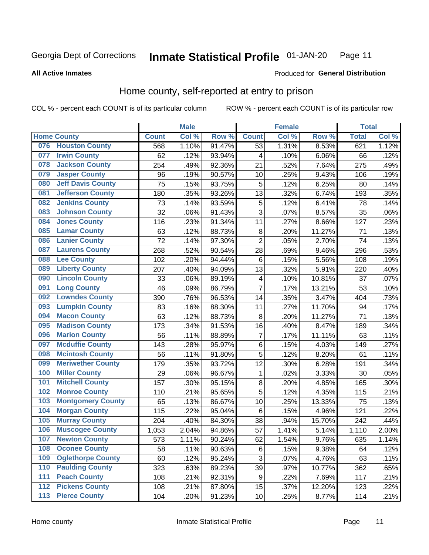#### **Inmate Statistical Profile 01-JAN-20** Page 11

### **All Active Inmates**

# Produced for General Distribution

# Home county, self-reported at entry to prison

COL % - percent each COUNT is of its particular column

|                  |                          |              | <b>Male</b> |        |                | <b>Female</b> |                  | <b>Total</b> |       |
|------------------|--------------------------|--------------|-------------|--------|----------------|---------------|------------------|--------------|-------|
|                  | <b>Home County</b>       | <b>Count</b> | Col %       | Row %  | <b>Count</b>   | Col %         | Row <sup>%</sup> | <b>Total</b> | Col % |
| 076              | <b>Houston County</b>    | 568          | 1.10%       | 91.47% | 53             | 1.31%         | 8.53%            | 621          | 1.12% |
| 077              | <b>Irwin County</b>      | 62           | .12%        | 93.94% | 4              | .10%          | 6.06%            | 66           | .12%  |
| 078              | <b>Jackson County</b>    | 254          | .49%        | 92.36% | 21             | .52%          | 7.64%            | 275          | .49%  |
| 079              | <b>Jasper County</b>     | 96           | .19%        | 90.57% | 10             | .25%          | 9.43%            | 106          | .19%  |
| 080              | <b>Jeff Davis County</b> | 75           | .15%        | 93.75% | 5              | .12%          | 6.25%            | 80           | .14%  |
| 081              | <b>Jefferson County</b>  | 180          | .35%        | 93.26% | 13             | .32%          | 6.74%            | 193          | .35%  |
| 082              | <b>Jenkins County</b>    | 73           | .14%        | 93.59% | 5              | .12%          | 6.41%            | 78           | .14%  |
| 083              | <b>Johnson County</b>    | 32           | .06%        | 91.43% | 3              | .07%          | 8.57%            | 35           | .06%  |
| 084              | <b>Jones County</b>      | 116          | .23%        | 91.34% | 11             | .27%          | 8.66%            | 127          | .23%  |
| 085              | <b>Lamar County</b>      | 63           | .12%        | 88.73% | 8              | .20%          | 11.27%           | 71           | .13%  |
| 086              | <b>Lanier County</b>     | 72           | .14%        | 97.30% | $\overline{2}$ | .05%          | 2.70%            | 74           | .13%  |
| 087              | <b>Laurens County</b>    | 268          | .52%        | 90.54% | 28             | .69%          | 9.46%            | 296          | .53%  |
| 088              | <b>Lee County</b>        | 102          | .20%        | 94.44% | $\,6$          | .15%          | 5.56%            | 108          | .19%  |
| 089              | <b>Liberty County</b>    | 207          | .40%        | 94.09% | 13             | .32%          | 5.91%            | 220          | .40%  |
| 090              | <b>Lincoln County</b>    | 33           | .06%        | 89.19% | 4              | .10%          | 10.81%           | 37           | .07%  |
| 091              | <b>Long County</b>       | 46           | .09%        | 86.79% | $\overline{7}$ | .17%          | 13.21%           | 53           | .10%  |
| 092              | <b>Lowndes County</b>    | 390          | .76%        | 96.53% | 14             | .35%          | 3.47%            | 404          | .73%  |
| 093              | <b>Lumpkin County</b>    | 83           | .16%        | 88.30% | 11             | .27%          | 11.70%           | 94           | .17%  |
| 094              | <b>Macon County</b>      | 63           | .12%        | 88.73% | 8              | .20%          | 11.27%           | 71           | .13%  |
| 095              | <b>Madison County</b>    | 173          | .34%        | 91.53% | 16             | .40%          | 8.47%            | 189          | .34%  |
| 096              | <b>Marion County</b>     | 56           | .11%        | 88.89% | $\overline{7}$ | .17%          | 11.11%           | 63           | .11%  |
| 097              | <b>Mcduffie County</b>   | 143          | .28%        | 95.97% | $\,6$          | .15%          | 4.03%            | 149          | .27%  |
| 098              | <b>Mcintosh County</b>   | 56           | .11%        | 91.80% | $\overline{5}$ | .12%          | 8.20%            | 61           | .11%  |
| 099              | <b>Meriwether County</b> | 179          | .35%        | 93.72% | 12             | .30%          | 6.28%            | 191          | .34%  |
| 100              | <b>Miller County</b>     | 29           | .06%        | 96.67% | 1              | .02%          | 3.33%            | 30           | .05%  |
| 101              | <b>Mitchell County</b>   | 157          | .30%        | 95.15% | 8              | .20%          | 4.85%            | 165          | .30%  |
| 102              | <b>Monroe County</b>     | 110          | .21%        | 95.65% | $\overline{5}$ | .12%          | 4.35%            | 115          | .21%  |
| 103              | <b>Montgomery County</b> | 65           | .13%        | 86.67% | 10             | .25%          | 13.33%           | 75           | .13%  |
| 104              | <b>Morgan County</b>     | 115          | .22%        | 95.04% | 6              | .15%          | 4.96%            | 121          | .22%  |
| 105              | <b>Murray County</b>     | 204          | .40%        | 84.30% | 38             | .94%          | 15.70%           | 242          | .44%  |
| 106              | <b>Muscogee County</b>   | 1,053        | 2.04%       | 94.86% | 57             | 1.41%         | 5.14%            | 1,110        | 2.00% |
| 107              | <b>Newton County</b>     | 573          | 1.11%       | 90.24% | 62             | 1.54%         | 9.76%            | 635          | 1.14% |
| 108              | <b>Oconee County</b>     | 58           | .11%        | 90.63% | $\,6$          | .15%          | 9.38%            | 64           | .12%  |
| 109              | <b>Oglethorpe County</b> | 60           | .12%        | 95.24% | 3              | .07%          | 4.76%            | 63           | .11%  |
| 110              | <b>Paulding County</b>   | 323          | .63%        | 89.23% | 39             | .97%          | 10.77%           | 362          | .65%  |
| 111              | <b>Peach County</b>      | 108          | .21%        | 92.31% | 9              | .22%          | 7.69%            | 117          | .21%  |
| $\overline{112}$ | <b>Pickens County</b>    | 108          | .21%        | 87.80% | 15             | .37%          | 12.20%           | 123          | .22%  |
| 113              | <b>Pierce County</b>     | 104          | .20%        | 91.23% | 10             | .25%          | 8.77%            | 114          | .21%  |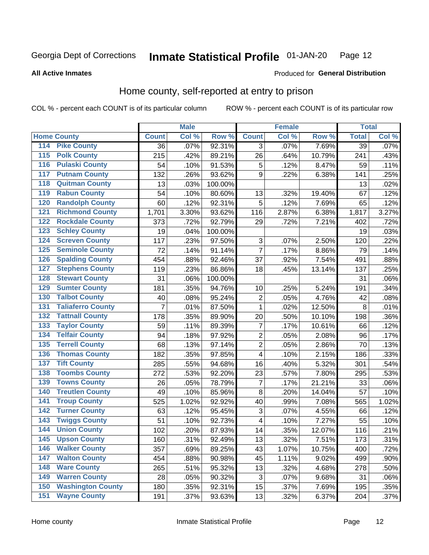#### Inmate Statistical Profile 01-JAN-20 Page 12

### **All Active Inmates**

### Produced for General Distribution

# Home county, self-reported at entry to prison

COL % - percent each COUNT is of its particular column

|                  |                          |              | <b>Male</b> |                  |                           | <b>Female</b> |        | <b>Total</b>    |         |
|------------------|--------------------------|--------------|-------------|------------------|---------------------------|---------------|--------|-----------------|---------|
|                  | <b>Home County</b>       | <b>Count</b> | Col %       | Row <sup>%</sup> | <b>Count</b>              | Col %         | Row %  | <b>Total</b>    | Col %   |
| 114              | <b>Pike County</b>       | 36           | .07%        | 92.31%           | 3                         | .07%          | 7.69%  | $\overline{39}$ | .07%    |
| $\overline{115}$ | <b>Polk County</b>       | 215          | .42%        | 89.21%           | 26                        | .64%          | 10.79% | 241             | .43%    |
| 116              | <b>Pulaski County</b>    | 54           | .10%        | 91.53%           | 5                         | .12%          | 8.47%  | 59              | .11%    |
| 117              | <b>Putnam County</b>     | 132          | .26%        | 93.62%           | 9                         | .22%          | 6.38%  | 141             | .25%    |
| 118              | <b>Quitman County</b>    | 13           | .03%        | 100.00%          |                           |               |        | 13              | .02%    |
| 119              | <b>Rabun County</b>      | 54           | .10%        | 80.60%           | 13                        | .32%          | 19.40% | 67              | .12%    |
| 120              | <b>Randolph County</b>   | 60           | .12%        | 92.31%           | 5                         | .12%          | 7.69%  | 65              | .12%    |
| 121              | <b>Richmond County</b>   | 1,701        | 3.30%       | 93.62%           | 116                       | 2.87%         | 6.38%  | 1,817           | 3.27%   |
| 122              | <b>Rockdale County</b>   | 373          | .72%        | 92.79%           | 29                        | .72%          | 7.21%  | 402             | .72%    |
| 123              | <b>Schley County</b>     | 19           | .04%        | 100.00%          |                           |               |        | 19              | .03%    |
| 124              | <b>Screven County</b>    | 117          | .23%        | 97.50%           | $\ensuremath{\mathsf{3}}$ | .07%          | 2.50%  | 120             | .22%    |
| 125              | <b>Seminole County</b>   | 72           | .14%        | 91.14%           | $\overline{7}$            | .17%          | 8.86%  | 79              | .14%    |
| 126              | <b>Spalding County</b>   | 454          | .88%        | 92.46%           | 37                        | .92%          | 7.54%  | 491             | .88%    |
| 127              | <b>Stephens County</b>   | 119          | .23%        | 86.86%           | 18                        | .45%          | 13.14% | 137             | .25%    |
| 128              | <b>Stewart County</b>    | 31           | .06%        | 100.00%          |                           |               |        | 31              | .06%    |
| 129              | <b>Sumter County</b>     | 181          | .35%        | 94.76%           | 10                        | .25%          | 5.24%  | 191             | .34%    |
| 130              | <b>Talbot County</b>     | 40           | .08%        | 95.24%           | $\overline{2}$            | .05%          | 4.76%  | 42              | .08%    |
| 131              | <b>Taliaferro County</b> | 7            | .01%        | 87.50%           | $\mathbf{1}$              | .02%          | 12.50% | 8               | .01%    |
| 132              | <b>Tattnall County</b>   | 178          | .35%        | 89.90%           | 20                        | .50%          | 10.10% | 198             | .36%    |
| 133              | <b>Taylor County</b>     | 59           | .11%        | 89.39%           | $\overline{7}$            | .17%          | 10.61% | 66              | .12%    |
| 134              | <b>Telfair County</b>    | 94           | .18%        | 97.92%           | $\overline{2}$            | .05%          | 2.08%  | 96              | .17%    |
| 135              | <b>Terrell County</b>    | 68           | .13%        | 97.14%           | $\overline{2}$            | .05%          | 2.86%  | 70              | .13%    |
| 136              | <b>Thomas County</b>     | 182          | .35%        | 97.85%           | $\overline{\mathbf{4}}$   | .10%          | 2.15%  | 186             | .33%    |
| 137              | <b>Tift County</b>       | 285          | .55%        | 94.68%           | 16                        | .40%          | 5.32%  | 301             | .54%    |
| 138              | <b>Toombs County</b>     | 272          | .53%        | 92.20%           | 23                        | .57%          | 7.80%  | 295             | .53%    |
| 139              | <b>Towns County</b>      | 26           | .05%        | 78.79%           | 7                         | .17%          | 21.21% | 33              | .06%    |
| 140              | <b>Treutlen County</b>   | 49           | .10%        | 85.96%           | 8                         | .20%          | 14.04% | 57              | .10%    |
| 141              | <b>Troup County</b>      | 525          | 1.02%       | 92.92%           | 40                        | .99%          | 7.08%  | 565             | 1.02%   |
| 142              | <b>Turner County</b>     | 63           | .12%        | 95.45%           | $\ensuremath{\mathsf{3}}$ | .07%          | 4.55%  | 66              | .12%    |
| 143              | <b>Twiggs County</b>     | 51           | .10%        | 92.73%           | 4                         | .10%          | 7.27%  | 55              | .10%    |
| 144              | <b>Union County</b>      | 102          | .20%        | 87.93%           | 14                        | .35%          | 12.07% | 116             | .21%    |
| 145              | <b>Upson County</b>      | 160          | .31%        | 92.49%           | 13                        | .32%          | 7.51%  | 173             | .31%    |
| 146              | <b>Walker County</b>     | 357          | .69%        | 89.25%           | 43                        | 1.07%         | 10.75% | 400             | .72%    |
| 147              | <b>Walton County</b>     | 454          | .88%        | 90.98%           | 45                        | 1.11%         | 9.02%  | 499             | $.90\%$ |
| 148              | <b>Ware County</b>       | 265          | .51%        | 95.32%           | 13                        | .32%          | 4.68%  | 278             | .50%    |
| 149              | <b>Warren County</b>     | 28           | .05%        | 90.32%           | $\ensuremath{\mathsf{3}}$ | .07%          | 9.68%  | 31              | .06%    |
| 150              | <b>Washington County</b> | 180          | .35%        | 92.31%           | 15                        | .37%          | 7.69%  | 195             | .35%    |
| 151              | <b>Wayne County</b>      | 191          | .37%        | 93.63%           | 13                        | .32%          | 6.37%  | 204             | .37%    |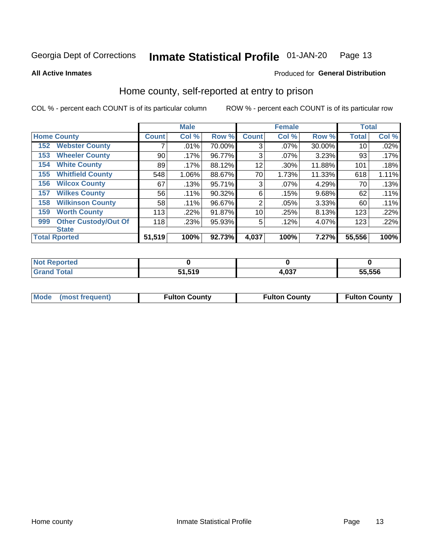#### Inmate Statistical Profile 01-JAN-20 Page 13

**All Active Inmates** 

### Produced for General Distribution

# Home county, self-reported at entry to prison

COL % - percent each COUNT is of its particular column

|     |                             |              | <b>Male</b> |        |              | <b>Female</b> |        | <b>Total</b> |       |
|-----|-----------------------------|--------------|-------------|--------|--------------|---------------|--------|--------------|-------|
|     | <b>Home County</b>          | <b>Count</b> | Col %       | Row %  | <b>Count</b> | Col %         | Row %  | <b>Total</b> | Col % |
| 152 | <b>Webster County</b>       |              | .01%        | 70.00% | 3            | .07%          | 30.00% | 10           | .02%  |
| 153 | <b>Wheeler County</b>       | 90           | .17%        | 96.77% | 3            | $.07\%$       | 3.23%  | 93           | .17%  |
| 154 | <b>White County</b>         | 89           | .17%        | 88.12% | 12           | .30%          | 11.88% | 101          | .18%  |
| 155 | <b>Whitfield County</b>     | 548          | 1.06%       | 88.67% | 70           | 1.73%         | 11.33% | 618          | 1.11% |
| 156 | <b>Wilcox County</b>        | 67           | .13%        | 95.71% | 3            | $.07\%$       | 4.29%  | 70           | .13%  |
| 157 | <b>Wilkes County</b>        | 56           | .11%        | 90.32% | 6            | .15%          | 9.68%  | 62           | .11%  |
| 158 | <b>Wilkinson County</b>     | 58           | .11%        | 96.67% | 2            | .05%          | 3.33%  | 60           | .11%  |
| 159 | <b>Worth County</b>         | 113          | .22%        | 91.87% | 10           | .25%          | 8.13%  | 123          | .22%  |
| 999 | <b>Other Custody/Out Of</b> | 118          | .23%        | 95.93% | 5            | .12%          | 4.07%  | 123          | .22%  |
|     | <b>State</b>                |              |             |        |              |               |        |              |       |
|     | <b>Total Rported</b>        | 51,519       | 100%        | 92.73% | 4,037        | 100%          | 7.27%  | 55,556       | 100%  |

| <b>Reported</b><br><b>NOT</b> |               |             |        |
|-------------------------------|---------------|-------------|--------|
| <b>c</b> otal                 | 51.519<br>C 4 | 027<br>∙,∪J | 55.556 |

| Mode (most frequent) | <b>Fulton County</b> | <b>Fulton County</b> | <b>Fulton County</b> |
|----------------------|----------------------|----------------------|----------------------|
|                      |                      |                      |                      |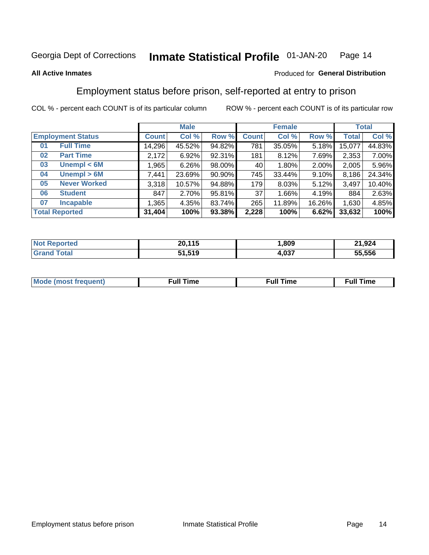#### Inmate Statistical Profile 01-JAN-20 Page 14

### **All Active Inmates**

### Produced for General Distribution

# Employment status before prison, self-reported at entry to prison

COL % - percent each COUNT is of its particular column

|                           |              | <b>Male</b> |        |              | <b>Female</b> |        |              | <b>Total</b> |
|---------------------------|--------------|-------------|--------|--------------|---------------|--------|--------------|--------------|
| <b>Employment Status</b>  | <b>Count</b> | Col %       | Row %  | <b>Count</b> | Col %         | Row %  | <b>Total</b> | Col %        |
| <b>Full Time</b><br>01    | 14,296       | 45.52%      | 94.82% | 781          | 35.05%        | 5.18%  | 15,077       | 44.83%       |
| <b>Part Time</b><br>02    | 2,172        | 6.92%       | 92.31% | 181          | 8.12%         | 7.69%  | 2,353        | 7.00%        |
| Unempl $<$ 6M<br>03       | ,965         | 6.26%       | 98.00% | 40           | $1.80\%$      | 2.00%  | 2,005        | 5.96%        |
| Unempl > 6M<br>04         | 7,441        | 23.69%      | 90.90% | 745          | 33.44%        | 9.10%  | 8,186        | 24.34%       |
| <b>Never Worked</b><br>05 | 3,318        | 10.57%      | 94.88% | 179          | 8.03%         | 5.12%  | 3,497        | 10.40%       |
| <b>Student</b><br>06      | 847          | 2.70%       | 95.81% | 37           | 1.66%         | 4.19%  | 884          | 2.63%        |
| <b>Incapable</b><br>07    | .365         | 4.35%       | 83.74% | 265          | 11.89%        | 16.26% | 1,630        | 4.85%        |
| <b>Total Reported</b>     | 31,404       | 100%        | 93.38% | 2,228        | 100%          | 6.62%  | 33,632       | 100%         |

| ortec<br>NOI | 20.115<br> | .809        | 21,924 |
|--------------|------------|-------------|--------|
| ัotaเ        | 51,519     | 027<br>ו טי | 55.556 |

| Mc | ∙u∥<br>----<br>ıme | ίuΙ<br>Πmε |
|----|--------------------|------------|
|    |                    |            |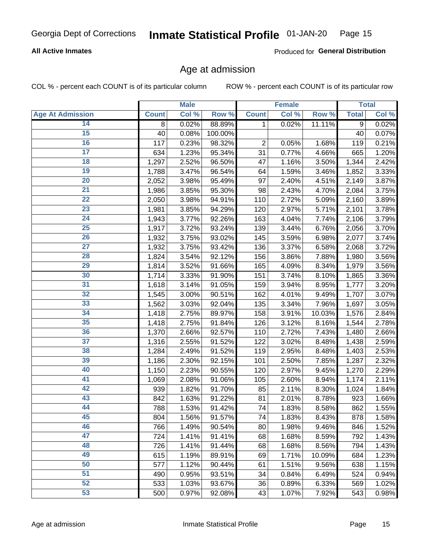### **All Active Inmates**

Produced for General Distribution

# Age at admission

COL % - percent each COUNT is of its particular column

|                         |              | <b>Male</b> |         |              | <b>Female</b> |        |              | <b>Total</b> |
|-------------------------|--------------|-------------|---------|--------------|---------------|--------|--------------|--------------|
| <b>Age At Admission</b> | <b>Count</b> | Col %       | Row %   | <b>Count</b> | Col %         | Row %  | <b>Total</b> | Col %        |
| 14                      | 8            | 0.02%       | 88.89%  | 1            | 0.02%         | 11.11% | 9            | 0.02%        |
| 15                      | 40           | 0.08%       | 100.00% |              |               |        | 40           | 0.07%        |
| 16                      | 117          | 0.23%       | 98.32%  | $\mathbf 2$  | 0.05%         | 1.68%  | 119          | 0.21%        |
| $\overline{17}$         | 634          | 1.23%       | 95.34%  | 31           | 0.77%         | 4.66%  | 665          | 1.20%        |
| $\overline{18}$         | 1,297        | 2.52%       | 96.50%  | 47           | 1.16%         | 3.50%  | 1,344        | 2.42%        |
| 19                      | 1,788        | 3.47%       | 96.54%  | 64           | 1.59%         | 3.46%  | 1,852        | 3.33%        |
| 20                      | 2,052        | 3.98%       | 95.49%  | 97           | 2.40%         | 4.51%  | 2,149        | 3.87%        |
| $\overline{21}$         | 1,986        | 3.85%       | 95.30%  | 98           | 2.43%         | 4.70%  | 2,084        | 3.75%        |
| $\overline{22}$         | 2,050        | 3.98%       | 94.91%  | 110          | 2.72%         | 5.09%  | 2,160        | 3.89%        |
| $\overline{23}$         | 1,981        | 3.85%       | 94.29%  | 120          | 2.97%         | 5.71%  | 2,101        | 3.78%        |
| 24                      | 1,943        | 3.77%       | 92.26%  | 163          | 4.04%         | 7.74%  | 2,106        | 3.79%        |
| $\overline{25}$         | 1,917        | 3.72%       | 93.24%  | 139          | 3.44%         | 6.76%  | 2,056        | 3.70%        |
| $\overline{26}$         | 1,932        | 3.75%       | 93.02%  | 145          | 3.59%         | 6.98%  | 2,077        | 3.74%        |
| $\overline{27}$         | 1,932        | 3.75%       | 93.42%  | 136          | 3.37%         | 6.58%  | 2,068        | 3.72%        |
| 28                      | 1,824        | 3.54%       | 92.12%  | 156          | 3.86%         | 7.88%  | 1,980        | 3.56%        |
| 29                      | 1,814        | 3.52%       | 91.66%  | 165          | 4.09%         | 8.34%  | 1,979        | 3.56%        |
| 30                      | 1,714        | 3.33%       | 91.90%  | 151          | 3.74%         | 8.10%  | 1,865        | 3.36%        |
| 31                      | 1,618        | 3.14%       | 91.05%  | 159          | 3.94%         | 8.95%  | 1,777        | 3.20%        |
| 32                      | 1,545        | 3.00%       | 90.51%  | 162          | 4.01%         | 9.49%  | 1,707        | 3.07%        |
| 33                      | 1,562        | 3.03%       | 92.04%  | 135          | 3.34%         | 7.96%  | 1,697        | 3.05%        |
| 34                      | 1,418        | 2.75%       | 89.97%  | 158          | 3.91%         | 10.03% | 1,576        | 2.84%        |
| 35                      | 1,418        | 2.75%       | 91.84%  | 126          | 3.12%         | 8.16%  | 1,544        | 2.78%        |
| 36                      | 1,370        | 2.66%       | 92.57%  | 110          | 2.72%         | 7.43%  | 1,480        | 2.66%        |
| $\overline{37}$         | 1,316        | 2.55%       | 91.52%  | 122          | 3.02%         | 8.48%  | 1,438        | 2.59%        |
| 38                      | 1,284        | 2.49%       | 91.52%  | 119          | 2.95%         | 8.48%  | 1,403        | 2.53%        |
| 39                      | 1,186        | 2.30%       | 92.15%  | 101          | 2.50%         | 7.85%  | 1,287        | 2.32%        |
| 40                      | 1,150        | 2.23%       | 90.55%  | 120          | 2.97%         | 9.45%  | 1,270        | 2.29%        |
| 41                      | 1,069        | 2.08%       | 91.06%  | 105          | 2.60%         | 8.94%  | 1,174        | 2.11%        |
| 42                      | 939          | 1.82%       | 91.70%  | 85           | 2.11%         | 8.30%  | 1,024        | 1.84%        |
| 43                      | 842          | 1.63%       | 91.22%  | 81           | 2.01%         | 8.78%  | 923          | 1.66%        |
| 44                      | 788          | 1.53%       | 91.42%  | 74           | 1.83%         | 8.58%  | 862          | 1.55%        |
| 45                      | 804          | 1.56%       | 91.57%  | 74           | 1.83%         | 8.43%  | 878          | 1.58%        |
| 46                      | 766          | 1.49%       | 90.54%  | 80           | 1.98%         | 9.46%  | 846          | 1.52%        |
| 47                      | 724          | 1.41%       | 91.41%  | 68           | 1.68%         | 8.59%  | 792          | 1.43%        |
| 48                      | 726          | 1.41%       | 91.44%  | 68           | 1.68%         | 8.56%  | 794          | 1.43%        |
| 49                      | 615          | 1.19%       | 89.91%  | 69           | 1.71%         | 10.09% | 684          | 1.23%        |
| 50                      | 577          | 1.12%       | 90.44%  | 61           | 1.51%         | 9.56%  | 638          | 1.15%        |
| 51                      | 490          | 0.95%       | 93.51%  | 34           | 0.84%         | 6.49%  | 524          | 0.94%        |
| 52                      | 533          | 1.03%       | 93.67%  | 36           | 0.89%         | 6.33%  | 569          | 1.02%        |
| 53                      | 500          | 0.97%       | 92.08%  | 43           | 1.07%         | 7.92%  | 543          | 0.98%        |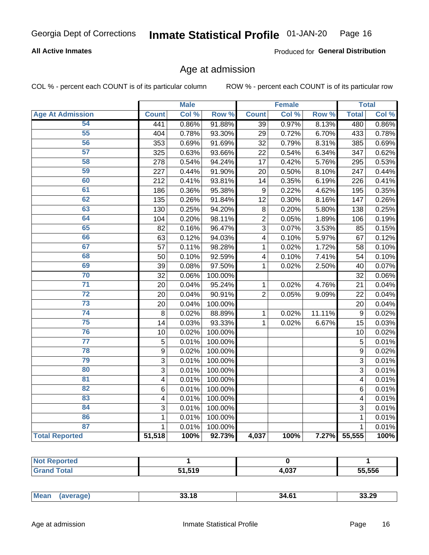### **All Active Inmates**

Produced for General Distribution

# Age at admission

COL % - percent each COUNT is of its particular column

|                         |                         | <b>Male</b> |         |                         | <b>Female</b> |        |                | <b>Total</b> |
|-------------------------|-------------------------|-------------|---------|-------------------------|---------------|--------|----------------|--------------|
| <b>Age At Admission</b> | <b>Count</b>            | Col %       | Row %   | <b>Count</b>            | Col %         | Row %  | <b>Total</b>   | Col %        |
| 54                      | 441                     | 0.86%       | 91.88%  | $\overline{39}$         | 0.97%         | 8.13%  | 480            | 0.86%        |
| $\overline{55}$         | 404                     | 0.78%       | 93.30%  | 29                      | 0.72%         | 6.70%  | 433            | 0.78%        |
| 56                      | 353                     | 0.69%       | 91.69%  | 32                      | 0.79%         | 8.31%  | 385            | 0.69%        |
| $\overline{57}$         | 325                     | 0.63%       | 93.66%  | 22                      | 0.54%         | 6.34%  | 347            | 0.62%        |
| 58                      | 278                     | 0.54%       | 94.24%  | 17                      | 0.42%         | 5.76%  | 295            | 0.53%        |
| 59                      | 227                     | 0.44%       | 91.90%  | 20                      | 0.50%         | 8.10%  | 247            | 0.44%        |
| 60                      | 212                     | 0.41%       | 93.81%  | 14                      | 0.35%         | 6.19%  | 226            | 0.41%        |
| 61                      | 186                     | 0.36%       | 95.38%  | 9                       | 0.22%         | 4.62%  | 195            | 0.35%        |
| 62                      | 135                     | 0.26%       | 91.84%  | 12                      | 0.30%         | 8.16%  | 147            | 0.26%        |
| 63                      | 130                     | 0.25%       | 94.20%  | 8                       | 0.20%         | 5.80%  | 138            | 0.25%        |
| 64                      | 104                     | 0.20%       | 98.11%  | $\overline{2}$          | 0.05%         | 1.89%  | 106            | 0.19%        |
| 65                      | 82                      | 0.16%       | 96.47%  | $\overline{3}$          | 0.07%         | 3.53%  | 85             | 0.15%        |
| 66                      | 63                      | 0.12%       | 94.03%  | $\overline{\mathbf{4}}$ | 0.10%         | 5.97%  | 67             | 0.12%        |
| 67                      | 57                      | 0.11%       | 98.28%  | $\mathbf{1}$            | 0.02%         | 1.72%  | 58             | 0.10%        |
| 68                      | 50                      | 0.10%       | 92.59%  | 4                       | 0.10%         | 7.41%  | 54             | 0.10%        |
| 69                      | 39                      | 0.08%       | 97.50%  | 1                       | 0.02%         | 2.50%  | 40             | 0.07%        |
| 70                      | 32                      | 0.06%       | 100.00% |                         |               |        | 32             | 0.06%        |
| $\overline{71}$         | 20                      | 0.04%       | 95.24%  | $\mathbf{1}$            | 0.02%         | 4.76%  | 21             | 0.04%        |
| $\overline{72}$         | 20                      | 0.04%       | 90.91%  | $\overline{2}$          | 0.05%         | 9.09%  | 22             | 0.04%        |
| $\overline{73}$         | 20                      | 0.04%       | 100.00% |                         |               |        | 20             | 0.04%        |
| $\overline{74}$         | 8                       | 0.02%       | 88.89%  | $\mathbf{1}$            | 0.02%         | 11.11% | $\mathsf g$    | 0.02%        |
| 75                      | 14                      | 0.03%       | 93.33%  | 1                       | 0.02%         | 6.67%  | 15             | 0.03%        |
| 76                      | 10                      | 0.02%       | 100.00% |                         |               |        | 10             | 0.02%        |
| $\overline{77}$         | $\overline{5}$          | 0.01%       | 100.00% |                         |               |        | $\overline{5}$ | 0.01%        |
| 78                      | $\overline{9}$          | 0.02%       | 100.00% |                         |               |        | $\overline{9}$ | 0.02%        |
| 79                      | $\overline{3}$          | 0.01%       | 100.00% |                         |               |        | $\overline{3}$ | 0.01%        |
| 80                      | 3                       | 0.01%       | 100.00% |                         |               |        | 3              | 0.01%        |
| $\overline{81}$         | $\overline{\mathbf{4}}$ | 0.01%       | 100.00% |                         |               |        | 4              | 0.01%        |
| 82                      | 6                       | 0.01%       | 100.00% |                         |               |        | 6              | 0.01%        |
| 83                      | 4                       | 0.01%       | 100.00% |                         |               |        | 4              | 0.01%        |
| 84                      | 3                       | 0.01%       | 100.00% |                         |               |        | 3              | 0.01%        |
| 86                      | 1                       | 0.01%       | 100.00% |                         |               |        | 1              | 0.01%        |
| 87                      | $\mathbf{1}$            | 0.01%       | 100.00% |                         |               |        | $\mathbf{1}$   | 0.01%        |
| <b>Total Reported</b>   | 51,518                  | 100%        | 92.73%  | 4,037                   | 100%          | 7.27%  | 55,555         | 100%         |

| τеα<br>. |               |              |        |
|----------|---------------|--------------|--------|
|          | EA EAN<br>. . | 027<br>4.VJ. | 55.556 |

| 33.29<br>4.61، |
|----------------|
|----------------|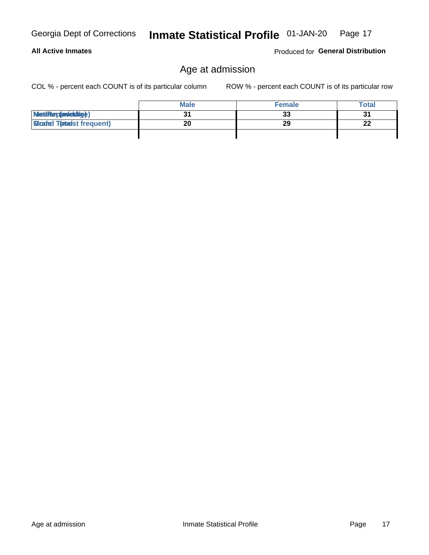Age at admission

 $\overline{31}$ MetiRep(avieldig)  $\overline{20}$ **Gloaded Tonadst frequent)** 

COL % - percent each COUNT is of its particular column

# Age at admission

**Male** 

ROW % - percent each COUNT is of its particular row

**Female** 

 $\overline{33}$ 

 $\overline{29}$ 

Produced for General Distribution

**Total** 

 $\overline{31}$ 

 $\overline{22}$ 

| Georgia Dept of Corrections  Inmate Statistical Profile  01-JAN-20  Page 17 |  |
|-----------------------------------------------------------------------------|--|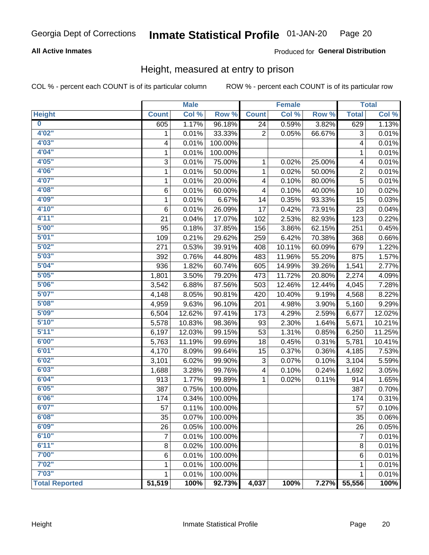### **All Active Inmates**

### Produced for General Distribution

# Height, measured at entry to prison

COL % - percent each COUNT is of its particular column

|                         |                 | <b>Male</b> |                  |                | <b>Female</b> |                  |                 | <b>Total</b> |
|-------------------------|-----------------|-------------|------------------|----------------|---------------|------------------|-----------------|--------------|
| <b>Height</b>           | <b>Count</b>    | Col %       | Row <sup>%</sup> | <b>Count</b>   | Col %         | Row <sup>%</sup> | <b>Total</b>    | Col %        |
| $\overline{\mathbf{0}}$ | 605             | 1.17%       | 96.18%           | 24             | 0.59%         | 3.82%            | 629             | 1.13%        |
| 4'02''                  | 1               | 0.01%       | 33.33%           | $\overline{2}$ | 0.05%         | 66.67%           | 3               | 0.01%        |
| 4'03''                  | 4               | 0.01%       | 100.00%          |                |               |                  | 4               | 0.01%        |
| 4'04"                   | 1               | 0.01%       | 100.00%          |                |               |                  | 1               | 0.01%        |
| 4'05"                   | 3               | 0.01%       | 75.00%           | 1              | 0.02%         | 25.00%           | 4               | 0.01%        |
| 4'06"                   | 1               | 0.01%       | 50.00%           | $\mathbf{1}$   | 0.02%         | 50.00%           | $\overline{2}$  | 0.01%        |
| 4'07"                   | $\mathbf{1}$    | 0.01%       | 20.00%           | 4              | 0.10%         | 80.00%           | $\overline{5}$  | 0.01%        |
| 4'08"                   | 6               | 0.01%       | 60.00%           | 4              | 0.10%         | 40.00%           | 10              | 0.02%        |
| 4'09"                   | 1               | 0.01%       | 6.67%            | 14             | 0.35%         | 93.33%           | 15              | 0.03%        |
| 4'10''                  | 6               | 0.01%       | 26.09%           | 17             | 0.42%         | 73.91%           | 23              | 0.04%        |
| 4'11''                  | 21              | 0.04%       | 17.07%           | 102            | 2.53%         | 82.93%           | 123             | 0.22%        |
| 5'00''                  | 95              | 0.18%       | 37.85%           | 156            | 3.86%         | 62.15%           | 251             | 0.45%        |
| 5'01''                  | 109             | 0.21%       | 29.62%           | 259            | 6.42%         | 70.38%           | 368             | 0.66%        |
| 5'02"                   | 271             | 0.53%       | 39.91%           | 408            | 10.11%        | 60.09%           | 679             | 1.22%        |
| 5'03''                  | 392             | 0.76%       | 44.80%           | 483            | 11.96%        | 55.20%           | 875             | 1.57%        |
| 5'04"                   | 936             | 1.82%       | 60.74%           | 605            | 14.99%        | 39.26%           | 1,541           | 2.77%        |
| 5'05"                   | 1,801           | 3.50%       | 79.20%           | 473            | 11.72%        | 20.80%           | 2,274           | 4.09%        |
| 5'06''                  | 3,542           | 6.88%       | 87.56%           | 503            | 12.46%        | 12.44%           | 4,045           | 7.28%        |
| 5'07''                  | 4,148           | 8.05%       | 90.81%           | 420            | 10.40%        | 9.19%            | 4,568           | 8.22%        |
| 5'08''                  | 4,959           | 9.63%       | 96.10%           | 201            | 4.98%         | 3.90%            | 5,160           | 9.29%        |
| 5'09''                  | 6,504           | 12.62%      | 97.41%           | 173            | 4.29%         | 2.59%            | 6,677           | 12.02%       |
| 5'10''                  | 5,578           | 10.83%      | 98.36%           | 93             | 2.30%         | 1.64%            | 5,671           | 10.21%       |
| 5'11"                   | 6,197           | 12.03%      | 99.15%           | 53             | 1.31%         | 0.85%            | 6,250           | 11.25%       |
| 6'00''                  | 5,763           | 11.19%      | 99.69%           | 18             | 0.45%         | 0.31%            | 5,781           | 10.41%       |
| 6'01''                  | 4,170           | 8.09%       | 99.64%           | 15             | 0.37%         | 0.36%            | 4,185           | 7.53%        |
| 6'02"                   | 3,101           | 6.02%       | 99.90%           | 3              | 0.07%         | 0.10%            | 3,104           | 5.59%        |
| 6'03''                  | 1,688           | 3.28%       | 99.76%           | 4              | 0.10%         | 0.24%            | 1,692           | 3.05%        |
| 6'04"                   | 913             | 1.77%       | 99.89%           | 1              | 0.02%         | 0.11%            | 914             | 1.65%        |
| 6'05"                   | 387             | 0.75%       | 100.00%          |                |               |                  | 387             | 0.70%        |
| 6'06''                  | 174             | 0.34%       | 100.00%          |                |               |                  | 174             | 0.31%        |
| 6'07''                  | 57              | 0.11%       | 100.00%          |                |               |                  | 57              | 0.10%        |
| 6'08"                   | $\overline{35}$ | 0.07%       | 100.00%          |                |               |                  | $\overline{35}$ | 0.06%        |
| 6'09''                  | 26              | 0.05%       | 100.00%          |                |               |                  | 26              | 0.05%        |
| 6'10''                  | 7               | 0.01%       | 100.00%          |                |               |                  | $\overline{7}$  | 0.01%        |
| 6'11''                  | 8               | 0.02%       | 100.00%          |                |               |                  | 8               | 0.01%        |
| 7'00"                   | 6               | 0.01%       | 100.00%          |                |               |                  | 6               | 0.01%        |
| 7'02''                  | 1               | 0.01%       | 100.00%          |                |               |                  | 1               | 0.01%        |
| 7'03''                  | 1               | 0.01%       | 100.00%          |                |               |                  | 1               | 0.01%        |
| <b>Total Reported</b>   | 51,519          | 100%        | 92.73%           | 4,037          | 100%          | 7.27%            | 55,556          | 100%         |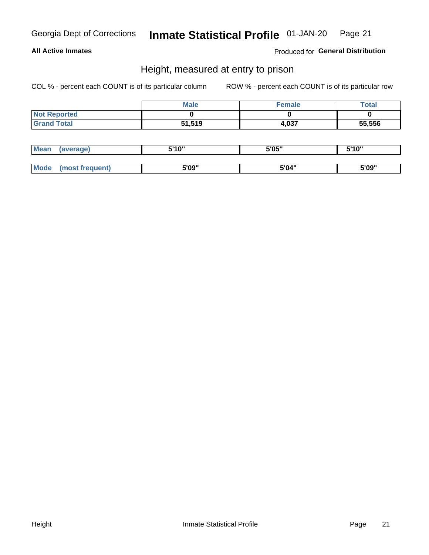### **All Active Inmates**

Produced for General Distribution

# Height, measured at entry to prison

COL % - percent each COUNT is of its particular column

|                     | <b>Male</b> | Female | Total  |
|---------------------|-------------|--------|--------|
| <b>Not Reported</b> |             |        |        |
| <b>Grand Total</b>  | 51,519      | 4,037  | 55,556 |

| Mean        | verage)       | 5'10" | 5'05" | ייח 1יי<br>. . U |
|-------------|---------------|-------|-------|------------------|
|             |               |       |       |                  |
| <b>Mode</b> | ost frequent) | 5'09" | 5'04" | 5'09"            |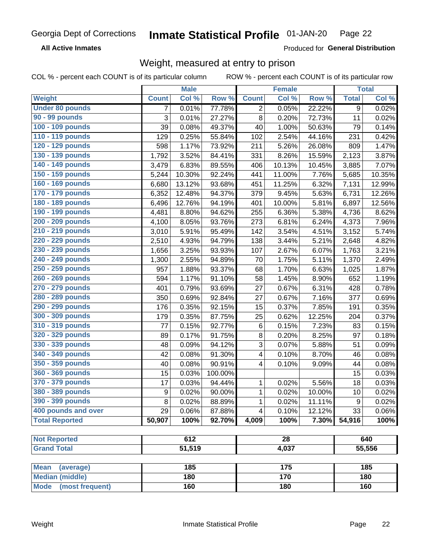**All Active Inmates** 

Produced for General Distribution

# Weight, measured at entry to prison

COL % - percent each COUNT is of its particular column ROW % - percent each COUNT is of its particular row

|                                |              | <b>Male</b> |         |                         | <b>Female</b> |        |                | <b>Total</b> |
|--------------------------------|--------------|-------------|---------|-------------------------|---------------|--------|----------------|--------------|
| <b>Weight</b>                  | <b>Count</b> | Col %       | Row %   | <b>Count</b>            | Col %         | Row %  | <b>Total</b>   | Col %        |
| <b>Under 80 pounds</b>         | 7            | 0.01%       | 77.78%  | $\overline{2}$          | 0.05%         | 22.22% | $\overline{9}$ | 0.02%        |
| 90 - 99 pounds                 | 3            | 0.01%       | 27.27%  | 8                       | 0.20%         | 72.73% | 11             | 0.02%        |
| 100 - 109 pounds               | 39           | 0.08%       | 49.37%  | 40                      | 1.00%         | 50.63% | 79             | 0.14%        |
| 110 - 119 pounds               | 129          | 0.25%       | 55.84%  | 102                     | 2.54%         | 44.16% | 231            | 0.42%        |
| 120 - 129 pounds               | 598          | 1.17%       | 73.92%  | 211                     | 5.26%         | 26.08% | 809            | 1.47%        |
| 130 - 139 pounds               | 1,792        | 3.52%       | 84.41%  | 331                     | 8.26%         | 15.59% | 2,123          | 3.87%        |
| 140 - 149 pounds               | 3,479        | 6.83%       | 89.55%  | 406                     | 10.13%        | 10.45% | 3,885          | 7.07%        |
| 150 - 159 pounds               | 5,244        | 10.30%      | 92.24%  | 441                     | 11.00%        | 7.76%  | 5,685          | 10.35%       |
| 160 - 169 pounds               | 6,680        | 13.12%      | 93.68%  | 451                     | 11.25%        | 6.32%  | 7,131          | 12.99%       |
| 170 - 179 pounds               | 6,352        | 12.48%      | 94.37%  | 379                     | 9.45%         | 5.63%  | 6,731          | 12.26%       |
| 180 - 189 pounds               | 6,496        | 12.76%      | 94.19%  | 401                     | 10.00%        | 5.81%  | 6,897          | 12.56%       |
| 190 - 199 pounds               | 4,481        | 8.80%       | 94.62%  | 255                     | 6.36%         | 5.38%  | 4,736          | 8.62%        |
| 200 - 209 pounds               | 4,100        | 8.05%       | 93.76%  | 273                     | 6.81%         | 6.24%  | 4,373          | 7.96%        |
| 210 - 219 pounds               | 3,010        | 5.91%       | 95.49%  | 142                     | 3.54%         | 4.51%  | 3,152          | 5.74%        |
| 220 - 229 pounds               | 2,510        | 4.93%       | 94.79%  | 138                     | 3.44%         | 5.21%  | 2,648          | 4.82%        |
| 230 - 239 pounds               | 1,656        | 3.25%       | 93.93%  | 107                     | 2.67%         | 6.07%  | 1,763          | 3.21%        |
| 240 - 249 pounds               | 1,300        | 2.55%       | 94.89%  | 70                      | 1.75%         | 5.11%  | 1,370          | 2.49%        |
| 250 - 259 pounds               | 957          | 1.88%       | 93.37%  | 68                      | 1.70%         | 6.63%  | 1,025          | 1.87%        |
| 260 - 269 pounds               | 594          | 1.17%       | 91.10%  | 58                      | 1.45%         | 8.90%  | 652            | 1.19%        |
| 270 - 279 pounds               | 401          | 0.79%       | 93.69%  | 27                      | 0.67%         | 6.31%  | 428            | 0.78%        |
| 280 - 289 pounds               | 350          | 0.69%       | 92.84%  | 27                      | 0.67%         | 7.16%  | 377            | 0.69%        |
| 290 - 299 pounds               | 176          | 0.35%       | 92.15%  | 15                      | 0.37%         | 7.85%  | 191            | 0.35%        |
| 300 - 309 pounds               | 179          | 0.35%       | 87.75%  | 25                      | 0.62%         | 12.25% | 204            | 0.37%        |
| 310 - 319 pounds               | 77           | 0.15%       | 92.77%  | 6                       | 0.15%         | 7.23%  | 83             | 0.15%        |
| 320 - 329 pounds               | 89           | 0.17%       | 91.75%  | 8                       | 0.20%         | 8.25%  | 97             | 0.18%        |
| 330 - 339 pounds               | 48           | 0.09%       | 94.12%  | 3                       | 0.07%         | 5.88%  | 51             | 0.09%        |
| 340 - 349 pounds               | 42           | 0.08%       | 91.30%  | $\overline{\mathbf{4}}$ | 0.10%         | 8.70%  | 46             | 0.08%        |
| 350 - 359 pounds               | 40           | 0.08%       | 90.91%  | 4                       | 0.10%         | 9.09%  | 44             | 0.08%        |
| 360 - 369 pounds               | 15           | 0.03%       | 100.00% |                         |               |        | 15             | 0.03%        |
| 370 - 379 pounds               | 17           | 0.03%       | 94.44%  | 1                       | 0.02%         | 5.56%  | 18             | 0.03%        |
| 380 - 389 pounds               | 9            | 0.02%       | 90.00%  | $\mathbf{1}$            | 0.02%         | 10.00% | 10             | 0.02%        |
| 390 - 399 pounds               | 8            | 0.02%       | 88.89%  | 1                       | 0.02%         | 11.11% | 9              | 0.02%        |
| 400 pounds and over            | 29           | 0.06%       | 87.88%  | 4                       | 0.10%         | 12.12% | 33             | 0.06%        |
| <b>Total Reported</b>          | 50,907       | 100%        | 92.70%  | 4,009                   | 100%          | 7.30%  | 54,916         | 100%         |
|                                |              |             |         |                         |               |        |                |              |
| <b>Not Reported</b>            |              | 612         |         |                         | 28            |        |                | 640          |
| <b>Grand Total</b>             |              | 51,519      |         |                         | 4,037         |        |                | 55,556       |
| <b>Mean</b><br>(average)       |              | 185         |         |                         | 175           |        |                | 185          |
| <b>Median (middle)</b>         |              | 180         |         |                         | 170           |        |                | 180          |
| <b>Mode</b><br>(most frequent) |              | 160         |         |                         | 180           |        |                | 160          |
|                                |              |             |         |                         |               |        |                |              |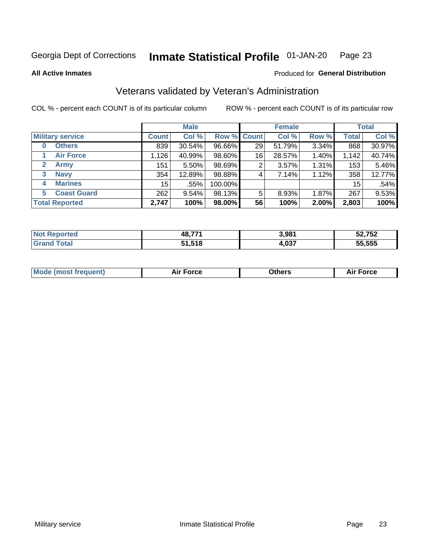#### **Inmate Statistical Profile 01-JAN-20** Page 23

**All Active Inmates** 

### Produced for General Distribution

# Veterans validated by Veteran's Administration

COL % - percent each COUNT is of its particular column

|                          |              | <b>Male</b> |         |       | <b>Female</b> |       |              | <b>Total</b> |
|--------------------------|--------------|-------------|---------|-------|---------------|-------|--------------|--------------|
| <b>Military service</b>  | <b>Count</b> | Col %       | Row %   | Count | Col %         | Row % | <b>Total</b> | Col %        |
| <b>Others</b><br>0       | 839          | 30.54%      | 96.66%  | 29    | 51.79%        | 3.34% | 868          | 30.97%       |
| <b>Air Force</b>         | 1,126        | 40.99%      | 98.60%  | 16    | 28.57%        | 1.40% | 1,142        | 40.74%       |
| <b>Army</b><br>2         | 151          | 5.50%       | 98.69%  | 2     | 3.57%         | 1.31% | 153          | 5.46%        |
| <b>Navy</b><br>3         | 354          | 12.89%      | 98.88%  | 4     | 7.14%         | 1.12% | 358          | 12.77%       |
| <b>Marines</b><br>4      | 15           | .55%        | 100.00% |       |               |       | 15           | .54%         |
| <b>Coast Guard</b><br>5. | 262          | $9.54\%$    | 98.13%  | 5     | 8.93%         | 1.87% | 267          | 9.53%        |
| <b>Total Reported</b>    | 2,747        | 100%        | 98.00%  | 56    | 100%          | 2.00% | 2,803        | 100%         |

| <b>Not</b><br>ported | 48,771 | 3,981 | 52,752 |
|----------------------|--------|-------|--------|
| <b>Fotal</b>         | 51,518 | 4,037 | 55,555 |

|  |  | <b>Mode (most frequent)</b> | <b>Force</b><br>Aır | วthers | orce |
|--|--|-----------------------------|---------------------|--------|------|
|--|--|-----------------------------|---------------------|--------|------|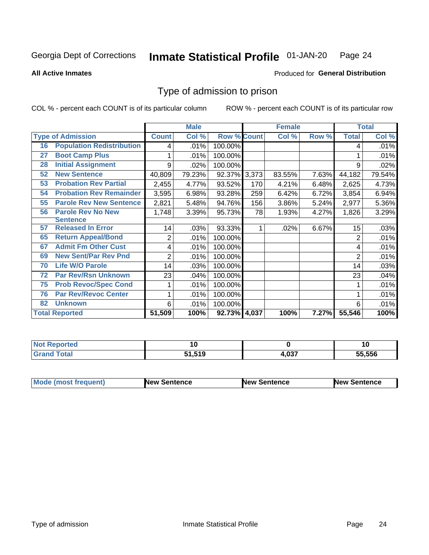#### Inmate Statistical Profile 01-JAN-20 Page 24

**All Active Inmates** 

### Produced for General Distribution

# Type of admission to prison

COL % - percent each COUNT is of its particular column

|    |                                  |              | <b>Male</b> |                    |     | <b>Female</b> |       |              | <b>Total</b> |
|----|----------------------------------|--------------|-------------|--------------------|-----|---------------|-------|--------------|--------------|
|    | <b>Type of Admission</b>         | <b>Count</b> | Col %       | <b>Row % Count</b> |     | Col %         | Row % | <b>Total</b> | Col %        |
| 16 | <b>Population Redistribution</b> | 4            | .01%        | 100.00%            |     |               |       | 4            | .01%         |
| 27 | <b>Boot Camp Plus</b>            |              | .01%        | 100.00%            |     |               |       |              | .01%         |
| 28 | <b>Initial Assignment</b>        | 9            | .02%        | 100.00%            |     |               |       | 9            | .02%         |
| 52 | <b>New Sentence</b>              | 40,809       | 79.23%      | 92.37% 3,373       |     | 83.55%        | 7.63% | 44,182       | 79.54%       |
| 53 | <b>Probation Rev Partial</b>     | 2,455        | 4.77%       | 93.52%             | 170 | 4.21%         | 6.48% | 2,625        | 4.73%        |
| 54 | <b>Probation Rev Remainder</b>   | 3,595        | 6.98%       | 93.28%             | 259 | 6.42%         | 6.72% | 3,854        | 6.94%        |
| 55 | <b>Parole Rev New Sentence</b>   | 2,821        | 5.48%       | 94.76%             | 156 | 3.86%         | 5.24% | 2,977        | 5.36%        |
| 56 | <b>Parole Rev No New</b>         | 1,748        | 3.39%       | 95.73%             | 78  | 1.93%         | 4.27% | 1,826        | 3.29%        |
|    | <b>Sentence</b>                  |              |             |                    |     |               |       |              |              |
| 57 | <b>Released In Error</b>         | 14           | .03%        | 93.33%             |     | .02%          | 6.67% | 15           | .03%         |
| 65 | <b>Return Appeal/Bond</b>        | 2            | .01%        | 100.00%            |     |               |       | 2            | .01%         |
| 67 | <b>Admit Fm Other Cust</b>       | 4            | .01%        | 100.00%            |     |               |       | 4            | .01%         |
| 69 | <b>New Sent/Par Rev Pnd</b>      | 2            | .01%        | 100.00%            |     |               |       | 2            | .01%         |
| 70 | <b>Life W/O Parole</b>           | 14           | .03%        | 100.00%            |     |               |       | 14           | .03%         |
| 72 | <b>Par Rev/Rsn Unknown</b>       | 23           | .04%        | 100.00%            |     |               |       | 23           | .04%         |
| 75 | <b>Prob Revoc/Spec Cond</b>      |              | .01%        | 100.00%            |     |               |       |              | .01%         |
| 76 | <b>Par Rev/Revoc Center</b>      |              | .01%        | 100.00%            |     |               |       |              | .01%         |
| 82 | <b>Unknown</b>                   | 6            | .01%        | 100.00%            |     |               |       | 6            | .01%         |
|    | <b>Total Reported</b>            | 51,509       | 100%        | 92.73% 4,037       |     | 100%          | 7.27% | 55,546       | 100%         |

| N<br>тео | . .<br>$-$                   |              | 1 V    |
|----------|------------------------------|--------------|--------|
| _____    | <b>540</b><br>. .<br>34<br>. | 027<br>"י טי | 55.556 |

| <b>Mode (most frequent)</b> | New Sentence | <b>New Sentence</b> | <b>New Sentence</b> |
|-----------------------------|--------------|---------------------|---------------------|
|                             |              |                     |                     |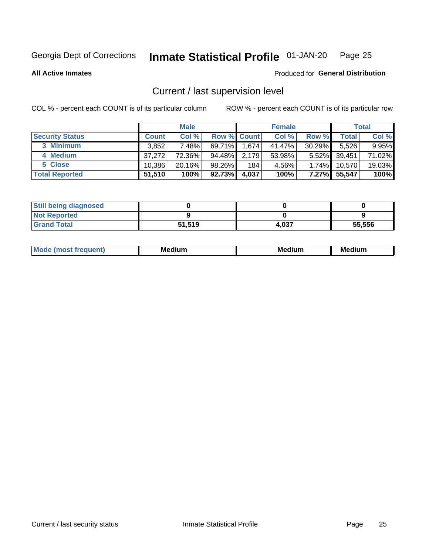#### Inmate Statistical Profile 01-JAN-20 Page 25

**All Active Inmates** 

# Produced for General Distribution

# Current / last supervision level

COL % - percent each COUNT is of its particular column

|                        |              | <b>Male</b> |                    |       | <b>Female</b> |           |              | <b>Total</b> |
|------------------------|--------------|-------------|--------------------|-------|---------------|-----------|--------------|--------------|
| <b>Security Status</b> | <b>Count</b> | Col %       | <b>Row % Count</b> |       | Col %         | Row %     | <b>Total</b> | Col %        |
| 3 Minimum              | 3,852        | 7.48%       | $69.71\%$          | 1,674 | 41.47%        | $30.29\%$ | 5,526        | $9.95\%$     |
| 4 Medium               | 37.272       | 72.36%      | 94.48%             | 2,179 | 53.98%        | $5.52\%$  | 39,451       | 71.02%       |
| 5 Close                | 10.386       | $20.16\%$   | 98.26%             | 184   | 4.56%         | $1.74\%$  | 10,570       | 19.03%       |
| <b>Total Reported</b>  | 51,510       | 100%        | 92.73%             | 4,037 | 100%          | $7.27\%$  | 55,547       | 100%         |

| <b>Still being diagnosed</b> |        |       |        |
|------------------------------|--------|-------|--------|
| <b>Not Reported</b>          |        |       |        |
| <b>Grand Total</b>           | 51,519 | 4.037 | 55,556 |

| $M_{\Omega}$ | Me<br>edium<br>____ | Мє<br>dium<br>_____ | Medium<br> |
|--------------|---------------------|---------------------|------------|
|              |                     |                     |            |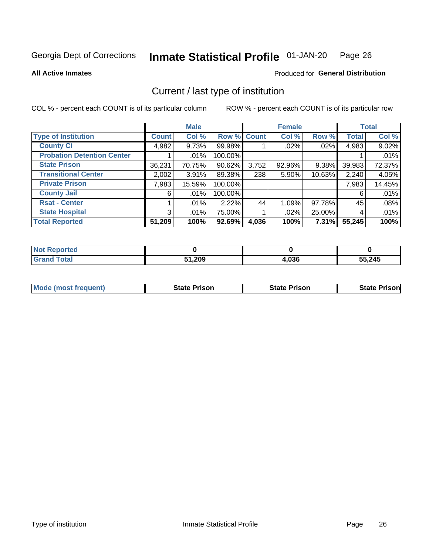#### Inmate Statistical Profile 01-JAN-20 Page 26

**All Active Inmates** 

### Produced for General Distribution

# Current / last type of institution

COL % - percent each COUNT is of its particular column

|                                   |                | <b>Male</b> |             |       | <b>Female</b> |        |              | <b>Total</b> |
|-----------------------------------|----------------|-------------|-------------|-------|---------------|--------|--------------|--------------|
| <b>Type of Institution</b>        | <b>Count</b>   | Col %       | Row % Count |       | Col %         | Row %  | <b>Total</b> | Col %        |
| <b>County Ci</b>                  | 4,982          | 9.73%       | 99.98%      |       | $.02\%$       | .02%   | 4,983        | 9.02%        |
| <b>Probation Detention Center</b> |                | .01%        | 100.00%     |       |               |        |              | .01%         |
| <b>State Prison</b>               | 36,231         | 70.75%      | 90.62%      | 3,752 | 92.96%        | 9.38%  | 39,983       | 72.37%       |
| <b>Transitional Center</b>        | 2,002          | $3.91\%$    | 89.38%      | 238   | $5.90\%$      | 10.63% | 2,240        | 4.05%        |
| <b>Private Prison</b>             | 7,983          | 15.59%      | 100.00%     |       |               |        | 7,983        | 14.45%       |
| <b>County Jail</b>                | 6              | .01%        | 100.00%     |       |               |        | 6            | .01%         |
| <b>Rsat - Center</b>              |                | .01%        | 2.22%       | 44    | 1.09%         | 97.78% | 45           | .08%         |
| <b>State Hospital</b>             | 3 <sup>1</sup> | .01%        | 75.00%      |       | .02%          | 25.00% | 4            | .01%         |
| <b>Total Reported</b>             | 51,209         | 100%        | 92.69%      | 4,036 | 100%          | 7.31%  | 55,245       | 100%         |

| $^{\dagger}$ Not $\cdot$<br>Reported |        |       |        |
|--------------------------------------|--------|-------|--------|
| Total                                | 51,209 | 4,036 | 55,245 |

| Mode (most frequent) | <b>State Prison</b> | <b>State Prison</b> | <b>State Prison</b> |
|----------------------|---------------------|---------------------|---------------------|
|                      |                     |                     |                     |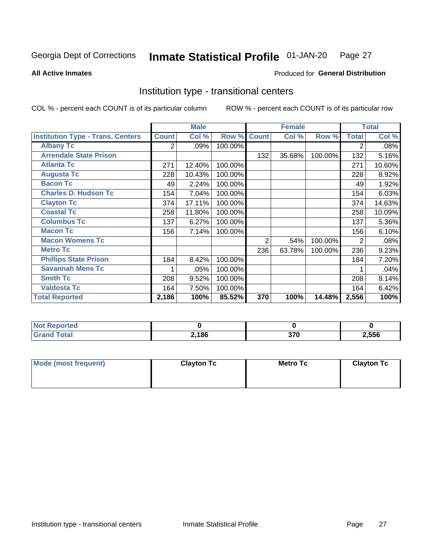#### Inmate Statistical Profile 01-JAN-20 Page 27

**All Active Inmates** 

### Produced for General Distribution

# Institution type - transitional centers

COL % - percent each COUNT is of its particular column

|                                          |                | <b>Male</b> |         |                | <b>Female</b> |         |              | <b>Total</b> |
|------------------------------------------|----------------|-------------|---------|----------------|---------------|---------|--------------|--------------|
| <b>Institution Type - Trans. Centers</b> | <b>Count</b>   | Col %       | Row %   | <b>Count</b>   | Col %         | Row %   | <b>Total</b> | Col %        |
| <b>Albany Tc</b>                         | $\overline{2}$ | .09%        | 100.00% |                |               |         | 2            | .08%         |
| <b>Arrendale State Prison</b>            |                |             |         | 132            | 35.68%        | 100.00% | 132          | 5.16%        |
| <b>Atlanta Tc</b>                        | 271            | 12.40%      | 100.00% |                |               |         | 271          | 10.60%       |
| <b>Augusta Tc</b>                        | 228            | 10.43%      | 100.00% |                |               |         | 228          | 8.92%        |
| <b>Bacon Tc</b>                          | 49             | 2.24%       | 100.00% |                |               |         | 49           | 1.92%        |
| <b>Charles D. Hudson Tc</b>              | 154            | 7.04%       | 100.00% |                |               |         | 154          | 6.03%        |
| <b>Clayton Tc</b>                        | 374            | 17.11%      | 100.00% |                |               |         | 374          | 14.63%       |
| <b>Coastal Tc</b>                        | 258            | 11.80%      | 100.00% |                |               |         | 258          | 10.09%       |
| <b>Columbus Tc</b>                       | 137            | 6.27%       | 100.00% |                |               |         | 137          | 5.36%        |
| <b>Macon Tc</b>                          | 156            | 7.14%       | 100.00% |                |               |         | 156          | 6.10%        |
| <b>Macon Womens Tc</b>                   |                |             |         | $\overline{2}$ | .54%          | 100.00% | 2            | .08%         |
| <b>Metro Tc</b>                          |                |             |         | 236            | 63.78%        | 100.00% | 236          | 9.23%        |
| <b>Phillips State Prison</b>             | 184            | 8.42%       | 100.00% |                |               |         | 184          | 7.20%        |
| <b>Savannah Mens Tc</b>                  | 1              | .05%        | 100.00% |                |               |         |              | .04%         |
| <b>Smith Tc</b>                          | 208            | 9.52%       | 100.00% |                |               |         | 208          | 8.14%        |
| <b>Valdosta Tc</b>                       | 164            | 7.50%       | 100.00% |                |               |         | 164          | 6.42%        |
| <b>Total Reported</b>                    | 2,186          | 100%        | 85.52%  | 370            | 100%          | 14.48%  | 2,556        | 100%         |

| <b>Reported</b><br><b>NOT</b> |                                   |             |       |
|-------------------------------|-----------------------------------|-------------|-------|
| `otal                         | 2,186<br>$\overline{\phantom{a}}$ | 270<br>JI U | 2,556 |

| Mode (most frequent) | <b>Clayton Tc</b> | Metro Tc | <b>Clayton Tc</b> |
|----------------------|-------------------|----------|-------------------|
|                      |                   |          |                   |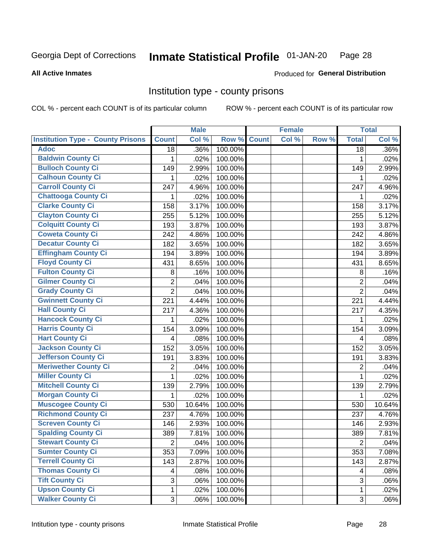#### Inmate Statistical Profile 01-JAN-20 Page 28

**All Active Inmates** 

Produced for General Distribution

## Institution type - county prisons

COL % - percent each COUNT is of its particular column

|                                          |                | <b>Male</b> |         |              | <b>Female</b> |       |                         | <b>Total</b> |
|------------------------------------------|----------------|-------------|---------|--------------|---------------|-------|-------------------------|--------------|
| <b>Institution Type - County Prisons</b> | <b>Count</b>   | Col %       | Row %   | <b>Count</b> | Col %         | Row % | <b>Total</b>            | Col %        |
| <b>Adoc</b>                              | 18             | .36%        | 100.00% |              |               |       | $\overline{18}$         | .36%         |
| <b>Baldwin County Ci</b>                 | 1              | .02%        | 100.00% |              |               |       | 1                       | .02%         |
| <b>Bulloch County Ci</b>                 | 149            | 2.99%       | 100.00% |              |               |       | 149                     | 2.99%        |
| <b>Calhoun County Ci</b>                 | 1              | .02%        | 100.00% |              |               |       | 1                       | .02%         |
| <b>Carroll County Ci</b>                 | 247            | 4.96%       | 100.00% |              |               |       | 247                     | 4.96%        |
| <b>Chattooga County Ci</b>               | 1              | .02%        | 100.00% |              |               |       | 1                       | .02%         |
| <b>Clarke County Ci</b>                  | 158            | 3.17%       | 100.00% |              |               |       | 158                     | 3.17%        |
| <b>Clayton County Ci</b>                 | 255            | 5.12%       | 100.00% |              |               |       | 255                     | 5.12%        |
| <b>Colquitt County Ci</b>                | 193            | 3.87%       | 100.00% |              |               |       | 193                     | 3.87%        |
| <b>Coweta County Ci</b>                  | 242            | 4.86%       | 100.00% |              |               |       | 242                     | 4.86%        |
| <b>Decatur County Ci</b>                 | 182            | 3.65%       | 100.00% |              |               |       | 182                     | 3.65%        |
| <b>Effingham County Ci</b>               | 194            | 3.89%       | 100.00% |              |               |       | 194                     | 3.89%        |
| <b>Floyd County Ci</b>                   | 431            | 8.65%       | 100.00% |              |               |       | 431                     | 8.65%        |
| <b>Fulton County Ci</b>                  | 8              | .16%        | 100.00% |              |               |       | 8                       | .16%         |
| <b>Gilmer County Ci</b>                  | $\overline{2}$ | .04%        | 100.00% |              |               |       | $\overline{2}$          | .04%         |
| <b>Grady County Ci</b>                   | $\overline{2}$ | .04%        | 100.00% |              |               |       | $\overline{2}$          | .04%         |
| <b>Gwinnett County Ci</b>                | 221            | 4.44%       | 100.00% |              |               |       | 221                     | 4.44%        |
| <b>Hall County Ci</b>                    | 217            | 4.36%       | 100.00% |              |               |       | 217                     | 4.35%        |
| <b>Hancock County Ci</b>                 | 1              | .02%        | 100.00% |              |               |       | 1                       | .02%         |
| <b>Harris County Ci</b>                  | 154            | 3.09%       | 100.00% |              |               |       | 154                     | 3.09%        |
| <b>Hart County Ci</b>                    | 4              | .08%        | 100.00% |              |               |       | $\overline{\mathbf{4}}$ | .08%         |
| <b>Jackson County Ci</b>                 | 152            | 3.05%       | 100.00% |              |               |       | 152                     | 3.05%        |
| <b>Jefferson County Ci</b>               | 191            | 3.83%       | 100.00% |              |               |       | 191                     | 3.83%        |
| <b>Meriwether County Ci</b>              | 2              | .04%        | 100.00% |              |               |       | $\overline{2}$          | .04%         |
| <b>Miller County Ci</b>                  | 1              | .02%        | 100.00% |              |               |       | $\mathbf{1}$            | .02%         |
| <b>Mitchell County Ci</b>                | 139            | 2.79%       | 100.00% |              |               |       | 139                     | 2.79%        |
| <b>Morgan County Ci</b>                  | 1              | .02%        | 100.00% |              |               |       | 1                       | .02%         |
| <b>Muscogee County Ci</b>                | 530            | 10.64%      | 100.00% |              |               |       | 530                     | 10.64%       |
| <b>Richmond County Ci</b>                | 237            | 4.76%       | 100.00% |              |               |       | 237                     | 4.76%        |
| <b>Screven County Ci</b>                 | 146            | 2.93%       | 100.00% |              |               |       | 146                     | 2.93%        |
| <b>Spalding County Ci</b>                | 389            | 7.81%       | 100.00% |              |               |       | 389                     | 7.81%        |
| <b>Stewart County Ci</b>                 | $\mathbf{2}$   | .04%        | 100.00% |              |               |       | $\overline{2}$          | .04%         |
| <b>Sumter County Ci</b>                  | 353            | 7.09%       | 100.00% |              |               |       | 353                     | 7.08%        |
| <b>Terrell County Ci</b>                 | 143            | 2.87%       | 100.00% |              |               |       | 143                     | 2.87%        |
| <b>Thomas County Ci</b>                  | 4              | .08%        | 100.00% |              |               |       | 4                       | .08%         |
| <b>Tift County Ci</b>                    | 3              | .06%        | 100.00% |              |               |       | 3                       | .06%         |
| <b>Upson County Ci</b>                   | 1              | .02%        | 100.00% |              |               |       | 1                       | .02%         |
| <b>Walker County Ci</b>                  | 3              | .06%        | 100.00% |              |               |       | 3                       | .06%         |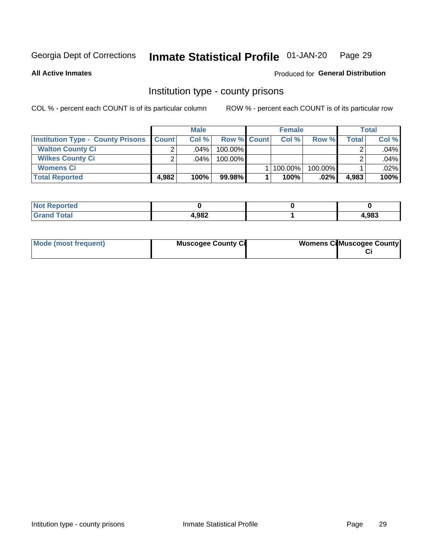#### Inmate Statistical Profile 01-JAN-20 Page 29

**All Active Inmates** 

### Produced for General Distribution

# Institution type - county prisons

COL % - percent each COUNT is of its particular column

|                                          |              | <b>Male</b> |                    | <b>Female</b> |         |       | <b>Total</b> |
|------------------------------------------|--------------|-------------|--------------------|---------------|---------|-------|--------------|
| <b>Institution Type - County Prisons</b> | <b>Count</b> | Col%        | <b>Row % Count</b> | Col%          | Row %   | Total | Col %        |
| <b>Walton County Ci</b>                  | ⌒            | $.04\%$     | 100.00%            |               |         |       | .04%         |
| <b>Wilkes County Ci</b>                  |              | $.04\%$     | 100.00%            |               |         |       | .04%         |
| <b>Womens Ci</b>                         |              |             |                    | 100.00%       | 100.00% |       | .02%         |
| <b>Total Reported</b>                    | 4.982        | 100%        | 99.98%             | 100%          | .02%    | 4,983 | 100%         |

| <b>Reported</b><br>$\sim$ |       |       |
|---------------------------|-------|-------|
|                           | 4,982 | 1,983 |

| Mode (most frequent) | <b>Muscogee County Ci</b> | <b>Womens CilMuscogee County</b> |
|----------------------|---------------------------|----------------------------------|
|                      |                           |                                  |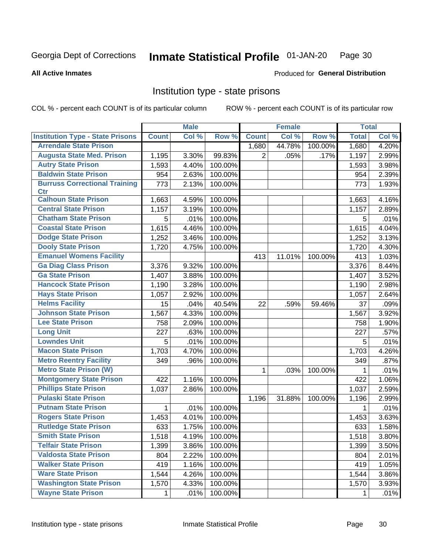#### Inmate Statistical Profile 01-JAN-20 Page 30

**All Active Inmates** 

### **Produced for General Distribution**

## Institution type - state prisons

COL % - percent each COUNT is of its particular column

|                                         |              | <b>Male</b> |         |                | <b>Female</b> |         | <b>Total</b> |       |
|-----------------------------------------|--------------|-------------|---------|----------------|---------------|---------|--------------|-------|
| <b>Institution Type - State Prisons</b> | <b>Count</b> | Col %       | Row %   | <b>Count</b>   | Col %         | Row %   | <b>Total</b> | Col % |
| <b>Arrendale State Prison</b>           |              |             |         | 1,680          | 44.78%        | 100.00% | 1,680        | 4.20% |
| <b>Augusta State Med. Prison</b>        | 1,195        | 3.30%       | 99.83%  | $\overline{2}$ | .05%          | .17%    | 1,197        | 2.99% |
| <b>Autry State Prison</b>               | 1,593        | 4.40%       | 100.00% |                |               |         | 1,593        | 3.98% |
| <b>Baldwin State Prison</b>             | 954          | 2.63%       | 100.00% |                |               |         | 954          | 2.39% |
| <b>Burruss Correctional Training</b>    | 773          | 2.13%       | 100.00% |                |               |         | 773          | 1.93% |
| <b>Ctr</b>                              |              |             |         |                |               |         |              |       |
| <b>Calhoun State Prison</b>             | 1,663        | 4.59%       | 100.00% |                |               |         | 1,663        | 4.16% |
| <b>Central State Prison</b>             | 1,157        | 3.19%       | 100.00% |                |               |         | 1,157        | 2.89% |
| <b>Chatham State Prison</b>             | 5            | .01%        | 100.00% |                |               |         | 5            | .01%  |
| <b>Coastal State Prison</b>             | 1,615        | 4.46%       | 100.00% |                |               |         | 1,615        | 4.04% |
| <b>Dodge State Prison</b>               | 1,252        | 3.46%       | 100.00% |                |               |         | 1,252        | 3.13% |
| <b>Dooly State Prison</b>               | 1,720        | 4.75%       | 100.00% |                |               |         | 1,720        | 4.30% |
| <b>Emanuel Womens Facility</b>          |              |             |         | 413            | 11.01%        | 100.00% | 413          | 1.03% |
| <b>Ga Diag Class Prison</b>             | 3,376        | 9.32%       | 100.00% |                |               |         | 3,376        | 8.44% |
| <b>Ga State Prison</b>                  | 1,407        | 3.88%       | 100.00% |                |               |         | 1,407        | 3.52% |
| <b>Hancock State Prison</b>             | 1,190        | 3.28%       | 100.00% |                |               |         | 1,190        | 2.98% |
| <b>Hays State Prison</b>                | 1,057        | 2.92%       | 100.00% |                |               |         | 1,057        | 2.64% |
| <b>Helms Facility</b>                   | 15           | .04%        | 40.54%  | 22             | .59%          | 59.46%  | 37           | .09%  |
| <b>Johnson State Prison</b>             | 1,567        | 4.33%       | 100.00% |                |               |         | 1,567        | 3.92% |
| <b>Lee State Prison</b>                 | 758          | 2.09%       | 100.00% |                |               |         | 758          | 1.90% |
| <b>Long Unit</b>                        | 227          | .63%        | 100.00% |                |               |         | 227          | .57%  |
| <b>Lowndes Unit</b>                     | 5            | .01%        | 100.00% |                |               |         | 5            | .01%  |
| <b>Macon State Prison</b>               | 1,703        | 4.70%       | 100.00% |                |               |         | 1,703        | 4.26% |
| <b>Metro Reentry Facility</b>           | 349          | .96%        | 100.00% |                |               |         | 349          | .87%  |
| <b>Metro State Prison (W)</b>           |              |             |         | 1              | .03%          | 100.00% | 1            | .01%  |
| <b>Montgomery State Prison</b>          | 422          | 1.16%       | 100.00% |                |               |         | 422          | 1.06% |
| <b>Phillips State Prison</b>            | 1,037        | 2.86%       | 100.00% |                |               |         | 1,037        | 2.59% |
| <b>Pulaski State Prison</b>             |              |             |         | 1,196          | 31.88%        | 100.00% | 1,196        | 2.99% |
| <b>Putnam State Prison</b>              | $\mathbf{1}$ | .01%        | 100.00% |                |               |         | 1            | .01%  |
| <b>Rogers State Prison</b>              | 1,453        | 4.01%       | 100.00% |                |               |         | 1,453        | 3.63% |
| <b>Rutledge State Prison</b>            | 633          | 1.75%       | 100.00% |                |               |         | 633          | 1.58% |
| <b>Smith State Prison</b>               | 1,518        | 4.19%       | 100.00% |                |               |         | 1,518        | 3.80% |
| <b>Telfair State Prison</b>             | 1,399        | 3.86%       | 100.00% |                |               |         | 1,399        | 3.50% |
| <b>Valdosta State Prison</b>            | 804          | 2.22%       | 100.00% |                |               |         | 804          | 2.01% |
| <b>Walker State Prison</b>              | 419          | 1.16%       | 100.00% |                |               |         | 419          | 1.05% |
| <b>Ware State Prison</b>                | 1,544        | 4.26%       | 100.00% |                |               |         | 1,544        | 3.86% |
| <b>Washington State Prison</b>          | 1,570        | 4.33%       | 100.00% |                |               |         | 1,570        | 3.93% |
| <b>Wayne State Prison</b>               | 1            | .01%        | 100.00% |                |               |         | 1            | .01%  |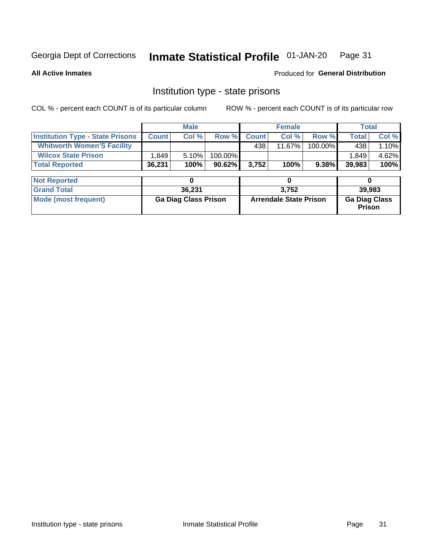#### Inmate Statistical Profile 01-JAN-20 Page 31

**All Active Inmates** 

Produced for General Distribution

# Institution type - state prisons

COL % - percent each COUNT is of its particular column

|                                         | <b>Male</b>                 |        |                               |              | <b>Female</b> | <b>Total</b>                          |              |       |
|-----------------------------------------|-----------------------------|--------|-------------------------------|--------------|---------------|---------------------------------------|--------------|-------|
| <b>Institution Type - State Prisons</b> | <b>Count</b>                | Col %  | Row %                         | <b>Count</b> | Col %         | Row %                                 | <b>Total</b> | Col % |
| <b>Whitworth Women'S Facility</b>       |                             |        |                               | 438          | 11.67%        | 100.00%                               | 438          | 1.10% |
| <b>Wilcox State Prison</b>              | 1,849                       | 5.10%  | 100.00%                       |              |               |                                       | 1,849        | 4.62% |
| <b>Total Reported</b>                   | 36,231                      | 100%   | 90.62%                        | 3,752        | 100%          | 9.38%                                 | 39,983       | 100%  |
| <b>Not Reported</b>                     |                             | 0      |                               |              | 0             |                                       | 0            |       |
| <b>Grand Total</b>                      |                             | 36,231 |                               | 3,752        |               |                                       | 39,983       |       |
| <b>Mode (most frequent)</b>             | <b>Ga Diag Class Prison</b> |        | <b>Arrendale State Prison</b> |              |               | <b>Ga Diag Class</b><br><b>Prison</b> |              |       |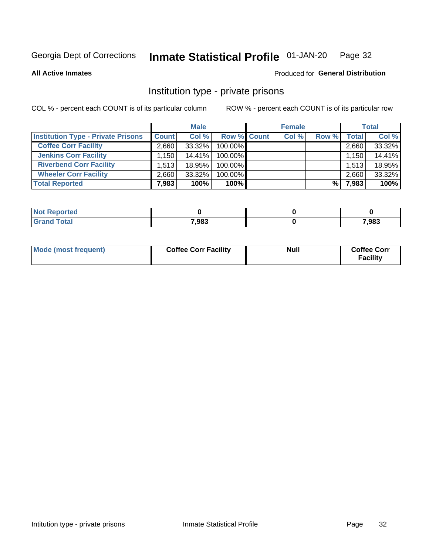#### Inmate Statistical Profile 01-JAN-20 Page 32

**All Active Inmates** 

### Produced for General Distribution

# Institution type - private prisons

COL % - percent each COUNT is of its particular column

|                                           |                   | <b>Male</b> |                    | <b>Female</b> |       |                    | <b>Total</b> |
|-------------------------------------------|-------------------|-------------|--------------------|---------------|-------|--------------------|--------------|
| <b>Institution Type - Private Prisons</b> | <b>Count</b>      | Col %       | <b>Row % Count</b> | Col %         | Row % | Total <sub>1</sub> | Col %        |
| <b>Coffee Corr Facility</b>               | 2.660             | 33.32%      | 100.00%            |               |       | 2,660              | 33.32%       |
| <b>Jenkins Corr Facility</b>              | .150 <sup>1</sup> | $14.41\%$   | $100.00\%$         |               |       | 1,150              | 14.41%       |
| <b>Riverbend Corr Facility</b>            | 1.513             | 18.95%      | 100.00%            |               |       | 1,513              | 18.95%       |
| <b>Wheeler Corr Facility</b>              | 2.660             | 33.32%      | 100.00%            |               |       | 2,660              | 33.32%       |
| <b>Total Reported</b>                     | 7,983             | 100%        | 100%               |               | %।    | 7,983              | 100%         |

| <b>Reported</b><br>' NO) - |       |       |
|----------------------------|-------|-------|
| <b>otal</b>                | 7,983 | 7,983 |

| Mode (most frequent) | <b>Coffee Corr Facility</b> | <b>Null</b> | <b>Coffee Corr</b><br><b>Facility</b> |
|----------------------|-----------------------------|-------------|---------------------------------------|
|----------------------|-----------------------------|-------------|---------------------------------------|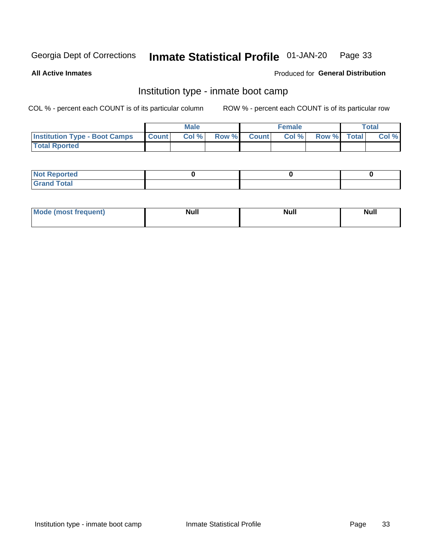#### Inmate Statistical Profile 01-JAN-20 Page 33

**All Active Inmates** 

### **Produced for General Distribution**

# Institution type - inmate boot camp

COL % - percent each COUNT is of its particular column

|                                      |                  | <b>Male</b> |              |              | <b>Female</b> |             | <b>Total</b> |
|--------------------------------------|------------------|-------------|--------------|--------------|---------------|-------------|--------------|
| <b>Institution Type - Boot Camps</b> | <b>I</b> Count I | Col %       | <b>Row %</b> | <b>Count</b> | Col %         | Row % Total | Col %        |
| <b>Total Rported</b>                 |                  |             |              |              |               |             |              |

| <b>Not Reported</b>            |  |  |
|--------------------------------|--|--|
| <b>Total</b><br>C <sub>r</sub> |  |  |

| Mod<br>uamo | Nul.<br>$- - - - - -$ | <b>Null</b> | . .<br>uu.<br>------ |
|-------------|-----------------------|-------------|----------------------|
|             |                       |             |                      |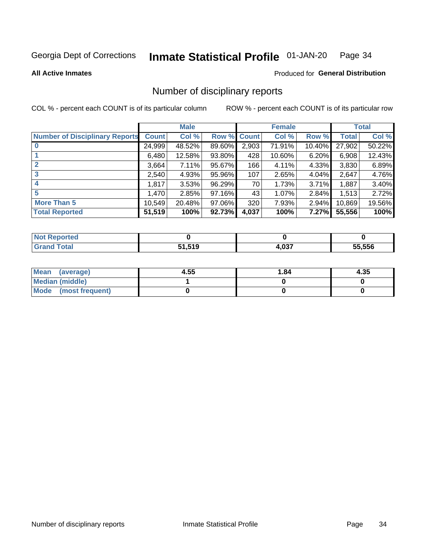#### Inmate Statistical Profile 01-JAN-20 Page 34

**All Active Inmates** 

### Produced for General Distribution

# Number of disciplinary reports

COL % - percent each COUNT is of its particular column

|                                       |              | <b>Male</b> |             |       | <b>Female</b> |        |        | <b>Total</b> |
|---------------------------------------|--------------|-------------|-------------|-------|---------------|--------|--------|--------------|
| <b>Number of Disciplinary Reports</b> | <b>Count</b> | Col %       | Row % Count |       | Col %         | Row %  | Total  | Col %        |
|                                       | 24,999       | 48.52%      | 89.60%      | 2,903 | 71.91%        | 10.40% | 27,902 | 50.22%       |
|                                       | 6,480        | 12.58%      | 93.80%      | 428   | 10.60%        | 6.20%  | 6,908  | 12.43%       |
|                                       | 3,664        | 7.11%       | 95.67%      | 166   | 4.11%         | 4.33%  | 3,830  | 6.89%        |
| 3                                     | 2,540        | 4.93%       | 95.96%      | 107   | 2.65%         | 4.04%  | 2,647  | 4.76%        |
|                                       | 1,817        | 3.53%       | 96.29%      | 70    | 1.73%         | 3.71%  | 1,887  | 3.40%        |
| 5                                     | .470         | 2.85%       | 97.16%      | 43    | 1.07%         | 2.84%  | 1,513  | 2.72%        |
| <b>More Than 5</b>                    | 10,549       | 20.48%      | 97.06%      | 320   | 7.93%         | 2.94%  | 10,869 | 19.56%       |
| <b>Total Reported</b>                 | 51,519       | 100%        | 92.73%      | 4,037 | 100%          | 7.27%  | 55,556 | 100%         |

| วrted<br>NO. |        |                     |        |
|--------------|--------|---------------------|--------|
| <b>Total</b> | 51,519 | <b>027</b><br>4,VJ. | 55.556 |

| Mean (average)       | 4.55 | 1.84 | 4.35 |
|----------------------|------|------|------|
| Median (middle)      |      |      |      |
| Mode (most frequent) |      |      |      |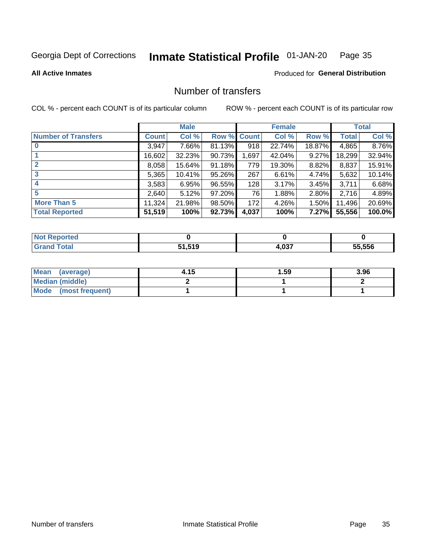#### Inmate Statistical Profile 01-JAN-20 Page 35

**All Active Inmates** 

### Produced for General Distribution

# Number of transfers

COL % - percent each COUNT is of its particular column

|                            |              | <b>Male</b> |             |       | <b>Female</b> |          |        | <b>Total</b> |
|----------------------------|--------------|-------------|-------------|-------|---------------|----------|--------|--------------|
| <b>Number of Transfers</b> | <b>Count</b> | Col %       | Row % Count |       | Col %         | Row %    | Total  | Col %        |
|                            | 3,947        | 7.66%       | 81.13%      | 918   | 22.74%        | 18.87%   | 4,865  | 8.76%        |
|                            | 16,602       | 32.23%      | 90.73%      | 1,697 | 42.04%        | $9.27\%$ | 18,299 | 32.94%       |
| $\mathbf{2}$               | 8,058        | 15.64%      | 91.18%      | 779   | 19.30%        | 8.82%    | 8,837  | 15.91%       |
| 3                          | 5,365        | 10.41%      | 95.26%      | 267   | 6.61%         | 4.74%    | 5,632  | 10.14%       |
|                            | 3,583        | 6.95%       | 96.55%      | 128   | 3.17%         | 3.45%    | 3,711  | 6.68%        |
| 5                          | 2,640        | 5.12%       | 97.20%      | 76    | 1.88%         | 2.80%    | 2,716  | 4.89%        |
| <b>More Than 5</b>         | 11,324       | 21.98%      | 98.50%      | 172   | 4.26%         | $1.50\%$ | 11,496 | 20.69%       |
| <b>Total Reported</b>      | 51,519       | 100%        | 92.73%      | 4,037 | 100%          | 7.27%    | 55,556 | 100.0%       |

| <b>Not Reported</b> |        |                |        |
|---------------------|--------|----------------|--------|
| <b>Total</b>        | 51,519 | . ሰ?7<br>4,UJ. | 55.556 |

| Mean (average)       | 4.15 | 1.59 | 3.96 |
|----------------------|------|------|------|
| Median (middle)      |      |      |      |
| Mode (most frequent) |      |      |      |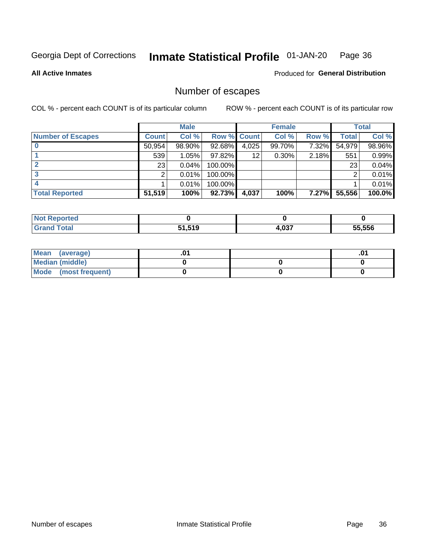#### Inmate Statistical Profile 01-JAN-20 Page 36

**All Active Inmates** 

Produced for General Distribution

# Number of escapes

COL % - percent each COUNT is of its particular column

|                          |              | <b>Male</b> |                    |       | <b>Female</b> |          |              | <b>Total</b> |
|--------------------------|--------------|-------------|--------------------|-------|---------------|----------|--------------|--------------|
| <b>Number of Escapes</b> | <b>Count</b> | Col %       | <b>Row % Count</b> |       | Col %         | Row %    | <b>Total</b> | Col %        |
|                          | 50,954       | 98.90%      | 92.68%             | 4,025 | 99.70%        | 7.32%    | 54,979       | 98.96%       |
|                          | 539          | 1.05%       | $97.82\%$          | 12    | $0.30\%$      | 2.18%    | 551          | 0.99%        |
|                          | 23           | 0.04%       | 100.00%            |       |               |          | 23           | 0.04%        |
|                          |              | 0.01%       | 100.00%            |       |               |          |              | 0.01%        |
|                          |              | 0.01%       | 100.00%            |       |               |          |              | 0.01%        |
| <b>Total Reported</b>    | 51,519       | 100%        | $92.73\%$          | 4,037 | 100%          | $7.27\%$ | 55,556       | 100.0%       |

| <b>Not Reported</b> |        |       |        |
|---------------------|--------|-------|--------|
| Total               | 51,519 | 4,037 | 55.556 |

| Mean (average)       |  | ו ש. |
|----------------------|--|------|
| Median (middle)      |  |      |
| Mode (most frequent) |  |      |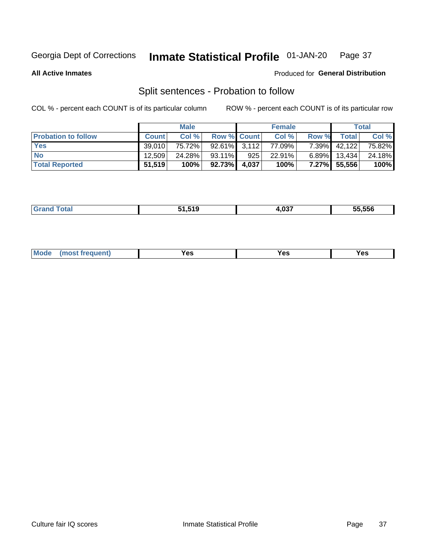#### Inmate Statistical Profile 01-JAN-20 Page 37

**All Active Inmates** 

### Produced for General Distribution

# Split sentences - Probation to follow

COL % - percent each COUNT is of its particular column

|                            |              | <b>Male</b> |                    |     | <b>Female</b> |          |        | <b>Total</b> |
|----------------------------|--------------|-------------|--------------------|-----|---------------|----------|--------|--------------|
| <b>Probation to follow</b> | <b>Count</b> | Col%        | <b>Row % Count</b> |     | Col %         | Row %    | Total  | Col %        |
| <b>Yes</b>                 | 39.010       | 75.72%      | $92.61\%$ 3.112    |     | 77.09%        | $7.39\%$ | 42,122 | 75.82%       |
| <b>No</b>                  | 12.509       | 24.28%      | 93.11%             | 925 | 22.91%        | $6.89\%$ | 13.434 | 24.18%       |
| <b>Total Reported</b>      | 51,519       | 100%        | 92.73% 4,037       |     | 100%          | $7.27\%$ | 55,556 | 100%         |

| ______ | <b>FA FAA</b><br>. | -ממ"<br>- 00 | 55.556 |
|--------|--------------------|--------------|--------|
|        |                    |              |        |

| <b>Mode</b><br>reauent)<br>Yes<br>v.c<br>0٥<br>.<br>. .<br>$\sim$ |
|-------------------------------------------------------------------|
|-------------------------------------------------------------------|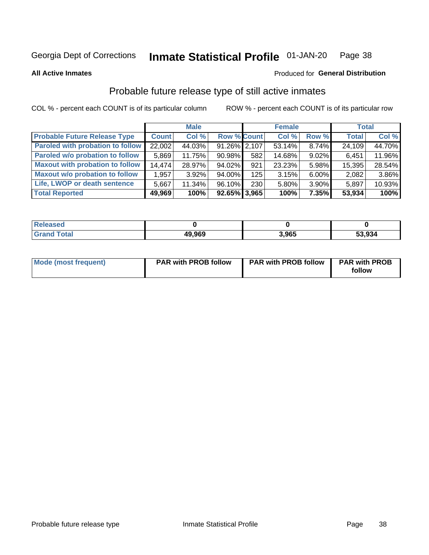### **Inmate Statistical Profile 01-JAN-20** Page 38

### **All Active Inmates**

# Produced for General Distribution

# Probable future release type of still active inmates

COL % - percent each COUNT is of its particular column

|                                         |              | <b>Male</b> |                    |     | <b>Female</b> |          | <b>Total</b> |        |
|-----------------------------------------|--------------|-------------|--------------------|-----|---------------|----------|--------------|--------|
| <b>Probable Future Release Type</b>     | <b>Count</b> | Col %       | <b>Row % Count</b> |     | Col %         | Row %    | <b>Total</b> | Col %  |
| <b>Paroled with probation to follow</b> | 22,002       | 44.03%      | 91.26% 2,107       |     | 53.14%        | 8.74%    | 24,109       | 44.70% |
| Paroled w/o probation to follow         | 5,869        | 11.75%      | $90.98\%$          | 582 | 14.68%        | $9.02\%$ | 6,451        | 11.96% |
| <b>Maxout with probation to follow</b>  | 14.474       | 28.97%      | 94.02%             | 921 | 23.23%        | 5.98%    | 15,395       | 28.54% |
| <b>Maxout w/o probation to follow</b>   | 1,957        | $3.92\%$    | 94.00%             | 125 | 3.15%         | $6.00\%$ | 2,082        | 3.86%  |
| Life, LWOP or death sentence            | 5,667        | 11.34%      | 96.10%             | 230 | 5.80%         | 3.90%    | 5,897        | 10.93% |
| <b>Total Reported</b>                   | 49,969       | 100%        | $92.65\%$ 3,965    |     | 100%          | 7.35%    | 53,934       | 100%   |

| 7560   |        |       |        |
|--------|--------|-------|--------|
| $F0+0$ | 49,969 | 3,965 | 53,934 |

| <b>Mode (most frequent)</b> | <b>PAR with PROB follow</b> | <b>PAR with PROB follow</b> | <b>PAR with PROB</b> |
|-----------------------------|-----------------------------|-----------------------------|----------------------|
|                             |                             |                             | follow               |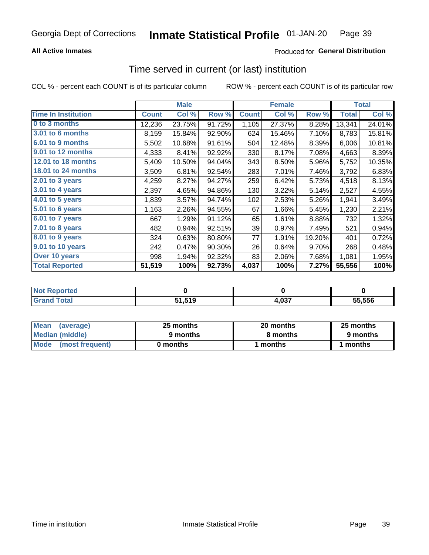## **All Active Inmates**

## Produced for General Distribution

## Time served in current (or last) institution

COL % - percent each COUNT is of its particular column

|                            |              | <b>Male</b> |        |              | <b>Female</b> |        |              | <b>Total</b> |
|----------------------------|--------------|-------------|--------|--------------|---------------|--------|--------------|--------------|
| <b>Time In Institution</b> | <b>Count</b> | Col %       | Row %  | <b>Count</b> | Col %         | Row %  | <b>Total</b> | Col %        |
| 0 to 3 months              | 12,236       | 23.75%      | 91.72% | 1,105        | 27.37%        | 8.28%  | 13,341       | 24.01%       |
| 3.01 to 6 months           | 8,159        | 15.84%      | 92.90% | 624          | 15.46%        | 7.10%  | 8,783        | 15.81%       |
| 6.01 to 9 months           | 5,502        | 10.68%      | 91.61% | 504          | 12.48%        | 8.39%  | 6,006        | 10.81%       |
| 9.01 to 12 months          | 4,333        | 8.41%       | 92.92% | 330          | 8.17%         | 7.08%  | 4,663        | 8.39%        |
| 12.01 to 18 months         | 5,409        | 10.50%      | 94.04% | 343          | 8.50%         | 5.96%  | 5,752        | 10.35%       |
| <b>18.01 to 24 months</b>  | 3,509        | 6.81%       | 92.54% | 283          | 7.01%         | 7.46%  | 3,792        | 6.83%        |
| $2.01$ to 3 years          | 4,259        | 8.27%       | 94.27% | 259          | 6.42%         | 5.73%  | 4,518        | 8.13%        |
| $3.01$ to 4 years          | 2,397        | 4.65%       | 94.86% | 130          | 3.22%         | 5.14%  | 2,527        | 4.55%        |
| 4.01 to 5 years            | 1,839        | 3.57%       | 94.74% | 102          | 2.53%         | 5.26%  | 1,941        | 3.49%        |
| 5.01 to 6 years            | 1,163        | 2.26%       | 94.55% | 67           | 1.66%         | 5.45%  | 1,230        | 2.21%        |
| 6.01 to 7 years            | 667          | 1.29%       | 91.12% | 65           | 1.61%         | 8.88%  | 732          | 1.32%        |
| 7.01 to 8 years            | 482          | 0.94%       | 92.51% | 39           | 0.97%         | 7.49%  | 521          | 0.94%        |
| $8.01$ to 9 years          | 324          | 0.63%       | 80.80% | 77           | 1.91%         | 19.20% | 401          | 0.72%        |
| 9.01 to 10 years           | 242          | 0.47%       | 90.30% | 26           | 0.64%         | 9.70%  | 268          | 0.48%        |
| Over 10 years              | 998          | 1.94%       | 92.32% | 83           | 2.06%         | 7.68%  | 1,081        | 1.95%        |
| <b>Total Reported</b>      | 51,519       | 100%        | 92.73% | 4,037        | 100%          | 7.27%  | 55,556       | 100%         |

| onred |                  |             |        |
|-------|------------------|-------------|--------|
| nta.  | 51 51Q<br>. . טו | 027<br>י כט | 55.556 |

| <b>Mean</b><br>(average) | 25 months | 20 months | 25 months |
|--------------------------|-----------|-----------|-----------|
| Median (middle)          | 9 months  | 8 months  | 9 months  |
| Mode<br>(most frequent)  | 0 months  | months    | ∖ months  |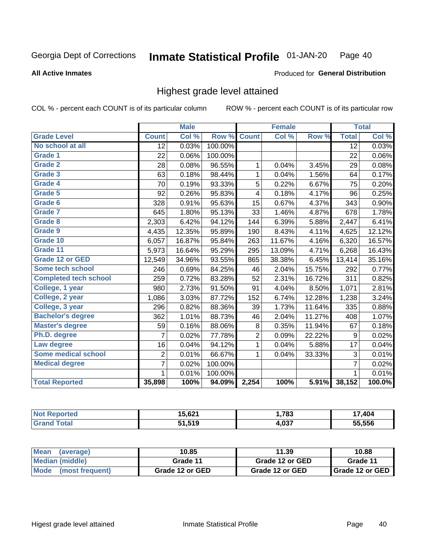### **All Active Inmates**

### Produced for General Distribution

## Highest grade level attained

COL % - percent each COUNT is of its particular column

|                              |                 | <b>Male</b> |         |                | <b>Female</b> |        |                  | <b>Total</b> |
|------------------------------|-----------------|-------------|---------|----------------|---------------|--------|------------------|--------------|
| <b>Grade Level</b>           | <b>Count</b>    | Col %       | Row %   | <b>Count</b>   | Col %         | Row %  | <b>Total</b>     | Col %        |
| No school at all             | $\overline{12}$ | 0.03%       | 100.00% |                |               |        | $\overline{12}$  | 0.03%        |
| <b>Grade 1</b>               | 22              | 0.06%       | 100.00% |                |               |        | 22               | $0.06\%$     |
| <b>Grade 2</b>               | 28              | 0.08%       | 96.55%  | 1              | 0.04%         | 3.45%  | 29               | 0.08%        |
| Grade 3                      | 63              | 0.18%       | 98.44%  | $\mathbf{1}$   | 0.04%         | 1.56%  | 64               | 0.17%        |
| Grade 4                      | 70              | 0.19%       | 93.33%  | 5              | 0.22%         | 6.67%  | 75               | 0.20%        |
| Grade 5                      | 92              | 0.26%       | 95.83%  | 4              | 0.18%         | 4.17%  | 96               | 0.25%        |
| Grade 6                      | 328             | 0.91%       | 95.63%  | 15             | 0.67%         | 4.37%  | 343              | 0.90%        |
| <b>Grade 7</b>               | 645             | 1.80%       | 95.13%  | 33             | 1.46%         | 4.87%  | 678              | 1.78%        |
| Grade 8                      | 2,303           | 6.42%       | 94.12%  | 144            | 6.39%         | 5.88%  | 2,447            | 6.41%        |
| Grade 9                      | 4,435           | 12.35%      | 95.89%  | 190            | 8.43%         | 4.11%  | 4,625            | 12.12%       |
| Grade 10                     | 6,057           | 16.87%      | 95.84%  | 263            | 11.67%        | 4.16%  | 6,320            | 16.57%       |
| Grade 11                     | 5,973           | 16.64%      | 95.29%  | 295            | 13.09%        | 4.71%  | 6,268            | 16.43%       |
| <b>Grade 12 or GED</b>       | 12,549          | 34.96%      | 93.55%  | 865            | 38.38%        | 6.45%  | 13,414           | 35.16%       |
| <b>Some tech school</b>      | 246             | 0.69%       | 84.25%  | 46             | 2.04%         | 15.75% | 292              | 0.77%        |
| <b>Completed tech school</b> | 259             | 0.72%       | 83.28%  | 52             | 2.31%         | 16.72% | 311              | 0.82%        |
| College, 1 year              | 980             | 2.73%       | 91.50%  | 91             | 4.04%         | 8.50%  | 1,071            | 2.81%        |
| College, 2 year              | 1,086           | 3.03%       | 87.72%  | 152            | 6.74%         | 12.28% | 1,238            | 3.24%        |
| College, 3 year              | 296             | 0.82%       | 88.36%  | 39             | 1.73%         | 11.64% | 335              | 0.88%        |
| <b>Bachelor's degree</b>     | 362             | 1.01%       | 88.73%  | 46             | 2.04%         | 11.27% | 408              | 1.07%        |
| <b>Master's degree</b>       | 59              | 0.16%       | 88.06%  | 8              | 0.35%         | 11.94% | 67               | 0.18%        |
| Ph.D. degree                 | 7               | 0.02%       | 77.78%  | $\overline{c}$ | 0.09%         | 22.22% | $\boldsymbol{9}$ | 0.02%        |
| Law degree                   | 16              | 0.04%       | 94.12%  | $\mathbf{1}$   | 0.04%         | 5.88%  | 17               | 0.04%        |
| <b>Some medical school</b>   | 2               | 0.01%       | 66.67%  | 1              | 0.04%         | 33.33% | 3                | 0.01%        |
| <b>Medical degree</b>        | 7               | 0.02%       | 100.00% |                |               |        | $\overline{7}$   | 0.02%        |
|                              | 1               | 0.01%       | 100.00% |                |               |        | 1                | 0.01%        |
| <b>Total Reported</b>        | 35,898          | 100%        | 94.09%  | 2,254          | 100%          | 5.91%  | 38,152           | 100.0%       |

| $\overline{ }$<br>. . <del>.</del> . | ,783         | $\Lambda$ 0 $\Lambda$<br>. |
|--------------------------------------|--------------|----------------------------|
| 51,519                               | 027<br>4.UJ. | $F = F = \infty$           |

| ∣Mean<br>(average)   | 10.85           | 11.39           | 10.88           |  |
|----------------------|-----------------|-----------------|-----------------|--|
| Median (middle)      | Grade 11        | Grade 12 or GED | Grade 11        |  |
| Mode (most frequent) | Grade 12 or GED | Grade 12 or GED | Grade 12 or GED |  |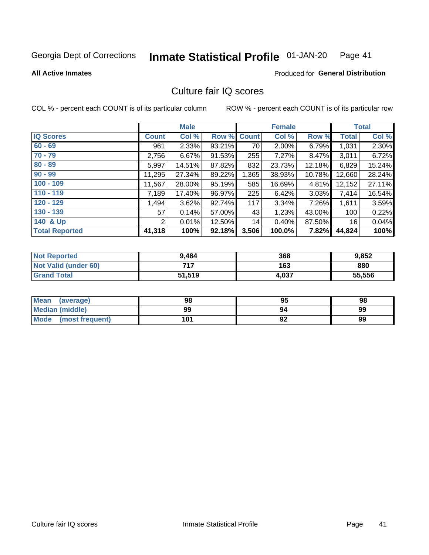#### Inmate Statistical Profile 01-JAN-20 Page 41

### **All Active Inmates**

## **Produced for General Distribution**

# Culture fair IQ scores

COL % - percent each COUNT is of its particular column

|                       |                | <b>Male</b> |        |              | <b>Female</b> |          |              | <b>Total</b> |
|-----------------------|----------------|-------------|--------|--------------|---------------|----------|--------------|--------------|
| <b>IQ Scores</b>      | <b>Count</b>   | Col %       | Row %  | <b>Count</b> | Col %         | Row %    | <b>Total</b> | Col %        |
| $60 - 69$             | 961            | 2.33%       | 93.21% | 70           | 2.00%         | 6.79%    | 1,031        | 2.30%        |
| $70 - 79$             | 2,756          | 6.67%       | 91.53% | 255          | 7.27%         | 8.47%    | 3,011        | 6.72%        |
| $80 - 89$             | 5,997          | 14.51%      | 87.82% | 832          | 23.73%        | 12.18%   | 6,829        | 15.24%       |
| $90 - 99$             | 11,295         | 27.34%      | 89.22% | 1,365        | 38.93%        | 10.78%   | 12,660       | 28.24%       |
| $100 - 109$           | 11,567         | 28.00%      | 95.19% | 585          | 16.69%        | 4.81%    | 12,152       | 27.11%       |
| $110 - 119$           | 7,189          | 17.40%      | 96.97% | 225          | 6.42%         | $3.03\%$ | 7,414        | 16.54%       |
| $120 - 129$           | 1,494          | 3.62%       | 92.74% | 117          | 3.34%         | 7.26%    | 1,611        | 3.59%        |
| $130 - 139$           | 57             | 0.14%       | 57.00% | 43           | 1.23%         | 43.00%   | 100          | 0.22%        |
| 140 & Up              | $\overline{2}$ | 0.01%       | 12.50% | 14           | 0.40%         | 87.50%   | 16           | 0.04%        |
| <b>Total Reported</b> | 41,318         | 100%        | 92.18% | 3,506        | 100.0%        | 7.82%    | 44,824       | 100%         |

| <b>Not Reported</b>         | 9.484  | 368   | 9,852  |
|-----------------------------|--------|-------|--------|
| <b>Not Valid (under 60)</b> | 717    | 163   | 880    |
| <b>Grand Total</b>          | 51,519 | 4,037 | 55,556 |

| <b>Mean</b><br>(average) | 98  | 95 | 98 |
|--------------------------|-----|----|----|
| Median (middle)          | 99  | 94 | 99 |
| Mode<br>(most frequent)  | 101 | 92 | 99 |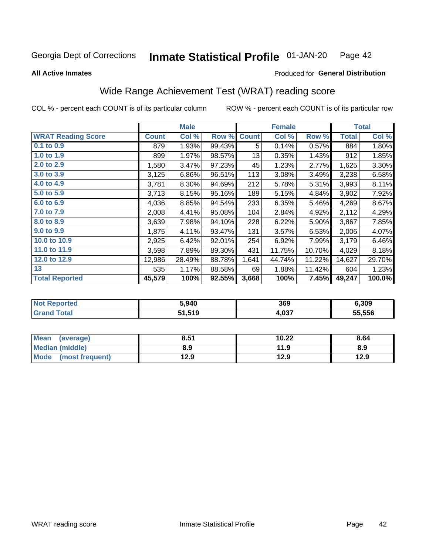#### **Inmate Statistical Profile 01-JAN-20** Page 42

**All Active Inmates** 

## Produced for General Distribution

# Wide Range Achievement Test (WRAT) reading score

COL % - percent each COUNT is of its particular column

|                           |              | <b>Male</b> |        |              | <b>Female</b> |        |              | <b>Total</b> |
|---------------------------|--------------|-------------|--------|--------------|---------------|--------|--------------|--------------|
| <b>WRAT Reading Score</b> | <b>Count</b> | Col %       | Row %  | <b>Count</b> | Col %         | Row %  | <b>Total</b> | Col %        |
| $0.1$ to $0.9$            | 879          | 1.93%       | 99.43% | 5            | 0.14%         | 0.57%  | 884          | 1.80%        |
| 1.0 to 1.9                | 899          | 1.97%       | 98.57% | 13           | 0.35%         | 1.43%  | 912          | 1.85%        |
| 2.0 to 2.9                | 1,580        | 3.47%       | 97.23% | 45           | 1.23%         | 2.77%  | 1,625        | 3.30%        |
| 3.0 to 3.9                | 3,125        | 6.86%       | 96.51% | 113          | 3.08%         | 3.49%  | 3,238        | 6.58%        |
| 4.0 to 4.9                | 3,781        | 8.30%       | 94.69% | 212          | 5.78%         | 5.31%  | 3,993        | 8.11%        |
| 5.0 to 5.9                | 3,713        | 8.15%       | 95.16% | 189          | 5.15%         | 4.84%  | 3,902        | 7.92%        |
| 6.0 to 6.9                | 4,036        | 8.85%       | 94.54% | 233          | 6.35%         | 5.46%  | 4,269        | 8.67%        |
| 7.0 to 7.9                | 2,008        | 4.41%       | 95.08% | 104          | 2.84%         | 4.92%  | 2,112        | 4.29%        |
| 8.0 to 8.9                | 3,639        | 7.98%       | 94.10% | 228          | 6.22%         | 5.90%  | 3,867        | 7.85%        |
| 9.0 to 9.9                | 1,875        | 4.11%       | 93.47% | 131          | 3.57%         | 6.53%  | 2,006        | 4.07%        |
| 10.0 to 10.9              | 2,925        | 6.42%       | 92.01% | 254          | 6.92%         | 7.99%  | 3,179        | 6.46%        |
| 11.0 to 11.9              | 3,598        | 7.89%       | 89.30% | 431          | 11.75%        | 10.70% | 4,029        | 8.18%        |
| 12.0 to 12.9              | 12,986       | 28.49%      | 88.78% | 1,641        | 44.74%        | 11.22% | 14,627       | 29.70%       |
| 13                        | 535          | 1.17%       | 88.58% | 69           | 1.88%         | 11.42% | 604          | 1.23%        |
| <b>Total Reported</b>     | 45,579       | 100%        | 92.55% | 3,668        | 100%          | 7.45%  | 49,247       | 100.0%       |

| ™reu.<br>NO | 5.940  | 369             | 6,309  |
|-------------|--------|-----------------|--------|
|             | 51,519 | $\sim$<br>4,0J. | 55.556 |

| <b>Mean</b><br>(average)       | 8.51 | 10.22 | 8.64 |
|--------------------------------|------|-------|------|
| <b>Median (middle)</b>         | 8.9  | 11.9  | 8.9  |
| <b>Mode</b><br>(most frequent) | 12.9 | 12.9  | 12.9 |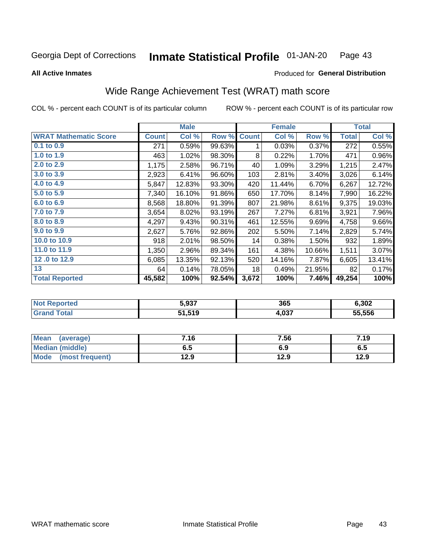#### **Inmate Statistical Profile 01-JAN-20** Page 43

**All Active Inmates** 

### Produced for General Distribution

# Wide Range Achievement Test (WRAT) math score

COL % - percent each COUNT is of its particular column

|                              |              | <b>Male</b> |        |              | <b>Female</b> |        |              | <b>Total</b> |
|------------------------------|--------------|-------------|--------|--------------|---------------|--------|--------------|--------------|
| <b>WRAT Mathematic Score</b> | <b>Count</b> | Col %       | Row %  | <b>Count</b> | Col %         | Row %  | <b>Total</b> | Col %        |
| $0.1$ to $0.9$               | 271          | 0.59%       | 99.63% | 1            | 0.03%         | 0.37%  | 272          | 0.55%        |
| 1.0 to 1.9                   | 463          | 1.02%       | 98.30% | 8            | 0.22%         | 1.70%  | 471          | 0.96%        |
| 2.0 to 2.9                   | 1,175        | 2.58%       | 96.71% | 40           | 1.09%         | 3.29%  | 1,215        | 2.47%        |
| 3.0 to 3.9                   | 2,923        | 6.41%       | 96.60% | 103          | 2.81%         | 3.40%  | 3,026        | 6.14%        |
| 4.0 to 4.9                   | 5,847        | 12.83%      | 93.30% | 420          | 11.44%        | 6.70%  | 6,267        | 12.72%       |
| 5.0 to 5.9                   | 7,340        | 16.10%      | 91.86% | 650          | 17.70%        | 8.14%  | 7,990        | 16.22%       |
| 6.0 to 6.9                   | 8,568        | 18.80%      | 91.39% | 807          | 21.98%        | 8.61%  | 9,375        | 19.03%       |
| 7.0 to 7.9                   | 3,654        | 8.02%       | 93.19% | 267          | 7.27%         | 6.81%  | 3,921        | 7.96%        |
| 8.0 to 8.9                   | 4,297        | 9.43%       | 90.31% | 461          | 12.55%        | 9.69%  | 4,758        | 9.66%        |
| 9.0 to 9.9                   | 2,627        | 5.76%       | 92.86% | 202          | 5.50%         | 7.14%  | 2,829        | 5.74%        |
| 10.0 to 10.9                 | 918          | 2.01%       | 98.50% | 14           | 0.38%         | 1.50%  | 932          | 1.89%        |
| 11.0 to 11.9                 | 1,350        | 2.96%       | 89.34% | 161          | 4.38%         | 10.66% | 1,511        | 3.07%        |
| 12.0 to 12.9                 | 6,085        | 13.35%      | 92.13% | 520          | 14.16%        | 7.87%  | 6,605        | 13.41%       |
| 13                           | 64           | 0.14%       | 78.05% | 18           | 0.49%         | 21.95% | 82           | 0.17%        |
| <b>Total Reported</b>        | 45,582       | 100%        | 92.54% | 3,672        | 100%          | 7.46%  | 49,254       | 100%         |

| <b>Not Reported</b>   | 5,937  | 365   | 6,302  |
|-----------------------|--------|-------|--------|
| <b>Total</b><br>Grand | 51,519 | 4,037 | 55,556 |

| Mean (average)       | 7.16 | 7.56 | 7.19 |
|----------------------|------|------|------|
| Median (middle)      | 6.5  | 6.9  | დ.g  |
| Mode (most frequent) | 12.9 | 12.9 | 12.9 |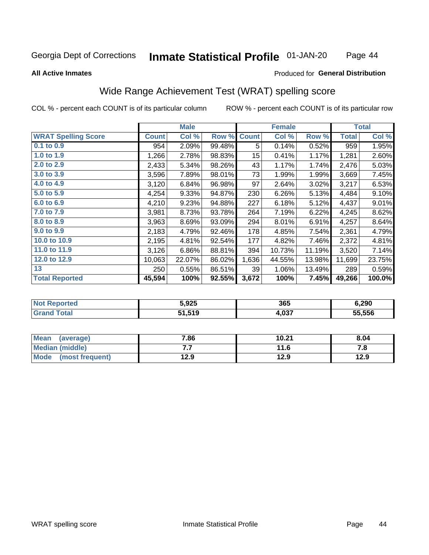### Inmate Statistical Profile 01-JAN-20 Page 44

### **All Active Inmates**

## Produced for General Distribution

# Wide Range Achievement Test (WRAT) spelling score

COL % - percent each COUNT is of its particular column

|                            |              | <b>Male</b> |        |                 | <b>Female</b> |        |              | <b>Total</b> |
|----------------------------|--------------|-------------|--------|-----------------|---------------|--------|--------------|--------------|
| <b>WRAT Spelling Score</b> | <b>Count</b> | Col %       | Row %  | <b>Count</b>    | Col %         | Row %  | <b>Total</b> | Col %        |
| 0.1 to 0.9                 | 954          | 2.09%       | 99.48% | 5               | 0.14%         | 0.52%  | 959          | 1.95%        |
| 1.0 to 1.9                 | 1,266        | 2.78%       | 98.83% | 15 <sub>1</sub> | 0.41%         | 1.17%  | 1,281        | 2.60%        |
| 2.0 to 2.9                 | 2,433        | 5.34%       | 98.26% | 43              | 1.17%         | 1.74%  | 2,476        | 5.03%        |
| 3.0 to 3.9                 | 3,596        | 7.89%       | 98.01% | 73              | 1.99%         | 1.99%  | 3,669        | 7.45%        |
| 4.0 to 4.9                 | 3,120        | 6.84%       | 96.98% | 97              | 2.64%         | 3.02%  | 3,217        | 6.53%        |
| 5.0 to 5.9                 | 4,254        | 9.33%       | 94.87% | 230             | 6.26%         | 5.13%  | 4,484        | 9.10%        |
| 6.0 to 6.9                 | 4,210        | 9.23%       | 94.88% | 227             | 6.18%         | 5.12%  | 4,437        | 9.01%        |
| 7.0 to 7.9                 | 3,981        | 8.73%       | 93.78% | 264             | 7.19%         | 6.22%  | 4,245        | 8.62%        |
| 8.0 to 8.9                 | 3,963        | 8.69%       | 93.09% | 294             | 8.01%         | 6.91%  | 4,257        | 8.64%        |
| 9.0 to 9.9                 | 2,183        | 4.79%       | 92.46% | 178             | 4.85%         | 7.54%  | 2,361        | 4.79%        |
| 10.0 to 10.9               | 2,195        | 4.81%       | 92.54% | 177             | 4.82%         | 7.46%  | 2,372        | 4.81%        |
| 11.0 to 11.9               | 3,126        | 6.86%       | 88.81% | 394             | 10.73%        | 11.19% | 3,520        | 7.14%        |
| 12.0 to 12.9               | 10,063       | 22.07%      | 86.02% | 1,636           | 44.55%        | 13.98% | 11,699       | 23.75%       |
| 13                         | 250          | 0.55%       | 86.51% | 39              | 1.06%         | 13.49% | 289          | 0.59%        |
| <b>Total Reported</b>      | 45,594       | 100%        | 92.55% | 3,672           | 100%          | 7.45%  | 49,266       | 100.0%       |

| NO | 5,925  | 365          | 6,290  |
|----|--------|--------------|--------|
|    | 51,519 | 027<br>4.VJ. | 55.556 |

| <b>Mean</b><br>(average) | 7.86 | 10.21 | 8.04 |
|--------------------------|------|-------|------|
| Median (middle)          | .    | 11.6  | ه. ، |
| Mode (most frequent)     | 12.9 | 12.9  | 12.9 |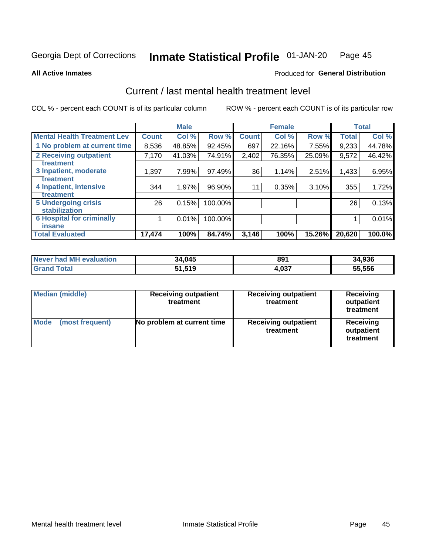#### Inmate Statistical Profile 01-JAN-20 Page 45

**All Active Inmates** 

## **Produced for General Distribution**

# Current / last mental health treatment level

COL % - percent each COUNT is of its particular column

|                                    |              | <b>Male</b> |         |              | <b>Female</b> |        |        | <b>Total</b> |
|------------------------------------|--------------|-------------|---------|--------------|---------------|--------|--------|--------------|
| <b>Mental Health Treatment Lev</b> | <b>Count</b> | Col %       | Row %   | <b>Count</b> | Col %         | Row %  | Total  | Col %        |
| 1 No problem at current time       | 8,536        | 48.85%      | 92.45%  | 697          | 22.16%        | 7.55%  | 9,233  | 44.78%       |
| 2 Receiving outpatient             | 7,170        | 41.03%      | 74.91%  | 2,402        | 76.35%        | 25.09% | 9,572  | 46.42%       |
| <b>Treatment</b>                   |              |             |         |              |               |        |        |              |
| 3 Inpatient, moderate              | 1,397        | 7.99%       | 97.49%  | 36           | 1.14%         | 2.51%  | 1,433  | 6.95%        |
| <b>Treatment</b>                   |              |             |         |              |               |        |        |              |
| 4 Inpatient, intensive             | 344          | 1.97%       | 96.90%  | 11           | 0.35%         | 3.10%  | 355    | 1.72%        |
| <b>Treatment</b>                   |              |             |         |              |               |        |        |              |
| 5 Undergoing crisis                | 26           | 0.15%       | 100.00% |              |               |        | 26     | 0.13%        |
| <b>stabilization</b>               |              |             |         |              |               |        |        |              |
| <b>6 Hospital for criminally</b>   |              | 0.01%       | 100.00% |              |               |        |        | 0.01%        |
| Tnsane                             |              |             |         |              |               |        |        |              |
| <b>Total Evaluated</b>             | 17,474       | 100%        | 84.74%  | 3,146        | 100%          | 15.26% | 20,620 | 100.0%       |

| Never had MH evaluation | 34,045 | 891   | 34,936 |
|-------------------------|--------|-------|--------|
| $\tau$ otal             | 51,519 | 4,037 | 55.556 |

| <b>Median (middle)</b>         | <b>Receiving outpatient</b><br>treatment | <b>Receiving outpatient</b><br>treatment | <b>Receiving</b><br>outpatient<br>treatment |  |  |
|--------------------------------|------------------------------------------|------------------------------------------|---------------------------------------------|--|--|
| <b>Mode</b><br>(most frequent) | No problem at current time               | <b>Receiving outpatient</b><br>treatment | Receiving<br>outpatient<br>treatment        |  |  |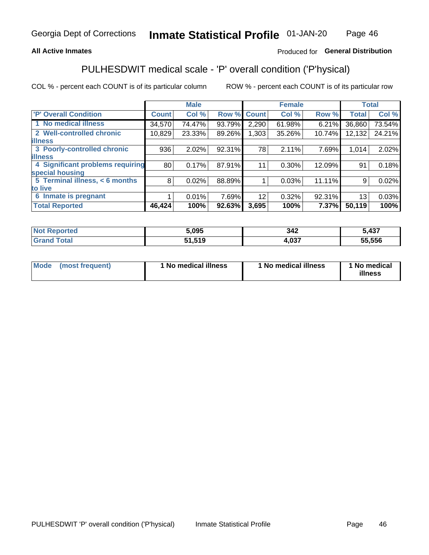## **All Active Inmates**

## Produced for General Distribution

# PULHESDWIT medical scale - 'P' overall condition ('P'hysical)

COL % - percent each COUNT is of its particular column

|                                  |                 | <b>Male</b> |        |              | <b>Female</b> |        |              | <b>Total</b> |
|----------------------------------|-----------------|-------------|--------|--------------|---------------|--------|--------------|--------------|
| <b>'P' Overall Condition</b>     | <b>Count</b>    | Col %       | Row %  | <b>Count</b> | Col %         | Row %  | <b>Total</b> | Col %        |
| 1 No medical illness             | 34,570          | 74.47%      | 93.79% | 2,290        | 61.98%        | 6.21%  | 36,860       | 73.54%       |
| 2 Well-controlled chronic        | 10,829          | 23.33%      | 89.26% | 1,303        | 35.26%        | 10.74% | 12,132       | 24.21%       |
| <b>lillness</b>                  |                 |             |        |              |               |        |              |              |
| 3 Poorly-controlled chronic      | 936             | 2.02%       | 92.31% | 78           | 2.11%         | 7.69%  | 1,014        | 2.02%        |
| <b>illness</b>                   |                 |             |        |              |               |        |              |              |
| 4 Significant problems requiring | 80 <sup>1</sup> | 0.17%       | 87.91% | 11           | 0.30%         | 12.09% | 91           | 0.18%        |
| special housing                  |                 |             |        |              |               |        |              |              |
| 5 Terminal illness, < 6 months   | 8               | 0.02%       | 88.89% |              | 0.03%         | 11.11% | 9            | 0.02%        |
| to live                          |                 |             |        |              |               |        |              |              |
| 6 Inmate is pregnant             |                 | 0.01%       | 7.69%  | 12           | 0.32%         | 92.31% | 13           | 0.03%        |
| <b>Total Reported</b>            | 46,424          | 100%        | 92.63% | 3,695        | 100%          | 7.37%  | 50,119       | 100%         |

| leu | 5,095        | 342  | 107<br>TJ 1 |
|-----|--------------|------|-------------|
|     | <b>F</b> 4 0 | .037 | 55.556      |

| Mode<br>(most frequent) |  | <sup>1</sup> No medical illness | 1 No medical illness | 1 No medical<br>illness |
|-------------------------|--|---------------------------------|----------------------|-------------------------|
|-------------------------|--|---------------------------------|----------------------|-------------------------|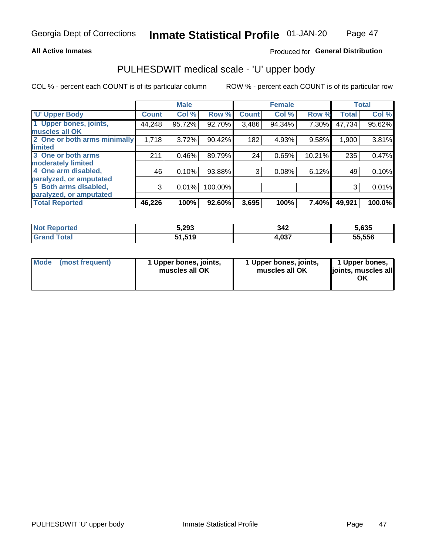### **All Active Inmates**

## Produced for General Distribution

# PULHESDWIT medical scale - 'U' upper body

COL % - percent each COUNT is of its particular column

|                              |              | <b>Male</b> |         |              | <b>Female</b> |        |              | <b>Total</b> |
|------------------------------|--------------|-------------|---------|--------------|---------------|--------|--------------|--------------|
| <b>U' Upper Body</b>         | <b>Count</b> | Col %       | Row %   | <b>Count</b> | Col %         | Row %  | <b>Total</b> | Col %        |
| 1 Upper bones, joints,       | 44,248       | 95.72%      | 92.70%  | 3,486        | 94.34%        | 7.30%  | 47,734       | 95.62%       |
| muscles all OK               |              |             |         |              |               |        |              |              |
| 2 One or both arms minimally | 1,718        | 3.72%       | 90.42%  | 182          | 4.93%         | 9.58%  | 1,900        | 3.81%        |
| limited                      |              |             |         |              |               |        |              |              |
| 3 One or both arms           | 211          | 0.46%       | 89.79%  | 24           | 0.65%         | 10.21% | 235          | 0.47%        |
| <b>moderately limited</b>    |              |             |         |              |               |        |              |              |
| 4 One arm disabled,          | 46           | 0.10%       | 93.88%  | 3            | 0.08%         | 6.12%  | 49           | 0.10%        |
| paralyzed, or amputated      |              |             |         |              |               |        |              |              |
| 5 Both arms disabled,        | 3            | 0.01%       | 100.00% |              |               |        | 3            | 0.01%        |
| paralyzed, or amputated      |              |             |         |              |               |        |              |              |
| <b>Total Reported</b>        | 46,226       | 100%        | 92.60%  | 3,695        | 100%          | 7.40%  | 49,921       | 100.0%       |

| <b>Not Reported</b> | 5,293  | 342   | 5,635  |
|---------------------|--------|-------|--------|
| <b>Grand Total</b>  | 51,519 | 4,037 | 55,556 |

|  | Mode (most frequent) | 1 Upper bones, joints,<br>muscles all OK | 1 Upper bones, joints,<br>muscles all OK | 1 Upper bones,<br>ljoints, muscles all<br>ΟK |
|--|----------------------|------------------------------------------|------------------------------------------|----------------------------------------------|
|--|----------------------|------------------------------------------|------------------------------------------|----------------------------------------------|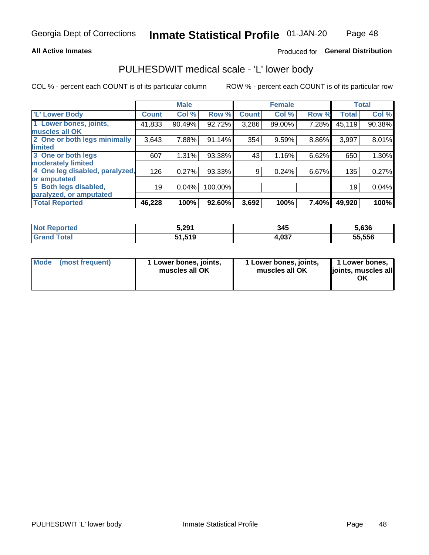### **All Active Inmates**

## Produced for General Distribution

# PULHESDWIT medical scale - 'L' lower body

COL % - percent each COUNT is of its particular column

|                                |              | <b>Male</b> |         |              | <b>Female</b> |       |              | <b>Total</b> |
|--------------------------------|--------------|-------------|---------|--------------|---------------|-------|--------------|--------------|
| 'L' Lower Body                 | <b>Count</b> | Col %       | Row %   | <b>Count</b> | Col %         | Row % | <b>Total</b> | Col %        |
| 1 Lower bones, joints,         | 41,833       | 90.49%      | 92.72%  | 3,286        | 89.00%        | 7.28% | 45,119       | 90.38%       |
| muscles all OK                 |              |             |         |              |               |       |              |              |
| 2 One or both legs minimally   | 3,643        | 7.88%       | 91.14%  | 354          | 9.59%         | 8.86% | 3,997        | 8.01%        |
| limited                        |              |             |         |              |               |       |              |              |
| 3 One or both legs             | 607          | 1.31%       | 93.38%  | 43           | 1.16%         | 6.62% | 650          | 1.30%        |
| moderately limited             |              |             |         |              |               |       |              |              |
| 4 One leg disabled, paralyzed, | 126          | 0.27%       | 93.33%  | 9            | 0.24%         | 6.67% | 135          | 0.27%        |
| or amputated                   |              |             |         |              |               |       |              |              |
| 5 Both legs disabled,          | 19           | 0.04%       | 100.00% |              |               |       | 19           | 0.04%        |
| paralyzed, or amputated        |              |             |         |              |               |       |              |              |
| <b>Total Reported</b>          | 46,228       | 100%        | 92.60%  | 3,692        | 100%          | 7.40% | 49,920       | 100%         |

| <b>Not Reported</b> | 5,291  | 345   | 5.636  |
|---------------------|--------|-------|--------|
| Total<br>'Grand     | 51,519 | 4,037 | 55.556 |

|  | Mode (most frequent) | 1 Lower bones, joints,<br>muscles all OK | 1 Lower bones, joints,<br>muscles all OK | 1 Lower bones,<br>joints, muscles all<br>ΟK |
|--|----------------------|------------------------------------------|------------------------------------------|---------------------------------------------|
|--|----------------------|------------------------------------------|------------------------------------------|---------------------------------------------|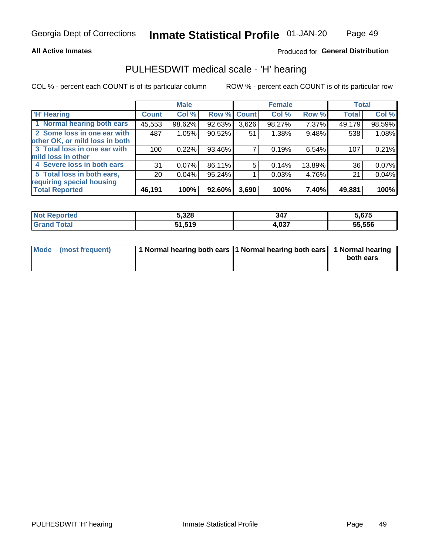### **All Active Inmates**

## Produced for General Distribution

## PULHESDWIT medical scale - 'H' hearing

COL % - percent each COUNT is of its particular column

|                                |              | <b>Male</b> |             |       | <b>Female</b> |        | <b>Total</b> |        |
|--------------------------------|--------------|-------------|-------------|-------|---------------|--------|--------------|--------|
| <b>'H' Hearing</b>             | <b>Count</b> | Col %       | Row % Count |       | Col %         | Row %  | <b>Total</b> | Col %  |
| 1 Normal hearing both ears     | 45,553       | 98.62%      | 92.63%      | 3,626 | 98.27%        | 7.37%  | 49,179       | 98.59% |
| 2 Some loss in one ear with    | 487          | 1.05%       | 90.52%      | 51    | 1.38%         | 9.48%  | 538          | 1.08%  |
| other OK, or mild loss in both |              |             |             |       |               |        |              |        |
| 3 Total loss in one ear with   | 100          | 0.22%       | 93.46%      |       | 0.19%         | 6.54%  | 107          | 0.21%  |
| mild loss in other             |              |             |             |       |               |        |              |        |
| 4 Severe loss in both ears     | 31           | 0.07%       | 86.11%      | 5     | 0.14%         | 13.89% | 36           | 0.07%  |
| 5 Total loss in both ears,     | 20           | 0.04%       | 95.24%      |       | 0.03%         | 4.76%  | 21           | 0.04%  |
| requiring special housing      |              |             |             |       |               |        |              |        |
| <b>Total Reported</b>          | 46,191       | 100%        | $92.60\%$   | 3,690 | 100%          | 7.40%  | 49,881       | 100%   |

| orted<br><b>NOT</b> | 5,328               | 347                         | ,675   |
|---------------------|---------------------|-----------------------------|--------|
| $f$ $f \circ f$     | 51 510<br>J I J I J | <b>027</b><br>H.UJ <i>I</i> | 55,556 |

| Mode (most frequent) | 1 Normal hearing both ears 11 Normal hearing both ears 1 Normal hearing | both ears |
|----------------------|-------------------------------------------------------------------------|-----------|
|                      |                                                                         |           |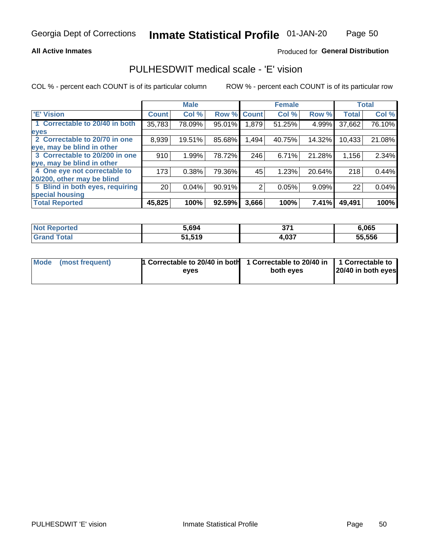### **All Active Inmates**

## Produced for General Distribution

## PULHESDWIT medical scale - 'E' vision

COL % - percent each COUNT is of its particular column

|                                 |              | <b>Male</b> |        |              | <b>Female</b> |        |              | <b>Total</b> |
|---------------------------------|--------------|-------------|--------|--------------|---------------|--------|--------------|--------------|
| <b>E' Vision</b>                | <b>Count</b> | Col %       | Row %  | <b>Count</b> | Col %         | Row %  | <b>Total</b> | Col %        |
| 1 Correctable to 20/40 in both  | 35,783       | 78.09%      | 95.01% | ا 879.ا      | 51.25%        | 4.99%  | 37,662       | 76.10%       |
| eyes                            |              |             |        |              |               |        |              |              |
| 2 Correctable to 20/70 in one   | 8,939        | 19.51%      | 85.68% | 1,494        | 40.75%        | 14.32% | 10,433       | 21.08%       |
| eye, may be blind in other      |              |             |        |              |               |        |              |              |
| 3 Correctable to 20/200 in one  | 910          | 1.99%       | 78.72% | 246          | 6.71%         | 21.28% | 1,156        | 2.34%        |
| eye, may be blind in other      |              |             |        |              |               |        |              |              |
| 4 One eye not correctable to    | 173          | 0.38%       | 79.36% | 45           | 1.23%         | 20.64% | 218          | 0.44%        |
| 20/200, other may be blind      |              |             |        |              |               |        |              |              |
| 5 Blind in both eyes, requiring | 20           | 0.04%       | 90.91% | 2            | 0.05%         | 9.09%  | 22           | 0.04%        |
| special housing                 |              |             |        |              |               |        |              |              |
| <b>Total Reported</b>           | 45,825       | 100%        | 92.59% | 3,666        | 100%          | 7.41%  | 49,491       | 100%         |

| <b>Not Reported</b> | 5,694  | 27'<br>υı | 6,065  |
|---------------------|--------|-----------|--------|
| <b>Total</b>        | 51,519 | 4,037     | 55,556 |

| Mode (most frequent) | 1 Correctable to 20/40 in both<br>eves | 1 Correctable to 20/40 in   1 Correctable to  <br>both eves | 20/40 in both eyes |
|----------------------|----------------------------------------|-------------------------------------------------------------|--------------------|
|                      |                                        |                                                             |                    |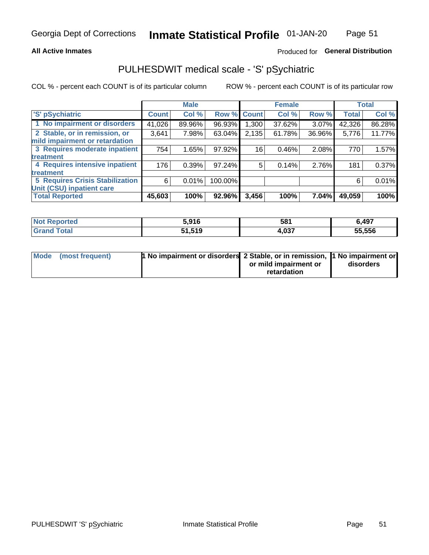### **All Active Inmates**

## Produced for General Distribution

# PULHESDWIT medical scale - 'S' pSychiatric

COL % - percent each COUNT is of its particular column

|                                        |              | <b>Male</b> |         |              | <b>Female</b> |          |              | <b>Total</b> |
|----------------------------------------|--------------|-------------|---------|--------------|---------------|----------|--------------|--------------|
| 'S' pSychiatric                        | <b>Count</b> | Col %       | Row %   | <b>Count</b> | Col %         | Row %    | <b>Total</b> | Col %        |
| 1 No impairment or disorders           | 41,026       | 89.96%      | 96.93%  | ا 300. ا     | 37.62%        | $3.07\%$ | 42,326       | 86.28%       |
| 2 Stable, or in remission, or          | 3,641        | 7.98%       | 63.04%  | 2,135        | 61.78%        | 36.96%   | 5,776        | 11.77%       |
| mild impairment or retardation         |              |             |         |              |               |          |              |              |
| 3 Requires moderate inpatient          | 754          | 1.65%       | 97.92%  | 16           | 0.46%         | 2.08%    | 770          | 1.57%        |
| treatment                              |              |             |         |              |               |          |              |              |
| 4 Requires intensive inpatient         | 176          | 0.39%       | 97.24%  | 5            | 0.14%         | 2.76%    | 181          | 0.37%        |
| treatment                              |              |             |         |              |               |          |              |              |
| <b>5 Requires Crisis Stabilization</b> | 6            | 0.01%       | 100.00% |              |               |          | 6            | 0.01%        |
| Unit (CSU) inpatient care              |              |             |         |              |               |          |              |              |
| <b>Total Reported</b>                  | 45,603       | 100%        | 92.96%  | 3,456        | 100%          | 7.04%    | 49,059       | 100%         |

| <b>Not Reported</b> | 5,916  | 581   | 6,497  |
|---------------------|--------|-------|--------|
| <b>Total</b>        | 51,519 | 4,037 | 55,556 |

| Mode (most frequent) | <b>t No impairment or disorders 2 Stable, or in remission, 1 No impairment or</b> |                       |           |
|----------------------|-----------------------------------------------------------------------------------|-----------------------|-----------|
|                      |                                                                                   | or mild impairment or | disorders |
|                      |                                                                                   | retardation           |           |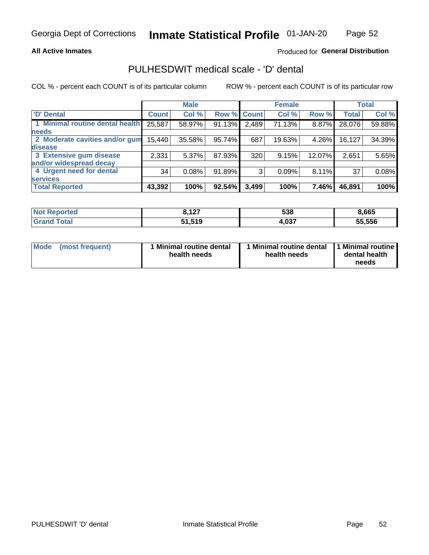## **All Active Inmates**

## Produced for General Distribution

# PULHESDWIT medical scale - 'D' dental

COL % - percent each COUNT is of its particular column

|                                 |              | <b>Male</b> |        |              | <b>Female</b> |          |              | <b>Total</b> |
|---------------------------------|--------------|-------------|--------|--------------|---------------|----------|--------------|--------------|
| <b>D'</b> Dental                | <b>Count</b> | Col %       | Row %  | <b>Count</b> | Col %         | Row %    | <b>Total</b> | Col %        |
| 1 Minimal routine dental health | 25,587       | 58.97%      | 91.13% | 2,489        | 71.13%        | $8.87\%$ | 28,076       | 59.88%       |
| <b>needs</b>                    |              |             |        |              |               |          |              |              |
| 2 Moderate cavities and/or gum  | 15,440       | 35.58%      | 95.74% | 687          | 19.63%        | 4.26%    | 16,127       | 34.39%       |
| disease                         |              |             |        |              |               |          |              |              |
| 3 Extensive gum disease         | 2,331        | 5.37%       | 87.93% | 320          | 9.15%         | 12.07%   | 2,651        | 5.65%        |
| and/or widespread decay         |              |             |        |              |               |          |              |              |
| 4 Urgent need for dental        | 34           | 0.08%       | 91.89% | 3            | 0.09%         | $8.11\%$ | 37           | 0.08%        |
| <b>services</b>                 |              |             |        |              |               |          |              |              |
| <b>Total Reported</b>           | 43,392       | 100%        | 92.54% | 3,499        | 100%          | 7.46%    | 46,891       | 100%         |

| orted<br>NOT. | 107<br>14I | 538   | 8,665  |
|---------------|------------|-------|--------|
| <b>Total</b>  | 51,519     | +,037 | 55.556 |

| <b>Mode</b> | (most frequent) | Minimal routine dental<br>health needs | 1 Minimal routine dental 11 Minimal routine<br>health needs | dental health<br>needs |
|-------------|-----------------|----------------------------------------|-------------------------------------------------------------|------------------------|
|-------------|-----------------|----------------------------------------|-------------------------------------------------------------|------------------------|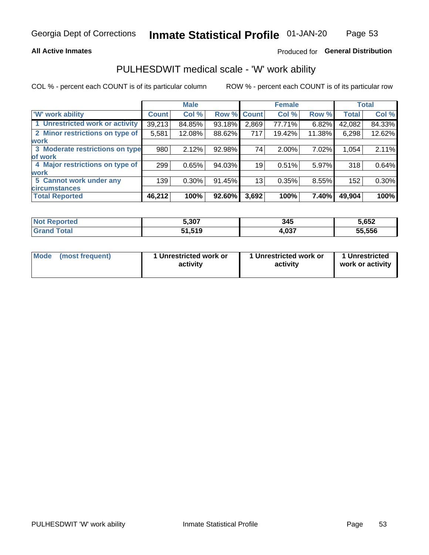### **All Active Inmates**

## Produced for General Distribution

# PULHESDWIT medical scale - 'W' work ability

COL % - percent each COUNT is of its particular column

|                                 |              | <b>Male</b> |        |             | <b>Female</b> |        |              | <b>Total</b> |
|---------------------------------|--------------|-------------|--------|-------------|---------------|--------|--------------|--------------|
| <b>W' work ability</b>          | <b>Count</b> | Col %       |        | Row % Count | Col %         | Row %  | <b>Total</b> | Col %        |
| 1 Unrestricted work or activity | 39,213       | 84.85%      | 93.18% | 2,869       | 77.71%        | 6.82%  | 42,082       | 84.33%       |
| 2 Minor restrictions on type of | 5,581        | 12.08%      | 88.62% | 717         | 19.42%        | 11.38% | 6,298        | 12.62%       |
| <b>work</b>                     |              |             |        |             |               |        |              |              |
| 3 Moderate restrictions on type | 980          | 2.12%       | 92.98% | 74          | 2.00%         | 7.02%  | 1,054        | 2.11%        |
| lof work                        |              |             |        |             |               |        |              |              |
| 4 Major restrictions on type of | 299          | 0.65%       | 94.03% | 19          | 0.51%         | 5.97%  | 318          | 0.64%        |
| <b>work</b>                     |              |             |        |             |               |        |              |              |
| 5 Cannot work under any         | 139          | $0.30\%$    | 91.45% | 13          | 0.35%         | 8.55%  | 152          | 0.30%        |
| <b>circumstances</b>            |              |             |        |             |               |        |              |              |
| <b>Total Reported</b>           | 46,212       | 100%        | 92.60% | 3,692       | 100%          | 7.40%  | 49,904       | 100%         |

| <b>Not Reported</b> | 5,307  | 345   | 5,652  |
|---------------------|--------|-------|--------|
| Total               | 51,519 | 4,037 | 55,556 |

| Mode            | 1 Unrestricted work or | 1 Unrestricted work or | 1 Unrestricted   |
|-----------------|------------------------|------------------------|------------------|
| (most frequent) | activity               | activity               | work or activity |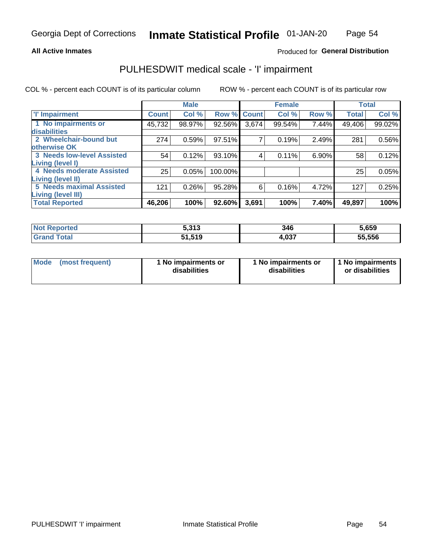## **All Active Inmates**

## Produced for General Distribution

# PULHESDWIT medical scale - 'I' impairment

COL % - percent each COUNT is of its particular column ROW % - percent each COUNT is of its particular row

|                                 |              | <b>Male</b> |             |       | <b>Female</b> |       |              | <b>Total</b> |
|---------------------------------|--------------|-------------|-------------|-------|---------------|-------|--------------|--------------|
| <b>T' Impairment</b>            | <b>Count</b> | Col %       | Row % Count |       | Col %         | Row % | <b>Total</b> | Col %        |
| 1 No impairments or             | 45,732       | 98.97%      | 92.56%      | 3,674 | 99.54%        | 7.44% | 49,406       | 99.02%       |
| disabilities                    |              |             |             |       |               |       |              |              |
| 2 Wheelchair-bound but          | 274          | 0.59%       | 97.51%      | 7     | 0.19%         | 2.49% | 281          | 0.56%        |
| otherwise OK                    |              |             |             |       |               |       |              |              |
| 3 Needs low-level Assisted      | 54           | 0.12%       | 93.10%      | 4     | 0.11%         | 6.90% | 58           | 0.12%        |
| <b>Living (level I)</b>         |              |             |             |       |               |       |              |              |
| 4 Needs moderate Assisted       | 25           | 0.05%       | 100.00%     |       |               |       | 25           | 0.05%        |
| <b>Living (level II)</b>        |              |             |             |       |               |       |              |              |
| <b>5 Needs maximal Assisted</b> | 121          | 0.26%       | 95.28%      | 6     | 0.16%         | 4.72% | 127          | 0.25%        |
| <b>Living (level III)</b>       |              |             |             |       |               |       |              |              |
| <b>Total Reported</b>           | 46,206       | 100%        | 92.60%      | 3,691 | 100%          | 7.40% | 49,897       | 100%         |

| oorted<br>NO) | こつイつ<br>ว.ง เ ง | 346   | 5,659  |
|---------------|-----------------|-------|--------|
| `otal         | 51,519          | 4,037 | 55,556 |

| Mode | (most frequent) | 1 No impairments or<br>disabilities | 1 No impairments or<br>disabilities | 1 No impairments<br>or disabilities |
|------|-----------------|-------------------------------------|-------------------------------------|-------------------------------------|
|------|-----------------|-------------------------------------|-------------------------------------|-------------------------------------|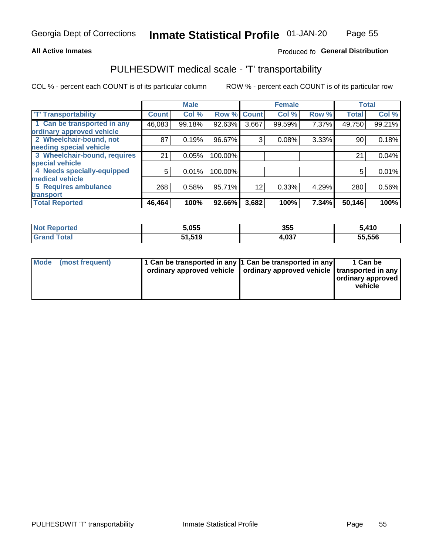## **All Active Inmates**

## Produced fo General Distribution

# PULHESDWIT medical scale - 'T' transportability

COL % - percent each COUNT is of its particular column

|                              |                    | <b>Male</b> |         |              | <b>Female</b> |       |              | <b>Total</b> |
|------------------------------|--------------------|-------------|---------|--------------|---------------|-------|--------------|--------------|
| <b>T' Transportability</b>   | Count <sup>!</sup> | Col %       | Row %   | <b>Count</b> | Col %         | Row % | <b>Total</b> | Col %        |
| 1 Can be transported in any  | 46,083             | 99.18%      | 92.63%  | 3,667        | 99.59%        | 7.37% | 49,750       | 99.21%       |
| ordinary approved vehicle    |                    |             |         |              |               |       |              |              |
| 2 Wheelchair-bound, not      | 87                 | 0.19%       | 96.67%  | 3            | 0.08%         | 3.33% | 90           | 0.18%        |
| needing special vehicle      |                    |             |         |              |               |       |              |              |
| 3 Wheelchair-bound, requires | 21                 | 0.05%       | 100.00% |              |               |       | 21           | 0.04%        |
| special vehicle              |                    |             |         |              |               |       |              |              |
| 4 Needs specially-equipped   | 5                  | 0.01%       | 100.00% |              |               |       | 5            | 0.01%        |
| medical vehicle              |                    |             |         |              |               |       |              |              |
| <b>5 Requires ambulance</b>  | 268                | 0.58%       | 95.71%  | 12           | 0.33%         | 4.29% | 280          | 0.56%        |
| transport                    |                    |             |         |              |               |       |              |              |
| <b>Total Reported</b>        | 46, 464            | 100%        | 92.66%  | 3,682        | 100%          | 7.34% | 50,146       | 100%         |

| orted | 5,055  | 355   | 5,410  |
|-------|--------|-------|--------|
|       | 51.519 | 1,037 | 55,556 |

|  | Mode (most frequent) | 1 Can be transported in any 1 Can be transported in any<br>ordinary approved vehicle   ordinary approved vehicle   transported in any |  | 1 Can be<br>  ordinary approved  <br>vehicle |
|--|----------------------|---------------------------------------------------------------------------------------------------------------------------------------|--|----------------------------------------------|
|--|----------------------|---------------------------------------------------------------------------------------------------------------------------------------|--|----------------------------------------------|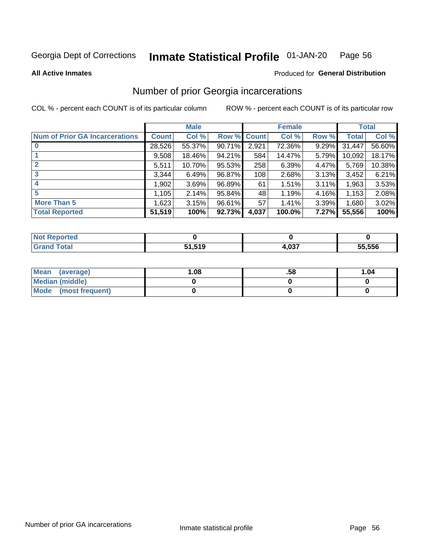#### **Inmate Statistical Profile 01-JAN-20** Page 56

**All Active Inmates** 

### **Produced for General Distribution**

# Number of prior Georgia incarcerations

COL % - percent each COUNT is of its particular column

|                                       |              | <b>Male</b> |                    |       | <b>Female</b> |       |        | <b>Total</b> |
|---------------------------------------|--------------|-------------|--------------------|-------|---------------|-------|--------|--------------|
| <b>Num of Prior GA Incarcerations</b> | <b>Count</b> | Col %       | <b>Row % Count</b> |       | Col %         | Row % | Total  | Col %        |
| $\bf{0}$                              | 28,526       | 55.37%      | 90.71%             | 2,921 | 72.36%        | 9.29% | 31,447 | 56.60%       |
|                                       | 9,508        | 18.46%      | 94.21%             | 584   | 14.47%        | 5.79% | 10,092 | 18.17%       |
| $\mathbf{2}$                          | 5,511        | 10.70%      | 95.53%             | 258   | 6.39%         | 4.47% | 5,769  | 10.38%       |
| 3                                     | 3,344        | 6.49%       | 96.87%             | 108   | 2.68%         | 3.13% | 3,452  | 6.21%        |
| 4                                     | 1,902        | 3.69%       | 96.89%             | 61    | 1.51%         | 3.11% | 1,963  | 3.53%        |
| 5                                     | 1,105        | 2.14%       | 95.84%             | 48'   | 1.19%         | 4.16% | 1,153  | 2.08%        |
| <b>More Than 5</b>                    | 1,623        | 3.15%       | 96.61%             | 57    | 1.41%         | 3.39% | 1,680  | 3.02%        |
| <b>Total Reported</b>                 | 51,519       | 100%        | 92.73%             | 4,037 | 100.0%        | 7.27% | 55,556 | 100%         |

| eported<br>NO1 |        |                   |        |
|----------------|--------|-------------------|--------|
| `otal<br>Gr:   | 51,519 | <b>027</b><br>,vj | 55,556 |

| Mean (average)         | 1.08 | .58 | 1.04 |
|------------------------|------|-----|------|
| <b>Median (middle)</b> |      |     |      |
| Mode (most frequent)   |      |     |      |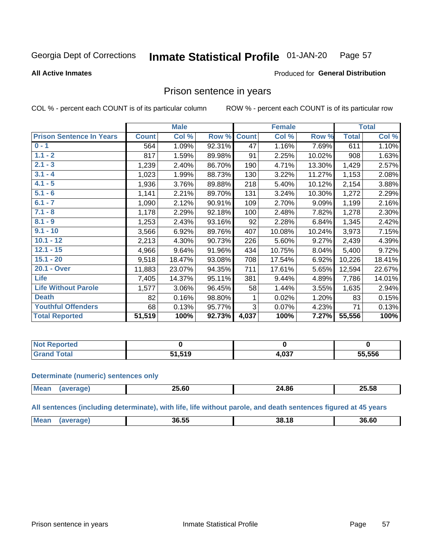#### **Inmate Statistical Profile 01-JAN-20** Page 57

**All Active Inmates** 

### Produced for General Distribution

## Prison sentence in years

COL % - percent each COUNT is of its particular column

ROW % - percent each COUNT is of its particular row

|                                 |              | <b>Male</b> |        |              | <b>Female</b> |        |              | <b>Total</b> |
|---------------------------------|--------------|-------------|--------|--------------|---------------|--------|--------------|--------------|
| <b>Prison Sentence In Years</b> | <b>Count</b> | Col %       | Row %  | <b>Count</b> | Col %         | Row %  | <b>Total</b> | Col %        |
| $0 - 1$                         | 564          | 1.09%       | 92.31% | 47           | 1.16%         | 7.69%  | 611          | 1.10%        |
| $1.1 - 2$                       | 817          | 1.59%       | 89.98% | 91           | 2.25%         | 10.02% | 908          | 1.63%        |
| $2.1 - 3$                       | 1,239        | 2.40%       | 86.70% | 190          | 4.71%         | 13.30% | 1,429        | 2.57%        |
| $3.1 - 4$                       | 1,023        | 1.99%       | 88.73% | 130          | 3.22%         | 11.27% | 1,153        | 2.08%        |
| $4.1 - 5$                       | 1,936        | 3.76%       | 89.88% | 218          | 5.40%         | 10.12% | 2,154        | 3.88%        |
| $5.1 - 6$                       | 1,141        | 2.21%       | 89.70% | 131          | 3.24%         | 10.30% | 1,272        | 2.29%        |
| $6.1 - 7$                       | 1,090        | 2.12%       | 90.91% | 109          | 2.70%         | 9.09%  | 1,199        | 2.16%        |
| $7.1 - 8$                       | 1,178        | 2.29%       | 92.18% | 100          | 2.48%         | 7.82%  | 1,278        | 2.30%        |
| $8.1 - 9$                       | 1,253        | 2.43%       | 93.16% | 92           | 2.28%         | 6.84%  | 1,345        | 2.42%        |
| $9.1 - 10$                      | 3,566        | 6.92%       | 89.76% | 407          | 10.08%        | 10.24% | 3,973        | 7.15%        |
| $10.1 - 12$                     | 2,213        | 4.30%       | 90.73% | 226          | 5.60%         | 9.27%  | 2,439        | 4.39%        |
| $12.1 - 15$                     | 4,966        | 9.64%       | 91.96% | 434          | 10.75%        | 8.04%  | 5,400        | 9.72%        |
| $15.1 - 20$                     | 9,518        | 18.47%      | 93.08% | 708          | 17.54%        | 6.92%  | 10,226       | 18.41%       |
| 20.1 - Over                     | 11,883       | 23.07%      | 94.35% | 711          | 17.61%        | 5.65%  | 12,594       | 22.67%       |
| <b>Life</b>                     | 7,405        | 14.37%      | 95.11% | 381          | 9.44%         | 4.89%  | 7,786        | 14.01%       |
| <b>Life Without Parole</b>      | 1,577        | 3.06%       | 96.45% | 58           | 1.44%         | 3.55%  | 1,635        | 2.94%        |
| <b>Death</b>                    | 82           | 0.16%       | 98.80% |              | 0.02%         | 1.20%  | 83           | 0.15%        |
| <b>Youthful Offenders</b>       | 68           | 0.13%       | 95.77% | 3            | 0.07%         | 4.23%  | 71           | 0.13%        |
| <b>Total Reported</b>           | 51,519       | 100%        | 92.73% | 4,037        | 100%          | 7.27%  | 55,556       | 100%         |

| <b>Not</b><br>Reported |                 |     |        |
|------------------------|-----------------|-----|--------|
| <b>cotal</b>           | <b>-40</b><br>. | 027 | 55,556 |

### **Determinate (numeric) sentences only**

| <b>Mean</b> | −∪.0U | 24.86 | 25.58 |
|-------------|-------|-------|-------|
|             |       |       |       |

All sentences (including determinate), with life, life without parole, and death sentences figured at 45 years

| Mean | 36.55 | 38.18 | 36.60 |
|------|-------|-------|-------|
|      |       |       |       |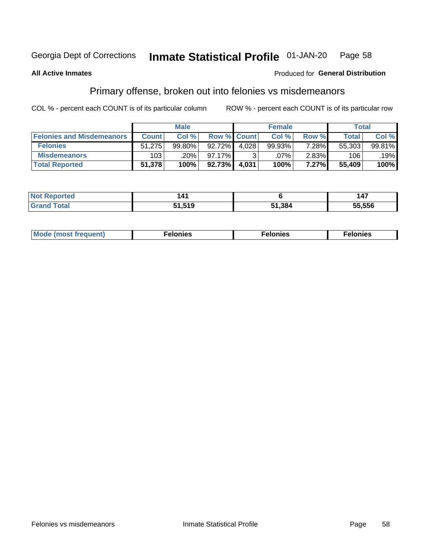#### Inmate Statistical Profile 01-JAN-20 Page 58

### **All Active Inmates**

### **Produced for General Distribution**

# Primary offense, broken out into felonies vs misdemeanors

COL % - percent each COUNT is of its particular column

|                                  | <b>Male</b>  |        |             | <b>Female</b> |         |          | Total        |        |  |
|----------------------------------|--------------|--------|-------------|---------------|---------|----------|--------------|--------|--|
| <b>Felonies and Misdemeanors</b> | <b>Count</b> | Col %  | Row % Count |               | Col %   | Row %    | <b>Total</b> | Col %  |  |
| <b>Felonies</b>                  | 51,275       | 99.80% | $92.72\%$   | 4.028         | 99.93%  | 7.28%    | 55,303       | 99.81% |  |
| <b>Misdemeanors</b>              | 103          | .20%   | 97.17%      |               | $.07\%$ | $2.83\%$ | 106          | .19%   |  |
| <b>Total Reported</b>            | 51,378       | 100%   | $92.73\%$   | 4,031         | 100%    | 7.27%    | 55,409       | 100%   |  |

| <b>Not Reported</b>   | 14.             |        |        |
|-----------------------|-----------------|--------|--------|
| Total<br><b>Grand</b> | 31 510<br>נו טו | 51,384 | 55.556 |

| M      | .    | nes | onies |
|--------|------|-----|-------|
| nuenti | ____ | .   | .     |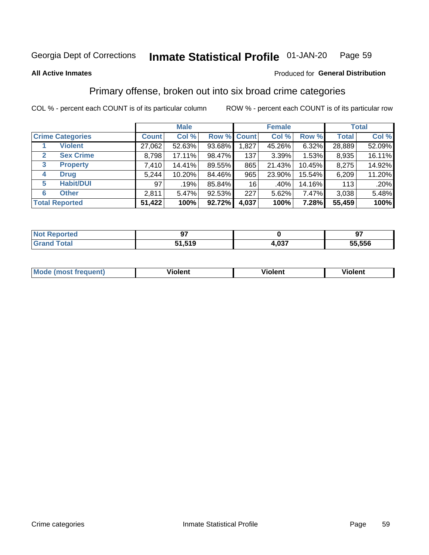### Inmate Statistical Profile 01-JAN-20 Page 59

**All Active Inmates** 

### Produced for General Distribution

# Primary offense, broken out into six broad crime categories

COL % - percent each COUNT is of its particular column

|   |                         | <b>Male</b>  |        |             | <b>Female</b> |        |          | <b>Total</b> |        |  |
|---|-------------------------|--------------|--------|-------------|---------------|--------|----------|--------------|--------|--|
|   | <b>Crime Categories</b> | <b>Count</b> | Col %  | Row % Count |               | Col %  | Row %    | <b>Total</b> | Col %  |  |
|   | <b>Violent</b>          | 27,062       | 52.63% | 93.68%      | 1,827         | 45.26% | 6.32%    | 28,889       | 52.09% |  |
| 2 | <b>Sex Crime</b>        | 8,798        | 17.11% | 98.47%      | 137           | 3.39%  | $1.53\%$ | 8,935        | 16.11% |  |
| 3 | <b>Property</b>         | 7,410        | 14.41% | 89.55%      | 865           | 21.43% | 10.45%   | 8,275        | 14.92% |  |
| 4 | <b>Drug</b>             | 5,244        | 10.20% | 84.46%      | 965           | 23.90% | 15.54%   | 6,209        | 11.20% |  |
| 5 | <b>Habit/DUI</b>        | 97           | .19%   | 85.84%      | 16            | .40%   | 14.16%   | 113          | .20%   |  |
| 6 | <b>Other</b>            | 2,811        | 5.47%  | 92.53%      | 227           | 5.62%  | 7.47%    | 3,038        | 5.48%  |  |
|   | <b>Total Reported</b>   | 51,422       | 100%   | 92.72%      | 4,037         | 100%   | 7.28%    | 55,459       | 100%   |  |

| rted<br>NO | --     |                 | רח     |
|------------|--------|-----------------|--------|
|            | 51,519 | $\sim$<br>ີ.∪ພ. | 55,556 |

| <b>Mode</b><br>t frequent)<br>THOS | .<br>iolent | 'iolent | <b>Violent</b> |
|------------------------------------|-------------|---------|----------------|
|                                    |             |         |                |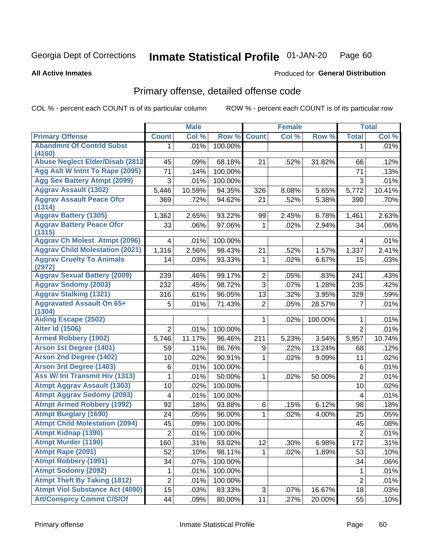#### **Inmate Statistical Profile 01-JAN-20** Page 60

### **All Active Inmates**

## **Produced for General Distribution**

# Primary offense, detailed offense code

COL % - percent each COUNT is of its particular column

|                                                   |                         | <b>Male</b> |                   |                  | <b>Female</b> |         |                | <b>Total</b> |
|---------------------------------------------------|-------------------------|-------------|-------------------|------------------|---------------|---------|----------------|--------------|
| <b>Primary Offense</b>                            | <b>Count</b>            | Col %       | Row %             | <b>Count</b>     | Col %         | Row %   | <b>Total</b>   | Col %        |
| <b>Abandmnt Of Contrid Subst</b>                  | 1                       | .01%        | 100.00%           |                  |               |         | 1              | .01%         |
| (4160)<br><b>Abuse Neglect Elder/Disab (2812)</b> |                         |             |                   |                  |               |         |                |              |
| Agg Asit W Intnt To Rape (2095)                   | 45                      | .09%        | 68.18%<br>100.00% | 21               | .52%          | 31.82%  | 66             | .12%         |
| <b>Agg Sex Battery Atmpt (2099)</b>               | 71                      | .14%        |                   |                  |               |         | 71             | .13%         |
| <b>Aggrav Assault (1302)</b>                      | 3                       | .01%        | 100.00%           |                  |               |         | 3              | .01%         |
|                                                   | 5,446                   | 10.59%      | 94.35%            | 326              | 8.08%         | 5.65%   | 5,772          | 10.41%       |
| <b>Aggrav Assault Peace Ofcr</b><br>(1314)        | 369                     | .72%        | 94.62%            | 21               | .52%          | 5.38%   | 390            | .70%         |
| <b>Aggrav Battery (1305)</b>                      | 1,362                   | 2.65%       | 93.22%            | 99               | 2.45%         | 6.78%   | 1,461          | 2.63%        |
| <b>Aggrav Battery Peace Ofcr</b><br>(1315)        | 33                      | .06%        | 97.06%            | 1                | .02%          | 2.94%   | 34             | .06%         |
| <b>Aggrav Ch Molest Atmpt (2096)</b>              | $\overline{4}$          | .01%        | 100.00%           |                  |               |         | 4              | .01%         |
| <b>Aggrav Child Molestation (2021)</b>            | 1,316                   | 2.56%       | 98.43%            | 21               | .52%          | 1.57%   | 1,337          | 2.41%        |
| <b>Aggrav Cruelty To Animals</b><br>(2972)        | 14                      | .03%        | 93.33%            | 1                | .02%          | 6.67%   | 15             | .03%         |
| <b>Aggrav Sexual Battery (2009)</b>               | 239                     | .46%        | 99.17%            | $\overline{2}$   | .05%          | .83%    | 241            | .43%         |
| <b>Aggrav Sodomy (2003)</b>                       | 232                     | .45%        | 98.72%            | $\overline{3}$   | .07%          | 1.28%   | 235            | .42%         |
| <b>Aggrav Stalking (1321)</b>                     | 316                     | .61%        | 96.05%            | 13               | .32%          | 3.95%   | 329            | .59%         |
| <b>Aggravated Assault On 65+</b><br>(1304)        | 5                       | .01%        | 71.43%            | $\overline{2}$   | .05%          | 28.57%  | 7              | .01%         |
| <b>Aiding Escape (2502)</b>                       |                         |             |                   | 1                | .02%          | 100.00% | 1              | .01%         |
| <b>Alter Id (1506)</b>                            | $\overline{2}$          | .01%        | 100.00%           |                  |               |         | $\overline{2}$ | .01%         |
| <b>Armed Robbery (1902)</b>                       | 5,746                   | 11.17%      | 96.46%            | 211              | 5.23%         | 3.54%   | 5,957          | 10.74%       |
| Arson 1st Degree (1401)                           | 59                      | .11%        | 86.76%            | $\boldsymbol{9}$ | .22%          | 13.24%  | 68             | .12%         |
| <b>Arson 2nd Degree (1402)</b>                    | 10                      | .02%        | 90.91%            | 1                | .02%          | 9.09%   | 11             | .02%         |
| <b>Arson 3rd Degree (1403)</b>                    | 6                       | .01%        | 100.00%           |                  |               |         | 6              | .01%         |
| Ass W/ Int Transmit Hiv (1313)                    | 1                       | .01%        | 50.00%            | 1                | .02%          | 50.00%  | $\overline{2}$ | .01%         |
| <b>Atmpt Aggrav Assault (1303)</b>                | 10                      | .02%        | 100.00%           |                  |               |         | 10             | .02%         |
| <b>Atmpt Aggrav Sodomy (2093)</b>                 | $\overline{\mathbf{4}}$ | .01%        | 100.00%           |                  |               |         | 4              | .01%         |
| <b>Atmpt Armed Robbery (1992)</b>                 | 92                      | .18%        | 93.88%            | 6                | .15%          | 6.12%   | 98             | .18%         |
| <b>Atmpt Burglary (1690)</b>                      | 24                      | .05%        | 96.00%            | 1                | .02%          | 4.00%   | 25             | .05%         |
| <b>Atmpt Child Molestation (2094)</b>             | 45                      | .09%        | 100.00%           |                  |               |         | 45             | .08%         |
| <b>Atmpt Kidnap (1390)</b>                        | $\overline{c}$          | .01%        | 100.00%           |                  |               |         | $\overline{2}$ | .01%         |
| <b>Atmpt Murder (1190)</b>                        | 160                     | .31%        | 93.02%            | 12               | .30%          | 6.98%   | 172            | .31%         |
| Atmpt Rape (2091)                                 | 52                      | .10%        | 98.11%            |                  | .02%          | 1.89%   | 53             | .10%         |
| <b>Atmpt Robbery (1991)</b>                       | 34                      | .07%        | 100.00%           |                  |               |         | 34             | .06%         |
| <b>Atmpt Sodomy (2092)</b>                        | 1                       | .01%        | 100.00%           |                  |               |         | 1              | .01%         |
| <b>Atmpt Theft By Taking (1812)</b>               | $\overline{c}$          | .01%        | 100.00%           |                  |               |         | $\overline{2}$ | .01%         |
| <b>Atmpt Viol Substance Act (4090)</b>            | 15                      | .03%        | 83.33%            | 3                | .07%          | 16.67%  | 18             | .03%         |
| <b>Att/Consprcy Commt C/S/Of</b>                  | 44                      | .09%        | 80.00%            | 11               | .27%          | 20.00%  | 55             | .10%         |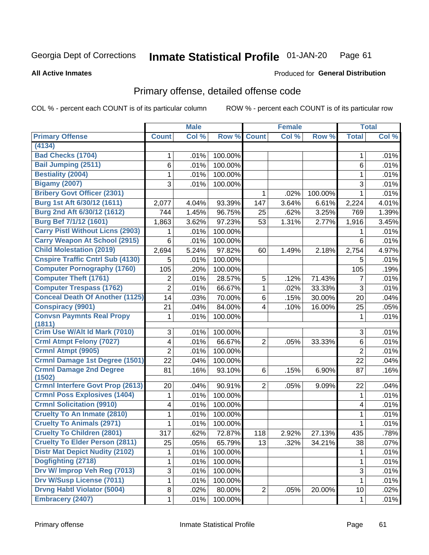#### Inmate Statistical Profile 01-JAN-20 Page 61

### **All Active Inmates**

## **Produced for General Distribution**

# Primary offense, detailed offense code

COL % - percent each COUNT is of its particular column

|                                            |                         | <b>Male</b> |         |                | <b>Female</b> |         |                | <b>Total</b> |
|--------------------------------------------|-------------------------|-------------|---------|----------------|---------------|---------|----------------|--------------|
| <b>Primary Offense</b>                     | <b>Count</b>            | Col %       | Row %   | <b>Count</b>   | Col %         | Row %   | <b>Total</b>   | Col %        |
| (4134)                                     |                         |             |         |                |               |         |                |              |
| <b>Bad Checks (1704)</b>                   | 1                       | .01%        | 100.00% |                |               |         | 1              | .01%         |
| <b>Bail Jumping (2511)</b>                 | 6                       | .01%        | 100.00% |                |               |         | 6              | .01%         |
| <b>Bestiality (2004)</b>                   | 1                       | .01%        | 100.00% |                |               |         | 1              | .01%         |
| <b>Bigamy (2007)</b>                       | 3                       | .01%        | 100.00% |                |               |         | 3              | .01%         |
| <b>Bribery Govt Officer (2301)</b>         |                         |             |         | 1              | .02%          | 100.00% | $\mathbf{1}$   | .01%         |
| Burg 1st Aft 6/30/12 (1611)                | 2,077                   | 4.04%       | 93.39%  | 147            | 3.64%         | 6.61%   | 2,224          | 4.01%        |
| Burg 2nd Aft 6/30/12 (1612)                | 744                     | 1.45%       | 96.75%  | 25             | .62%          | 3.25%   | 769            | 1.39%        |
| Burg Bef 7/1/12 (1601)                     | 1,863                   | 3.62%       | 97.23%  | 53             | 1.31%         | 2.77%   | 1,916          | 3.45%        |
| <b>Carry Pistl Without Licns (2903)</b>    |                         | .01%        | 100.00% |                |               |         | 1              | .01%         |
| <b>Carry Weapon At School (2915)</b>       | 6                       | .01%        | 100.00% |                |               |         | 6              | .01%         |
| <b>Child Molestation (2019)</b>            | 2,694                   | 5.24%       | 97.82%  | 60             | 1.49%         | 2.18%   | 2,754          | 4.97%        |
| <b>Cnspire Traffic Cntrl Sub (4130)</b>    | 5                       | .01%        | 100.00% |                |               |         | 5              | .01%         |
| <b>Computer Pornography (1760)</b>         | 105                     | .20%        | 100.00% |                |               |         | 105            | .19%         |
| <b>Computer Theft (1761)</b>               | 2                       | .01%        | 28.57%  | 5              | .12%          | 71.43%  | 7              | .01%         |
| <b>Computer Trespass (1762)</b>            | $\overline{2}$          | .01%        | 66.67%  | 1              | .02%          | 33.33%  | 3              | .01%         |
| <b>Conceal Death Of Another (1125)</b>     | 14                      | .03%        | 70.00%  | 6              | .15%          | 30.00%  | 20             | .04%         |
| <b>Conspiracy (9901)</b>                   | 21                      | .04%        | 84.00%  | 4              | .10%          | 16.00%  | 25             | .05%         |
| <b>Convsn Paymnts Real Propy</b><br>(1811) | 1                       | .01%        | 100.00% |                |               |         | 1              | .01%         |
| Crim Use W/Alt Id Mark (7010)              | 3                       | .01%        | 100.00% |                |               |         | 3              | .01%         |
| <b>Crml Atmpt Felony (7027)</b>            | $\overline{\mathbf{4}}$ | .01%        | 66.67%  | $\overline{2}$ | .05%          | 33.33%  | 6              | .01%         |
| <b>Crmnl Atmpt (9905)</b>                  | $\overline{2}$          | .01%        | 100.00% |                |               |         | $\overline{2}$ | .01%         |
| Crmnl Damage 1st Degree (1501)             | 22                      | .04%        | 100.00% |                |               |         | 22             | .04%         |
| <b>Crmnl Damage 2nd Degree</b>             | 81                      | .16%        | 93.10%  | 6              | .15%          | 6.90%   | 87             | .16%         |
| (1502)                                     |                         |             |         |                |               |         |                |              |
| <b>Crmnl Interfere Govt Prop (2613)</b>    | 20                      | .04%        | 90.91%  | $\overline{2}$ | .05%          | 9.09%   | 22             | .04%         |
| <b>Crmnl Poss Explosives (1404)</b>        | 1                       | .01%        | 100.00% |                |               |         | 1              | .01%         |
| <b>Crmnl Solicitation (9910)</b>           | 4                       | .01%        | 100.00% |                |               |         | 4              | .01%         |
| <b>Cruelty To An Inmate (2810)</b>         | 1                       | .01%        | 100.00% |                |               |         | 1              | .01%         |
| <b>Cruelty To Animals (2971)</b>           | 1                       | .01%        | 100.00% |                |               |         | 1              | .01%         |
| <b>Cruelty To Children (2801)</b>          | 317                     | .62%        | 72.87%  | 118            | 2.92%         | 27.13%  | 435            | .78%         |
| <b>Cruelty To Elder Person (2811)</b>      | 25                      | .05%        | 65.79%  | 13             | .32%          | 34.21%  | 38             | .07%         |
| <b>Distr Mat Depict Nudity (2102)</b>      |                         | .01%        | 100.00% |                |               |         | 1              | .01%         |
| Dogfighting (2718)                         | 1                       | .01%        | 100.00% |                |               |         | 1              | .01%         |
| Drv W/ Improp Veh Reg (7013)               | 3                       | .01%        | 100.00% |                |               |         | 3              | .01%         |
| <b>Drv W/Susp License (7011)</b>           | 1                       | .01%        | 100.00% |                |               |         | 1              | .01%         |
| <b>Drvng Habtl Violator (5004)</b>         | 8                       | .02%        | 80.00%  | $\overline{2}$ | .05%          | 20.00%  | 10             | .02%         |
| <b>Embracery (2407)</b>                    | $\mathbf{1}$            | .01%        | 100.00% |                |               |         | $\mathbf 1$    | .01%         |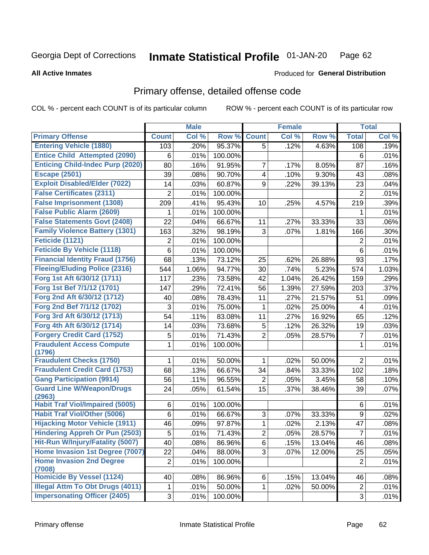#### Inmate Statistical Profile 01-JAN-20 Page 62

### **All Active Inmates**

# **Produced for General Distribution**

# Primary offense, detailed offense code

COL % - percent each COUNT is of its particular column

|                                            |                | <b>Male</b> |         |                | <b>Female</b> |        |                | <b>Total</b> |
|--------------------------------------------|----------------|-------------|---------|----------------|---------------|--------|----------------|--------------|
| <b>Primary Offense</b>                     | <b>Count</b>   | Col %       | Row %   | <b>Count</b>   | Col %         | Row %  | <b>Total</b>   | Col %        |
| <b>Entering Vehicle (1880)</b>             | 103            | .20%        | 95.37%  | 5              | .12%          | 4.63%  | 108            | .19%         |
| <b>Entice Child Attempted (2090)</b>       | 6              | .01%        | 100.00% |                |               |        | 6              | .01%         |
| <b>Enticing Child-Indec Purp (2020)</b>    | 80             | .16%        | 91.95%  | 7              | .17%          | 8.05%  | 87             | .16%         |
| <b>Escape (2501)</b>                       | 39             | .08%        | 90.70%  | 4              | .10%          | 9.30%  | 43             | .08%         |
| <b>Exploit Disabled/Elder (7022)</b>       | 14             | .03%        | 60.87%  | 9              | .22%          | 39.13% | 23             | .04%         |
| <b>False Certificates (2311)</b>           | 2              | .01%        | 100.00% |                |               |        | $\overline{2}$ | .01%         |
| <b>False Imprisonment (1308)</b>           | 209            | .41%        | 95.43%  | 10             | .25%          | 4.57%  | 219            | .39%         |
| <b>False Public Alarm (2609)</b>           | 1              | .01%        | 100.00% |                |               |        | 1              | .01%         |
| <b>False Statements Govt (2408)</b>        | 22             | .04%        | 66.67%  | 11             | .27%          | 33.33% | 33             | .06%         |
| <b>Family Violence Battery (1301)</b>      | 163            | .32%        | 98.19%  | 3              | .07%          | 1.81%  | 166            | .30%         |
| Feticide (1121)                            | 2              | .01%        | 100.00% |                |               |        | $\mathbf 2$    | .01%         |
| <b>Feticide By Vehicle (1118)</b>          | 6              | .01%        | 100.00% |                |               |        | 6              | .01%         |
| <b>Financial Identity Fraud (1756)</b>     | 68             | .13%        | 73.12%  | 25             | .62%          | 26.88% | 93             | .17%         |
| <b>Fleeing/Eluding Police (2316)</b>       | 544            | 1.06%       | 94.77%  | 30             | .74%          | 5.23%  | 574            | 1.03%        |
| Forg 1st Aft 6/30/12 (1711)                | 117            | .23%        | 73.58%  | 42             | 1.04%         | 26.42% | 159            | .29%         |
| Forg 1st Bef 7/1/12 (1701)                 | 147            | .29%        | 72.41%  | 56             | 1.39%         | 27.59% | 203            | .37%         |
| Forg 2nd Aft 6/30/12 (1712)                | 40             | .08%        | 78.43%  | 11             | .27%          | 21.57% | 51             | .09%         |
| Forg 2nd Bef 7/1/12 (1702)                 | 3              | .01%        | 75.00%  | 1              | .02%          | 25.00% | 4              | .01%         |
| Forg 3rd Aft 6/30/12 (1713)                | 54             | .11%        | 83.08%  | 11             | .27%          | 16.92% | 65             | .12%         |
| Forg 4th Aft 6/30/12 (1714)                | 14             | .03%        | 73.68%  | 5              | .12%          | 26.32% | 19             | .03%         |
| <b>Forgery Credit Card (1752)</b>          | 5              | .01%        | 71.43%  | $\overline{2}$ | .05%          | 28.57% | $\overline{7}$ | .01%         |
| <b>Fraudulent Access Compute</b>           | 1              | .01%        | 100.00% |                |               |        | 1              | .01%         |
| (1796)                                     |                |             |         |                |               |        |                |              |
| <b>Fraudulent Checks (1750)</b>            | 1              | .01%        | 50.00%  | 1              | .02%          | 50.00% | $\overline{2}$ | .01%         |
| <b>Fraudulent Credit Card (1753)</b>       | 68             | .13%        | 66.67%  | 34             | .84%          | 33.33% | 102            | .18%         |
| <b>Gang Participation (9914)</b>           | 56             | .11%        | 96.55%  | $\overline{2}$ | .05%          | 3.45%  | 58             | .10%         |
| <b>Guard Line W/Weapon/Drugs</b><br>(2963) | 24             | .05%        | 61.54%  | 15             | .37%          | 38.46% | 39             | .07%         |
| <b>Habit Traf Viol/Impaired (5005)</b>     | 6              | .01%        | 100.00% |                |               |        | 6              | .01%         |
| <b>Habit Traf Viol/Other (5006)</b>        | 6              | .01%        | 66.67%  | 3              | .07%          | 33.33% | 9              | .02%         |
| <b>Hijacking Motor Vehicle (1911)</b>      | 46             | .09%        | 97.87%  | 1              | .02%          | 2.13%  | 47             | .08%         |
| <b>Hindering Appreh Or Pun (2503)</b>      | 5              | .01%        | 71.43%  | $\overline{2}$ | .05%          | 28.57% | $\overline{7}$ | .01%         |
| Hit-Run W/Injury/Fatality (5007)           | 40             | .08%        | 86.96%  | 6              | .15%          | 13.04% | 46             | .08%         |
| Home Invasion 1st Degree (7007)            | 22             | .04%        | 88.00%  | 3              | .07%          | 12.00% | 25             | .05%         |
| <b>Home Invasion 2nd Degree</b>            | $\overline{2}$ | .01%        | 100.00% |                |               |        | $\overline{2}$ | .01%         |
| (7008)                                     |                |             |         |                |               |        |                |              |
| <b>Homicide By Vessel (1124)</b>           | 40             | .08%        | 86.96%  | 6              | .15%          | 13.04% | 46             | .08%         |
| <b>Illegal Attm To Obt Drugs (4011)</b>    | 1              | .01%        | 50.00%  | 1              | .02%          | 50.00% | $\overline{2}$ | .01%         |
| <b>Impersonating Officer (2405)</b>        | $\mathfrak{S}$ | .01%        | 100.00% |                |               |        | 3              | .01%         |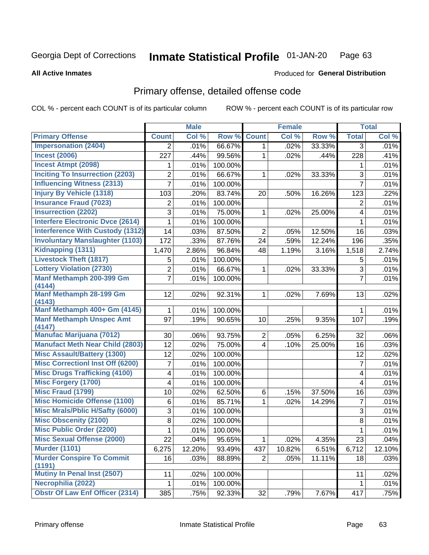#### **Inmate Statistical Profile 01-JAN-20** Page 63

### **All Active Inmates**

### **Produced for General Distribution**

## Primary offense, detailed offense code

COL % - percent each COUNT is of its particular column

|                                          |                | <b>Male</b> |         |                | <b>Female</b> |        |                         | <b>Total</b> |
|------------------------------------------|----------------|-------------|---------|----------------|---------------|--------|-------------------------|--------------|
| <b>Primary Offense</b>                   | <b>Count</b>   | Col %       | Row %   | <b>Count</b>   | Col %         | Row %  | <b>Total</b>            | Col %        |
| <b>Impersonation (2404)</b>              | $\overline{2}$ | .01%        | 66.67%  | 1              | .02%          | 33.33% | 3                       | .01%         |
| <b>Incest (2006)</b>                     | 227            | .44%        | 99.56%  | 1              | .02%          | .44%   | 228                     | .41%         |
| <b>Incest Atmpt (2098)</b>               | 1              | .01%        | 100.00% |                |               |        | 1                       | .01%         |
| <b>Inciting To Insurrection (2203)</b>   | 2              | .01%        | 66.67%  | 1              | .02%          | 33.33% | 3                       | .01%         |
| <b>Influencing Witness (2313)</b>        | 7              | .01%        | 100.00% |                |               |        | $\overline{7}$          | .01%         |
| <b>Injury By Vehicle (1318)</b>          | 103            | .20%        | 83.74%  | 20             | .50%          | 16.26% | 123                     | .22%         |
| <b>Insurance Fraud (7023)</b>            | $\overline{2}$ | .01%        | 100.00% |                |               |        | 2                       | .01%         |
| <b>Insurrection (2202)</b>               | 3              | .01%        | 75.00%  | 1              | .02%          | 25.00% | 4                       | .01%         |
| <b>Interfere Electronic Dvce (2614)</b>  | 1              | .01%        | 100.00% |                |               |        | $\mathbf{1}$            | .01%         |
| <b>Interference With Custody (1312)</b>  | 14             | .03%        | 87.50%  | $\overline{2}$ | .05%          | 12.50% | 16                      | .03%         |
| <b>Involuntary Manslaughter (1103)</b>   | 172            | .33%        | 87.76%  | 24             | .59%          | 12.24% | 196                     | .35%         |
| Kidnapping (1311)                        | 1,470          | 2.86%       | 96.84%  | 48             | 1.19%         | 3.16%  | 1,518                   | 2.74%        |
| <b>Livestock Theft (1817)</b>            | 5              | .01%        | 100.00% |                |               |        | 5                       | .01%         |
| <b>Lottery Violation (2730)</b>          | $\overline{2}$ | .01%        | 66.67%  | 1              | .02%          | 33.33% | $\overline{3}$          | .01%         |
| Manf Methamph 200-399 Gm                 | 7              | .01%        | 100.00% |                |               |        | $\overline{7}$          | .01%         |
| (4144)                                   |                |             |         |                |               |        |                         |              |
| <b>Manf Methamph 28-199 Gm</b><br>(4143) | 12             | .02%        | 92.31%  | 1              | .02%          | 7.69%  | 13                      | .02%         |
| Manf Methamph 400+ Gm (4145)             | 1              | .01%        | 100.00% |                |               |        | $\mathbf{1}$            | .01%         |
| <b>Manf Methamph Unspec Amt</b>          | 97             | .19%        | 90.65%  | 10             | .25%          | 9.35%  | 107                     | .19%         |
| (4147)                                   |                |             |         |                |               |        |                         |              |
| <b>Manufac Marijuana (7012)</b>          | 30             | .06%        | 93.75%  | $\overline{2}$ | .05%          | 6.25%  | 32                      | .06%         |
| <b>Manufact Meth Near Child (2803)</b>   | 12             | .02%        | 75.00%  | 4              | .10%          | 25.00% | 16                      | .03%         |
| <b>Misc Assault/Battery (1300)</b>       | 12             | .02%        | 100.00% |                |               |        | 12                      | .02%         |
| <b>Misc Correctionl Inst Off (6200)</b>  | 7              | .01%        | 100.00% |                |               |        | $\overline{7}$          | .01%         |
| <b>Misc Drugs Trafficking (4100)</b>     | 4              | .01%        | 100.00% |                |               |        | $\overline{4}$          | .01%         |
| <b>Misc Forgery (1700)</b>               | 4              | .01%        | 100.00% |                |               |        | $\overline{\mathbf{4}}$ | .01%         |
| <b>Misc Fraud (1799)</b>                 | 10             | .02%        | 62.50%  | 6              | .15%          | 37.50% | 16                      | .03%         |
| <b>Misc Homicide Offense (1100)</b>      | 6              | .01%        | 85.71%  | 1              | .02%          | 14.29% | $\overline{7}$          | .01%         |
| <b>Misc Mrals/Pblic H/Safty (6000)</b>   | 3              | .01%        | 100.00% |                |               |        | $\mathfrak{S}$          | .01%         |
| <b>Misc Obscenity (2100)</b>             | 8              | .02%        | 100.00% |                |               |        | $\overline{8}$          | .01%         |
| <b>Misc Public Order (2200)</b>          | 1              | .01%        | 100.00% |                |               |        | $\mathbf{1}$            | .01%         |
| <b>Misc Sexual Offense (2000)</b>        | 22             | .04%        | 95.65%  | 1              | .02%          | 4.35%  | 23                      | .04%         |
| <b>Murder (1101)</b>                     | 6,275          | 12.20%      | 93.49%  | 437            | 10.82%        | 6.51%  | 6,712                   | 12.10%       |
| <b>Murder Conspire To Commit</b>         | 16             | .03%        | 88.89%  | $\overline{c}$ | .05%          | 11.11% | 18                      | .03%         |
| (1191)<br>Mutiny In Penal Inst (2507)    |                |             |         |                |               |        |                         |              |
| Necrophilia (2022)                       | 11             | .02%        | 100.00% |                |               |        | 11                      | .02%         |
| <b>Obstr Of Law Enf Officer (2314)</b>   | 1              | .01%        | 100.00% |                |               |        | 1                       | .01%         |
|                                          | 385            | .75%        | 92.33%  | 32             | .79%          | 7.67%  | 417                     | .75%         |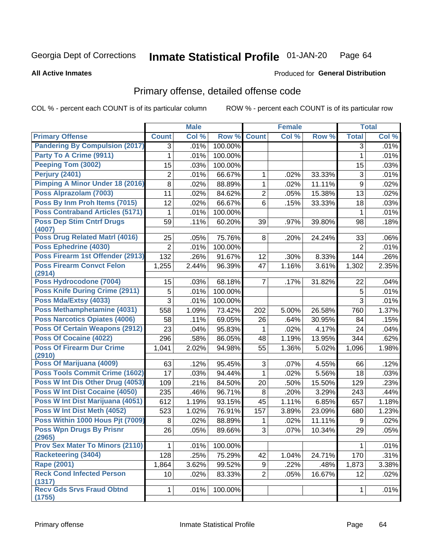#### Inmate Statistical Profile 01-JAN-20 Page 64

### **All Active Inmates**

## **Produced for General Distribution**

# Primary offense, detailed offense code

COL % - percent each COUNT is of its particular column

|                                            |                 | <b>Male</b> |         |                | <b>Female</b> |        |                | <b>Total</b> |
|--------------------------------------------|-----------------|-------------|---------|----------------|---------------|--------|----------------|--------------|
| <b>Primary Offense</b>                     | <b>Count</b>    | Col %       | Row %   | <b>Count</b>   | Col %         | Row %  | <b>Total</b>   | Col %        |
| <b>Pandering By Compulsion (2017)</b>      | 3               | .01%        | 100.00% |                |               |        | 3              | .01%         |
| Party To A Crime (9911)                    | 1               | .01%        | 100.00% |                |               |        | 1              | .01%         |
| Peeping Tom (3002)                         | 15              | .03%        | 100.00% |                |               |        | 15             | .03%         |
| Perjury (2401)                             | $\overline{2}$  | .01%        | 66.67%  | 1              | .02%          | 33.33% | 3              | .01%         |
| Pimping A Minor Under 18 (2016)            | 8               | .02%        | 88.89%  | 1              | .02%          | 11.11% | 9              | .02%         |
| Poss Alprazolam (7003)                     | 11              | .02%        | 84.62%  | $\overline{2}$ | .05%          | 15.38% | 13             | .02%         |
| Poss By Inm Proh Items (7015)              | 12              | .02%        | 66.67%  | 6              | .15%          | 33.33% | 18             | .03%         |
| <b>Poss Contraband Articles (5171)</b>     | 1               | .01%        | 100.00% |                |               |        | 1              | .01%         |
| <b>Poss Dep Stim Cntrf Drugs</b><br>(4007) | 59              | .11%        | 60.20%  | 39             | .97%          | 39.80% | 98             | .18%         |
| <b>Poss Drug Related Matri (4016)</b>      | 25              | .05%        | 75.76%  | 8              | .20%          | 24.24% | 33             | .06%         |
| Poss Ephedrine (4030)                      | $\overline{2}$  | .01%        | 100.00% |                |               |        | $\overline{2}$ | .01%         |
| Poss Firearm 1st Offender (2913)           | 132             | .26%        | 91.67%  | 12             | .30%          | 8.33%  | 144            | .26%         |
| <b>Poss Firearm Convct Felon</b><br>(2914) | 1,255           | 2.44%       | 96.39%  | 47             | 1.16%         | 3.61%  | 1,302          | 2.35%        |
| Poss Hydrocodone (7004)                    | 15              | .03%        | 68.18%  | $\overline{7}$ | .17%          | 31.82% | 22             | .04%         |
| <b>Poss Knife During Crime (2911)</b>      | 5               | .01%        | 100.00% |                |               |        | 5              | .01%         |
| Poss Mda/Extsy (4033)                      | 3               | .01%        | 100.00% |                |               |        | 3              | .01%         |
| Poss Methamphetamine (4031)                | 558             | 1.09%       | 73.42%  | 202            | 5.00%         | 26.58% | 760            | 1.37%        |
| <b>Poss Narcotics Opiates (4006)</b>       | 58              | .11%        | 69.05%  | 26             | .64%          | 30.95% | 84             | .15%         |
| <b>Poss Of Certain Weapons (2912)</b>      | 23              | .04%        | 95.83%  | 1              | .02%          | 4.17%  | 24             | .04%         |
| <b>Poss Of Cocaine (4022)</b>              | 296             | .58%        | 86.05%  | 48             | 1.19%         | 13.95% | 344            | .62%         |
| <b>Poss Of Firearm Dur Crime</b><br>(2910) | 1,041           | 2.02%       | 94.98%  | 55             | 1.36%         | 5.02%  | 1,096          | 1.98%        |
| Poss Of Marijuana (4009)                   | 63              | .12%        | 95.45%  | 3              | .07%          | 4.55%  | 66             | .12%         |
| <b>Poss Tools Commit Crime (1602)</b>      | 17              | .03%        | 94.44%  | 1              | .02%          | 5.56%  | 18             | .03%         |
| Poss W Int Dis Other Drug (4053)           | 109             | .21%        | 84.50%  | 20             | .50%          | 15.50% | 129            | .23%         |
| <b>Poss W Int Dist Cocaine (4050)</b>      | 235             | .46%        | 96.71%  | 8              | .20%          | 3.29%  | 243            | .44%         |
| Poss W Int Dist Marijuana (4051)           | 612             | 1.19%       | 93.15%  | 45             | 1.11%         | 6.85%  | 657            | 1.18%        |
| Poss W Int Dist Meth (4052)                | 523             | 1.02%       | 76.91%  | 157            | 3.89%         | 23.09% | 680            | 1.23%        |
| Poss Within 1000 Hous Pjt (7009)           | 8               | .02%        | 88.89%  | 1              | .02%          | 11.11% | 9              | .02%         |
| <b>Poss Wpn Drugs By Prisnr</b>            | $\overline{26}$ | .05%        | 89.66%  | 3              | .07%          | 10.34% | 29             | .05%         |
| (2965)                                     |                 |             |         |                |               |        |                |              |
| <b>Prov Sex Mater To Minors (2110)</b>     | $\mathbf{1}$    | .01%        | 100.00% |                |               |        | 1              | .01%         |
| <b>Racketeering (3404)</b>                 | 128             | .25%        | 75.29%  | 42             | 1.04%         | 24.71% | 170            | .31%         |
| <b>Rape (2001)</b>                         | 1,864           | 3.62%       | 99.52%  | 9              | .22%          | .48%   | 1,873          | 3.38%        |
| <b>Reck Cond Infected Person</b><br>(1317) | 10              | .02%        | 83.33%  | $\overline{2}$ | .05%          | 16.67% | 12             | .02%         |
| <b>Recv Gds Srvs Fraud Obtnd</b><br>(1755) | $\mathbf{1}$    | .01%        | 100.00% |                |               |        | $\mathbf 1$    | .01%         |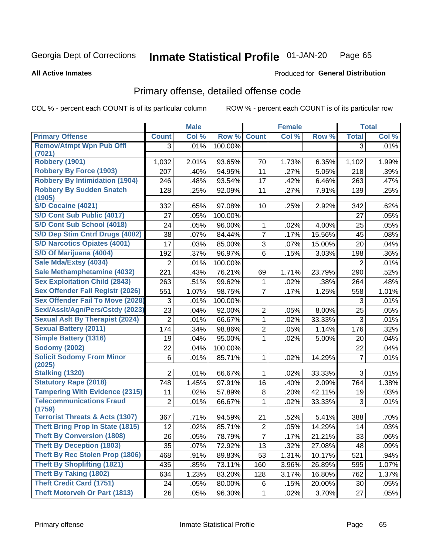#### Inmate Statistical Profile 01-JAN-20 Page 65

**All Active Inmates** 

## **Produced for General Distribution**

# Primary offense, detailed offense code

COL % - percent each COUNT is of its particular column

|                                            |                | <b>Male</b> |         |                | <b>Female</b>       |        |              | <b>Total</b> |
|--------------------------------------------|----------------|-------------|---------|----------------|---------------------|--------|--------------|--------------|
| <b>Primary Offense</b>                     | <b>Count</b>   | Col %       | Row %   | <b>Count</b>   | Col %               | Row %  | <b>Total</b> | Col %        |
| <b>Remov/Atmpt Wpn Pub Offl</b>            | 3              | .01%        | 100.00% |                |                     |        | 3            | .01%         |
| (7021)                                     |                |             |         |                |                     |        |              |              |
| <b>Robbery (1901)</b>                      | 1,032          | 2.01%       | 93.65%  | 70             | 1.73%               | 6.35%  | 1,102        | 1.99%        |
| <b>Robbery By Force (1903)</b>             | 207            | .40%        | 94.95%  | 11             | .27%                | 5.05%  | 218          | .39%         |
| <b>Robbery By Intimidation (1904)</b>      | 246            | .48%        | 93.54%  | 17             | .42%                | 6.46%  | 263          | .47%         |
| <b>Robbery By Sudden Snatch</b><br>(1905)  | 128            | .25%        | 92.09%  | 11             | .27%                | 7.91%  | 139          | .25%         |
| S/D Cocaine (4021)                         | 332            | .65%        | 97.08%  | 10             | .25%                | 2.92%  | 342          | .62%         |
| S/D Cont Sub Public (4017)                 | 27             | .05%        | 100.00% |                |                     |        | 27           | .05%         |
| S/D Cont Sub School (4018)                 | 24             | .05%        | 96.00%  | 1              | .02%                | 4.00%  | 25           | .05%         |
| S/D Dep Stim Cntrf Drugs (4002)            | 38             | .07%        | 84.44%  | $\overline{7}$ | .17%                | 15.56% | 45           | .08%         |
| <b>S/D Narcotics Opiates (4001)</b>        | 17             | .03%        | 85.00%  | 3              | .07%                | 15.00% | 20           | .04%         |
| S/D Of Marijuana (4004)                    | 192            | .37%        | 96.97%  | 6              | .15%                | 3.03%  | 198          | .36%         |
| Sale Mda/Extsy (4034)                      | $\overline{2}$ | .01%        | 100.00% |                |                     |        | 2            | .01%         |
| Sale Methamphetamine (4032)                | 221            | .43%        | 76.21%  | 69             | $\overline{1.71\%}$ | 23.79% | 290          | .52%         |
| <b>Sex Exploitation Child (2843)</b>       | 263            | .51%        | 99.62%  | 1              | .02%                | .38%   | 264          | .48%         |
| <b>Sex Offender Fail Registr (2026)</b>    | 551            | 1.07%       | 98.75%  | $\overline{7}$ | .17%                | 1.25%  | 558          | 1.01%        |
| <b>Sex Offender Fail To Move (2028)</b>    | 3              | .01%        | 100.00% |                |                     |        | 3            | .01%         |
| Sexl/Asslt/Agn/Pers/Cstdy (2023)           | 23             | .04%        | 92.00%  | $\overline{2}$ | .05%                | 8.00%  | 25           | .05%         |
| <b>Sexual Aslt By Therapist (2024)</b>     | $\overline{2}$ | .01%        | 66.67%  | $\mathbf{1}$   | .02%                | 33.33% | 3            | .01%         |
| <b>Sexual Battery (2011)</b>               | 174            | .34%        | 98.86%  | $\overline{2}$ | .05%                | 1.14%  | 176          | .32%         |
| <b>Simple Battery (1316)</b>               | 19             | .04%        | 95.00%  | 1              | .02%                | 5.00%  | 20           | .04%         |
| <b>Sodomy (2002)</b>                       | 22             | .04%        | 100.00% |                |                     |        | 22           | .04%         |
| <b>Solicit Sodomy From Minor</b>           | 6              | .01%        | 85.71%  | 1              | .02%                | 14.29% | 7            | .01%         |
| (2025)                                     |                |             |         |                |                     |        |              |              |
| <b>Stalking (1320)</b>                     | $\overline{2}$ | .01%        | 66.67%  | 1              | .02%                | 33.33% | 3            | .01%         |
| <b>Statutory Rape (2018)</b>               | 748            | 1.45%       | 97.91%  | 16             | .40%                | 2.09%  | 764          | 1.38%        |
| <b>Tampering With Evidence (2315)</b>      | 11             | .02%        | 57.89%  | 8              | .20%                | 42.11% | 19           | .03%         |
| <b>Telecommunications Fraud</b><br>(1759)  | $\overline{2}$ | .01%        | 66.67%  | 1              | .02%                | 33.33% | 3            | .01%         |
| <b>Terrorist Threats &amp; Acts (1307)</b> | 367            | .71%        | 94.59%  | 21             | .52%                | 5.41%  | 388          | .70%         |
| <b>Theft Bring Prop In State (1815)</b>    | 12             | .02%        | 85.71%  | $\overline{c}$ | .05%                | 14.29% | 14           | .03%         |
| <b>Theft By Conversion (1808)</b>          | 26             | .05%        | 78.79%  | $\overline{7}$ | .17%                | 21.21% | 33           | .06%         |
| <b>Theft By Deception (1803)</b>           | 35             | .07%        | 72.92%  | 13             | .32%                | 27.08% | 48           | .09%         |
| Theft By Rec Stolen Prop (1806)            | 468            | .91%        | 89.83%  | 53             | 1.31%               | 10.17% | 521          | .94%         |
| <b>Theft By Shoplifting (1821)</b>         | 435            | .85%        | 73.11%  | 160            | 3.96%               | 26.89% | 595          | 1.07%        |
| <b>Theft By Taking (1802)</b>              | 634            | 1.23%       | 83.20%  | 128            | 3.17%               | 16.80% | 762          | 1.37%        |
| <b>Theft Credit Card (1751)</b>            | 24             | .05%        | 80.00%  | 6              | .15%                | 20.00% | 30           | .05%         |
| <b>Theft Motorveh Or Part (1813)</b>       | 26             | .05%        | 96.30%  | $\mathbf{1}$   | .02%                | 3.70%  | 27           | .05%         |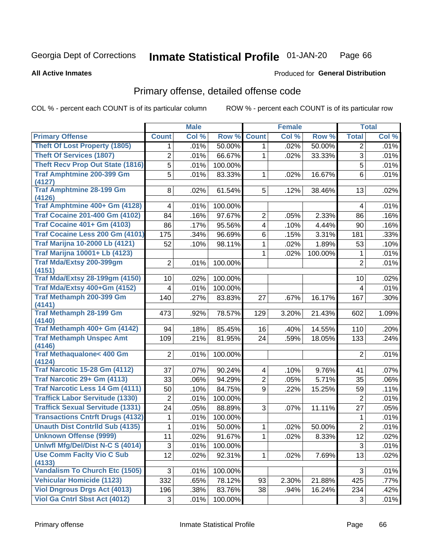#### Inmate Statistical Profile 01-JAN-20 Page 66

### **All Active Inmates**

## **Produced for General Distribution**

# Primary offense, detailed offense code

COL % - percent each COUNT is of its particular column

|                                            |                         | <b>Male</b> |         |                | <b>Female</b> |         |                 | <b>Total</b> |
|--------------------------------------------|-------------------------|-------------|---------|----------------|---------------|---------|-----------------|--------------|
| <b>Primary Offense</b>                     | <b>Count</b>            | Col %       | Row %   | <b>Count</b>   | Col %         | Row %   | <b>Total</b>    | Col %        |
| <b>Theft Of Lost Property (1805)</b>       | 1.                      | .01%        | 50.00%  | 1              | .02%          | 50.00%  | $\overline{2}$  | .01%         |
| <b>Theft Of Services (1807)</b>            | $\overline{\mathbf{c}}$ | .01%        | 66.67%  | 1              | .02%          | 33.33%  | 3               | .01%         |
| <b>Theft Recv Prop Out State (1816)</b>    | 5                       | .01%        | 100.00% |                |               |         | 5               | .01%         |
| <b>Traf Amphtmine 200-399 Gm</b>           | 5                       | .01%        | 83.33%  | 1              | .02%          | 16.67%  | 6               | .01%         |
| (4127)                                     |                         |             |         |                |               |         |                 |              |
| <b>Traf Amphtmine 28-199 Gm</b><br>(4126)  | 8                       | .02%        | 61.54%  | 5              | .12%          | 38.46%  | 13              | .02%         |
| Traf Amphtmine 400+ Gm (4128)              | 4                       | .01%        | 100.00% |                |               |         | 4               | .01%         |
| <b>Traf Cocaine 201-400 Gm (4102)</b>      | 84                      | .16%        | 97.67%  | $\overline{c}$ | .05%          | 2.33%   | 86              | .16%         |
| <b>Traf Cocaine 401+ Gm (4103)</b>         | 86                      | .17%        | 95.56%  | $\overline{4}$ | .10%          | 4.44%   | 90              | .16%         |
| Traf Cocaine Less 200 Gm (4101)            | 175                     | .34%        | 96.69%  | 6              | .15%          | 3.31%   | 181             | .33%         |
| <b>Traf Marijna 10-2000 Lb (4121)</b>      | 52                      | .10%        | 98.11%  | 1              | .02%          | 1.89%   | 53              | .10%         |
| <b>Traf Marijna 10001+ Lb (4123)</b>       |                         |             |         | 1              | .02%          | 100.00% | 1               | .01%         |
| Traf Mda/Extsy 200-399gm<br>(4151)         | $\overline{2}$          | .01%        | 100.00% |                |               |         | $\overline{2}$  | .01%         |
| <b>Traf Mda/Extsy 28-199gm (4150)</b>      | 10                      | .02%        | 100.00% |                |               |         | 10              | .02%         |
| Traf Mda/Extsy 400+Gm (4152)               | 4                       | .01%        | 100.00% |                |               |         | 4               | .01%         |
| Traf Methamph 200-399 Gm                   | 140                     | .27%        | 83.83%  | 27             | .67%          | 16.17%  | 167             | .30%         |
| (4141)                                     |                         |             |         |                |               |         |                 |              |
| <b>Traf Methamph 28-199 Gm</b>             | 473                     | .92%        | 78.57%  | 129            | 3.20%         | 21.43%  | 602             | 1.09%        |
| (4140)                                     |                         |             |         |                |               |         |                 |              |
| Traf Methamph 400+ Gm (4142)               | 94                      | .18%        | 85.45%  | 16             | .40%          | 14.55%  | 110             | .20%         |
| <b>Traf Methamph Unspec Amt</b><br>(4146)  | 109                     | .21%        | 81.95%  | 24             | .59%          | 18.05%  | 133             | .24%         |
| <b>Traf Methaqualone&lt; 400 Gm</b>        | $\overline{2}$          | .01%        | 100.00% |                |               |         | $\overline{2}$  | .01%         |
| (4124)                                     |                         |             |         |                |               |         |                 |              |
| <b>Traf Narcotic 15-28 Gm (4112)</b>       | 37                      | .07%        | 90.24%  | 4              | .10%          | 9.76%   | 41              | .07%         |
| Traf Narcotic 29+ Gm (4113)                | 33                      | .06%        | 94.29%  | $\overline{2}$ | .05%          | 5.71%   | 35              | .06%         |
| <b>Traf Narcotic Less 14 Gm (4111)</b>     | 50                      | .10%        | 84.75%  | 9              | .22%          | 15.25%  | 59              | .11%         |
| <b>Traffick Labor Servitude (1330)</b>     | $\overline{2}$          | .01%        | 100.00% |                |               |         | $\overline{2}$  | .01%         |
| <b>Traffick Sexual Servitude (1331)</b>    | 24                      | .05%        | 88.89%  | 3              | .07%          | 11.11%  | 27              | .05%         |
| <b>Transactions Cntrft Drugs (4132)</b>    | 1                       | .01%        | 100.00% |                |               |         | 1               | .01%         |
| <b>Unauth Dist Contrild Sub (4135)</b>     | 1                       | .01%        | 50.00%  | 1              | .02%          | 50.00%  | $\overline{2}$  | .01%         |
| <b>Unknown Offense (9999)</b>              | 11                      | .02%        | 91.67%  | $\mathbf{1}$   | .02%          | 8.33%   | $\overline{12}$ | $.02\%$      |
| Uniwfl Mfg/Del/Dist N-C S (4014)           | 3                       | .01%        | 100.00% |                |               |         | 3               | .01%         |
| <b>Use Comm Facity Vio C Sub</b><br>(4133) | 12                      | .02%        | 92.31%  | $\mathbf{1}$   | .02%          | 7.69%   | 13              | .02%         |
| <b>Vandalism To Church Etc (1505)</b>      | 3                       | .01%        | 100.00% |                |               |         | $\mathbf{3}$    | .01%         |
| <b>Vehicular Homicide (1123)</b>           | 332                     | .65%        | 78.12%  | 93             | 2.30%         | 21.88%  | 425             | .77%         |
| <b>Viol Dngrous Drgs Act (4013)</b>        | 196                     | .38%        | 83.76%  | 38             | .94%          | 16.24%  | 234             | .42%         |
| Viol Ga Cntrl Sbst Act (4012)              | 3                       | .01%        | 100.00% |                |               |         | 3               | .01%         |
|                                            |                         |             |         |                |               |         |                 |              |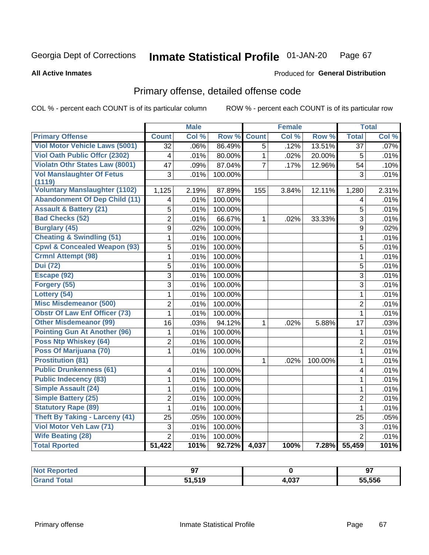#### Inmate Statistical Profile 01-JAN-20 Page 67

### **All Active Inmates**

## **Produced for General Distribution**

# Primary offense, detailed offense code

COL % - percent each COUNT is of its particular column

|                                         |                         | <b>Male</b> |         |                | <b>Female</b> |         |                 | <b>Total</b> |
|-----------------------------------------|-------------------------|-------------|---------|----------------|---------------|---------|-----------------|--------------|
| <b>Primary Offense</b>                  | <b>Count</b>            | Col %       | Row %   | <b>Count</b>   | Col %         | Row %   | <b>Total</b>    | Col %        |
| <b>Viol Motor Vehicle Laws (5001)</b>   | $\overline{32}$         | .06%        | 86.49%  | $\overline{5}$ | .12%          | 13.51%  | $\overline{37}$ | .07%         |
| <b>Viol Oath Public Offcr (2302)</b>    | $\overline{4}$          | .01%        | 80.00%  | $\mathbf{1}$   | .02%          | 20.00%  | 5               | .01%         |
| <b>Violatn Othr States Law (8001)</b>   | 47                      | .09%        | 87.04%  | $\overline{7}$ | .17%          | 12.96%  | 54              | .10%         |
| <b>Vol Manslaughter Of Fetus</b>        | 3                       | .01%        | 100.00% |                |               |         | 3               | .01%         |
| (1119)                                  |                         |             |         |                |               |         |                 |              |
| <b>Voluntary Manslaughter (1102)</b>    | 1,125                   | 2.19%       | 87.89%  | 155            | 3.84%         | 12.11%  | 1,280           | 2.31%        |
| <b>Abandonment Of Dep Child (11)</b>    | $\overline{\mathbf{4}}$ | .01%        | 100.00% |                |               |         | $\overline{4}$  | .01%         |
| <b>Assault &amp; Battery (21)</b>       | $\overline{5}$          | .01%        | 100.00% |                |               |         | $\overline{5}$  | .01%         |
| <b>Bad Checks (52)</b>                  | $\overline{2}$          | .01%        | 66.67%  | 1              | .02%          | 33.33%  | 3               | .01%         |
| <b>Burglary (45)</b>                    | 9                       | .02%        | 100.00% |                |               |         | $\mathsf g$     | .02%         |
| <b>Cheating &amp; Swindling (51)</b>    | 1                       | .01%        | 100.00% |                |               |         | 1               | .01%         |
| <b>Cpwl &amp; Concealed Weapon (93)</b> | $\overline{5}$          | .01%        | 100.00% |                |               |         | 5               | .01%         |
| <b>Crmnl Attempt (98)</b>               | 1                       | .01%        | 100.00% |                |               |         | $\mathbf{1}$    | .01%         |
| <b>Dui</b> (72)                         | 5                       | .01%        | 100.00% |                |               |         | 5               | .01%         |
| Escape (92)                             | $\overline{3}$          | .01%        | 100.00% |                |               |         | 3               | .01%         |
| Forgery (55)                            | $\overline{3}$          | .01%        | 100.00% |                |               |         | $\overline{3}$  | .01%         |
| Lottery (54)                            | $\mathbf{1}$            | .01%        | 100.00% |                |               |         | $\mathbf{1}$    | .01%         |
| <b>Misc Misdemeanor (500)</b>           | $\overline{2}$          | .01%        | 100.00% |                |               |         | $\overline{2}$  | .01%         |
| <b>Obstr Of Law Enf Officer (73)</b>    | 1                       | .01%        | 100.00% |                |               |         | 1               | .01%         |
| <b>Other Misdemeanor (99)</b>           | 16                      | .03%        | 94.12%  | 1              | .02%          | 5.88%   | 17              | .03%         |
| <b>Pointing Gun At Another (96)</b>     | 1                       | .01%        | 100.00% |                |               |         | $\mathbf{1}$    | .01%         |
| Poss Ntp Whiskey (64)                   | $\overline{2}$          | .01%        | 100.00% |                |               |         | $\overline{2}$  | .01%         |
| Poss Of Marijuana (70)                  | 1                       | .01%        | 100.00% |                |               |         | 1               | .01%         |
| <b>Prostitution (81)</b>                |                         |             |         | 1              | .02%          | 100.00% | $\mathbf{1}$    | .01%         |
| <b>Public Drunkenness (61)</b>          | 4                       | .01%        | 100.00% |                |               |         | 4               | .01%         |
| <b>Public Indecency (83)</b>            | 1                       | .01%        | 100.00% |                |               |         | 1               | .01%         |
| Simple Assault (24)                     | 1                       | .01%        | 100.00% |                |               |         | $\mathbf{1}$    | .01%         |
| <b>Simple Battery (25)</b>              | 2                       | .01%        | 100.00% |                |               |         | $\overline{2}$  | .01%         |
| <b>Statutory Rape (89)</b>              | 1                       | .01%        | 100.00% |                |               |         | 1               | .01%         |
| <b>Theft By Taking - Larceny (41)</b>   | 25                      | .05%        | 100.00% |                |               |         | 25              | .05%         |
| Viol Motor Veh Law (71)                 | 3                       | .01%        | 100.00% |                |               |         | 3               | .01%         |
| <b>Wife Beating (28)</b>                | $\overline{2}$          | .01%        | 100.00% |                |               |         | $\overline{2}$  | .01%         |
| <b>Total Rported</b>                    | 51,422                  | 101%        | 92.72%  | 4,037          | 100%          | 7.28%   | 55,459          | 101%         |

| rtea | $\sim$     |       | 97     |
|------|------------|-------|--------|
|      | <b>E40</b> | 4,037 | 55.556 |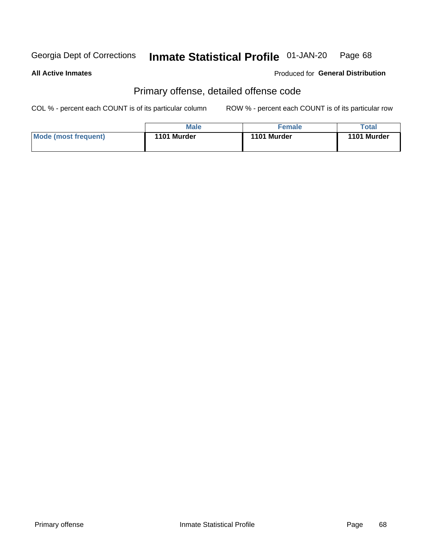#### Inmate Statistical Profile 01-JAN-20 Page 68

**All Active Inmates** 

**Produced for General Distribution** 

# Primary offense, detailed offense code

COL % - percent each COUNT is of its particular column

|                      | Male        | <b>Female</b> | Total       |
|----------------------|-------------|---------------|-------------|
| Mode (most frequent) | 1101 Murder | 1101 Murder   | 1101 Murder |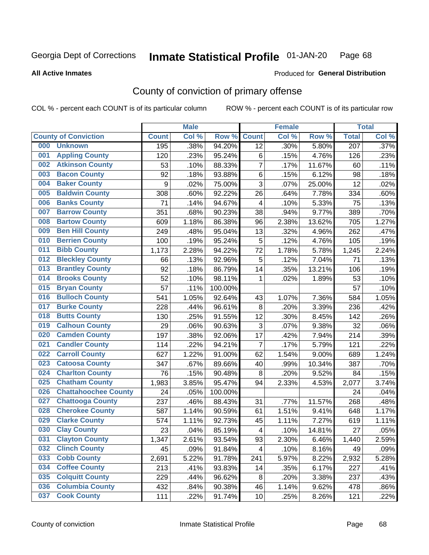#### Inmate Statistical Profile 01-JAN-20 Page 68

### **All Active Inmates**

# Produced for General Distribution

# County of conviction of primary offense

COL % - percent each COUNT is of its particular column

|     |                             |              | <b>Male</b> |         |                         | <b>Female</b> |        |                  | <b>Total</b> |
|-----|-----------------------------|--------------|-------------|---------|-------------------------|---------------|--------|------------------|--------------|
|     | <b>County of Conviction</b> | <b>Count</b> | Col %       | Row %   | <b>Count</b>            | Col %         | Row %  | <b>Total</b>     | Col %        |
| 000 | <b>Unknown</b>              | 195          | .38%        | 94.20%  | 12                      | .30%          | 5.80%  | $\overline{207}$ | .37%         |
| 001 | <b>Appling County</b>       | 120          | .23%        | 95.24%  | 6                       | .15%          | 4.76%  | 126              | .23%         |
| 002 | <b>Atkinson County</b>      | 53           | .10%        | 88.33%  | $\overline{7}$          | .17%          | 11.67% | 60               | .11%         |
| 003 | <b>Bacon County</b>         | 92           | .18%        | 93.88%  | $\,6$                   | .15%          | 6.12%  | 98               | .18%         |
| 004 | <b>Baker County</b>         | 9            | .02%        | 75.00%  | 3                       | .07%          | 25.00% | 12               | .02%         |
| 005 | <b>Baldwin County</b>       | 308          | .60%        | 92.22%  | 26                      | .64%          | 7.78%  | 334              | .60%         |
| 006 | <b>Banks County</b>         | 71           | .14%        | 94.67%  | $\overline{\mathbf{4}}$ | .10%          | 5.33%  | 75               | .13%         |
| 007 | <b>Barrow County</b>        | 351          | .68%        | 90.23%  | 38                      | .94%          | 9.77%  | 389              | .70%         |
| 008 | <b>Bartow County</b>        | 609          | 1.18%       | 86.38%  | 96                      | 2.38%         | 13.62% | 705              | 1.27%        |
| 009 | <b>Ben Hill County</b>      | 249          | .48%        | 95.04%  | 13                      | .32%          | 4.96%  | 262              | .47%         |
| 010 | <b>Berrien County</b>       | 100          | .19%        | 95.24%  | 5                       | .12%          | 4.76%  | 105              | .19%         |
| 011 | <b>Bibb County</b>          | 1,173        | 2.28%       | 94.22%  | 72                      | 1.78%         | 5.78%  | 1,245            | 2.24%        |
| 012 | <b>Bleckley County</b>      | 66           | .13%        | 92.96%  | 5                       | .12%          | 7.04%  | 71               | .13%         |
| 013 | <b>Brantley County</b>      | 92           | .18%        | 86.79%  | 14                      | .35%          | 13.21% | 106              | .19%         |
| 014 | <b>Brooks County</b>        | 52           | .10%        | 98.11%  | 1                       | .02%          | 1.89%  | 53               | .10%         |
| 015 | <b>Bryan County</b>         | 57           | .11%        | 100.00% |                         |               |        | 57               | .10%         |
| 016 | <b>Bulloch County</b>       | 541          | 1.05%       | 92.64%  | 43                      | 1.07%         | 7.36%  | 584              | 1.05%        |
| 017 | <b>Burke County</b>         | 228          | .44%        | 96.61%  | 8                       | .20%          | 3.39%  | 236              | .42%         |
| 018 | <b>Butts County</b>         | 130          | .25%        | 91.55%  | 12                      | .30%          | 8.45%  | 142              | .26%         |
| 019 | <b>Calhoun County</b>       | 29           | .06%        | 90.63%  | 3                       | .07%          | 9.38%  | 32               | .06%         |
| 020 | <b>Camden County</b>        | 197          | .38%        | 92.06%  | 17                      | .42%          | 7.94%  | 214              | .39%         |
| 021 | <b>Candler County</b>       | 114          | .22%        | 94.21%  | $\overline{7}$          | .17%          | 5.79%  | 121              | .22%         |
| 022 | <b>Carroll County</b>       | 627          | 1.22%       | 91.00%  | 62                      | 1.54%         | 9.00%  | 689              | 1.24%        |
| 023 | <b>Catoosa County</b>       | 347          | .67%        | 89.66%  | 40                      | .99%          | 10.34% | 387              | .70%         |
| 024 | <b>Charlton County</b>      | 76           | .15%        | 90.48%  | $\,8\,$                 | .20%          | 9.52%  | 84               | .15%         |
| 025 | <b>Chatham County</b>       | 1,983        | 3.85%       | 95.47%  | 94                      | 2.33%         | 4.53%  | 2,077            | 3.74%        |
| 026 | <b>Chattahoochee County</b> | 24           | .05%        | 100.00% |                         |               |        | 24               | .04%         |
| 027 | <b>Chattooga County</b>     | 237          | .46%        | 88.43%  | 31                      | .77%          | 11.57% | 268              | .48%         |
| 028 | <b>Cherokee County</b>      | 587          | 1.14%       | 90.59%  | 61                      | 1.51%         | 9.41%  | 648              | 1.17%        |
| 029 | <b>Clarke County</b>        | 574          | 1.11%       | 92.73%  | 45                      | 1.11%         | 7.27%  | 619              | 1.11%        |
| 030 | <b>Clay County</b>          | 23           | .04%        | 85.19%  | 4                       | .10%          | 14.81% | 27               | .05%         |
| 031 | <b>Clayton County</b>       | 1,347        | 2.61%       | 93.54%  | 93                      | 2.30%         | 6.46%  | 1,440            | 2.59%        |
| 032 | <b>Clinch County</b>        | 45           | .09%        | 91.84%  | 4                       | .10%          | 8.16%  | 49               | .09%         |
| 033 | <b>Cobb County</b>          | 2,691        | 5.22%       | 91.78%  | 241                     | 5.97%         | 8.22%  | 2,932            | 5.28%        |
| 034 | <b>Coffee County</b>        | 213          | .41%        | 93.83%  | 14                      | .35%          | 6.17%  | 227              | .41%         |
| 035 | <b>Colquitt County</b>      | 229          | .44%        | 96.62%  | 8                       | .20%          | 3.38%  | 237              | .43%         |
| 036 | <b>Columbia County</b>      | 432          | .84%        | 90.38%  | 46                      | 1.14%         | 9.62%  | 478              | .86%         |
| 037 | <b>Cook County</b>          | 111          | .22%        | 91.74%  | 10                      | .25%          | 8.26%  | 121              | .22%         |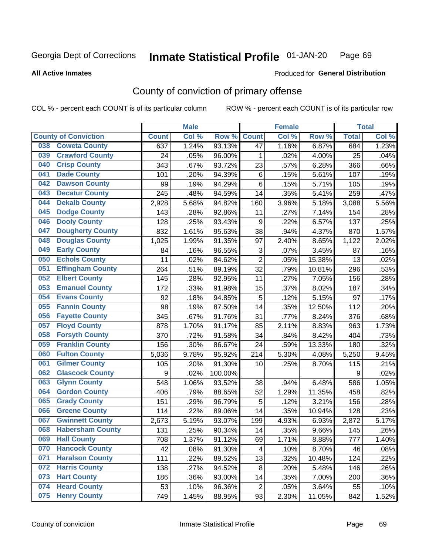#### Inmate Statistical Profile 01-JAN-20 Page 69

### **All Active Inmates**

## Produced for General Distribution

# County of conviction of primary offense

COL % - percent each COUNT is of its particular column

|                                |              | <b>Male</b> |         |                | <b>Female</b> |        |                  | <b>Total</b> |
|--------------------------------|--------------|-------------|---------|----------------|---------------|--------|------------------|--------------|
| <b>County of Conviction</b>    | <b>Count</b> | Col %       | Row %   | <b>Count</b>   | Col %         | Row %  | <b>Total</b>     | Col %        |
| <b>Coweta County</b><br>038    | 637          | 1.24%       | 93.13%  | 47             | 1.16%         | 6.87%  | 684              | 1.23%        |
| <b>Crawford County</b><br>039  | 24           | .05%        | 96.00%  | 1              | .02%          | 4.00%  | 25               | .04%         |
| <b>Crisp County</b><br>040     | 343          | .67%        | 93.72%  | 23             | .57%          | 6.28%  | 366              | .66%         |
| <b>Dade County</b><br>041      | 101          | .20%        | 94.39%  | 6              | .15%          | 5.61%  | 107              | .19%         |
| <b>Dawson County</b><br>042    | 99           | .19%        | 94.29%  | 6              | .15%          | 5.71%  | 105              | .19%         |
| 043<br><b>Decatur County</b>   | 245          | .48%        | 94.59%  | 14             | .35%          | 5.41%  | 259              | .47%         |
| <b>Dekalb County</b><br>044    | 2,928        | 5.68%       | 94.82%  | 160            | 3.96%         | 5.18%  | 3,088            | 5.56%        |
| <b>Dodge County</b><br>045     | 143          | .28%        | 92.86%  | 11             | .27%          | 7.14%  | 154              | .28%         |
| <b>Dooly County</b><br>046     | 128          | .25%        | 93.43%  | 9              | .22%          | 6.57%  | 137              | .25%         |
| 047<br><b>Dougherty County</b> | 832          | 1.61%       | 95.63%  | 38             | .94%          | 4.37%  | 870              | 1.57%        |
| <b>Douglas County</b><br>048   | 1,025        | 1.99%       | 91.35%  | 97             | 2.40%         | 8.65%  | 1,122            | 2.02%        |
| <b>Early County</b><br>049     | 84           | .16%        | 96.55%  | 3              | .07%          | 3.45%  | 87               | .16%         |
| <b>Echols County</b><br>050    | 11           | .02%        | 84.62%  | $\overline{2}$ | .05%          | 15.38% | 13               | .02%         |
| 051<br><b>Effingham County</b> | 264          | .51%        | 89.19%  | 32             | .79%          | 10.81% | 296              | .53%         |
| <b>Elbert County</b><br>052    | 145          | .28%        | 92.95%  | 11             | .27%          | 7.05%  | 156              | .28%         |
| <b>Emanuel County</b><br>053   | 172          | .33%        | 91.98%  | 15             | .37%          | 8.02%  | 187              | .34%         |
| <b>Evans County</b><br>054     | 92           | .18%        | 94.85%  | 5              | .12%          | 5.15%  | 97               | .17%         |
| <b>Fannin County</b><br>055    | 98           | .19%        | 87.50%  | 14             | .35%          | 12.50% | 112              | .20%         |
| <b>Fayette County</b><br>056   | 345          | .67%        | 91.76%  | 31             | .77%          | 8.24%  | 376              | .68%         |
| <b>Floyd County</b><br>057     | 878          | 1.70%       | 91.17%  | 85             | 2.11%         | 8.83%  | 963              | 1.73%        |
| <b>Forsyth County</b><br>058   | 370          | .72%        | 91.58%  | 34             | .84%          | 8.42%  | 404              | .73%         |
| <b>Franklin County</b><br>059  | 156          | .30%        | 86.67%  | 24             | .59%          | 13.33% | 180              | .32%         |
| <b>Fulton County</b><br>060    | 5,036        | 9.78%       | 95.92%  | 214            | 5.30%         | 4.08%  | 5,250            | 9.45%        |
| <b>Gilmer County</b><br>061    | 105          | .20%        | 91.30%  | 10             | .25%          | 8.70%  | 115              | .21%         |
| <b>Glascock County</b><br>062  | 9            | .02%        | 100.00% |                |               |        | $\boldsymbol{9}$ | .02%         |
| 063<br><b>Glynn County</b>     | 548          | 1.06%       | 93.52%  | 38             | .94%          | 6.48%  | 586              | 1.05%        |
| <b>Gordon County</b><br>064    | 406          | .79%        | 88.65%  | 52             | 1.29%         | 11.35% | 458              | .82%         |
| <b>Grady County</b><br>065     | 151          | .29%        | 96.79%  | 5              | .12%          | 3.21%  | 156              | .28%         |
| <b>Greene County</b><br>066    | 114          | .22%        | 89.06%  | 14             | .35%          | 10.94% | 128              | .23%         |
| <b>Gwinnett County</b><br>067  | 2,673        | 5.19%       | 93.07%  | 199            | 4.93%         | 6.93%  | 2,872            | 5.17%        |
| <b>Habersham County</b><br>068 | 131          | .25%        | 90.34%  | 14             | .35%          | 9.66%  | 145              | .26%         |
| 069<br><b>Hall County</b>      | 708          | 1.37%       | 91.12%  | 69             | 1.71%         | 8.88%  | 777              | 1.40%        |
| <b>Hancock County</b><br>070   | 42           | .08%        | 91.30%  | 4              | .10%          | 8.70%  | 46               | .08%         |
| <b>Haralson County</b><br>071  | 111          | .22%        | 89.52%  | 13             | .32%          | 10.48% | 124              | .22%         |
| 072<br><b>Harris County</b>    | 138          | .27%        | 94.52%  | 8              | .20%          | 5.48%  | 146              | .26%         |
| <b>Hart County</b><br>073      | 186          | .36%        | 93.00%  | 14             | .35%          | 7.00%  | 200              | .36%         |
| <b>Heard County</b><br>074     | 53           | .10%        | 96.36%  | $\overline{2}$ | .05%          | 3.64%  | 55               | .10%         |
| <b>Henry County</b><br>075     | 749          | 1.45%       | 88.95%  | 93             | 2.30%         | 11.05% | 842              | 1.52%        |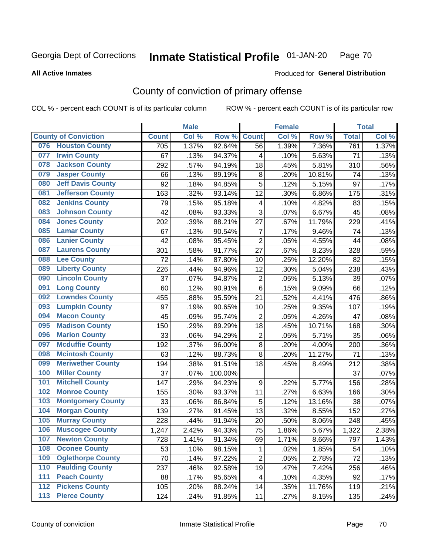#### Inmate Statistical Profile 01-JAN-20 Page 70

### **All Active Inmates**

## Produced for General Distribution

# County of conviction of primary offense

COL % - percent each COUNT is of its particular column

|                                 |              | <b>Male</b> |         |                         | <b>Female</b> |        |              | <b>Total</b> |
|---------------------------------|--------------|-------------|---------|-------------------------|---------------|--------|--------------|--------------|
| <b>County of Conviction</b>     | <b>Count</b> | Col %       | Row %   | <b>Count</b>            | Col %         | Row %  | <b>Total</b> | Col %        |
| <b>Houston County</b><br>076    | 705          | 1.37%       | 92.64%  | 56                      | 1.39%         | 7.36%  | 761          | 1.37%        |
| <b>Irwin County</b><br>077      | 67           | .13%        | 94.37%  | 4                       | .10%          | 5.63%  | 71           | .13%         |
| <b>Jackson County</b><br>078    | 292          | .57%        | 94.19%  | 18                      | .45%          | 5.81%  | 310          | .56%         |
| <b>Jasper County</b><br>079     | 66           | .13%        | 89.19%  | 8                       | .20%          | 10.81% | 74           | .13%         |
| <b>Jeff Davis County</b><br>080 | 92           | .18%        | 94.85%  | $\overline{5}$          | .12%          | 5.15%  | 97           | .17%         |
| 081<br><b>Jefferson County</b>  | 163          | .32%        | 93.14%  | 12                      | .30%          | 6.86%  | 175          | .31%         |
| <b>Jenkins County</b><br>082    | 79           | .15%        | 95.18%  | $\overline{\mathbf{4}}$ | .10%          | 4.82%  | 83           | .15%         |
| <b>Johnson County</b><br>083    | 42           | .08%        | 93.33%  | 3                       | .07%          | 6.67%  | 45           | .08%         |
| <b>Jones County</b><br>084      | 202          | .39%        | 88.21%  | 27                      | .67%          | 11.79% | 229          | .41%         |
| <b>Lamar County</b><br>085      | 67           | .13%        | 90.54%  | $\overline{7}$          | .17%          | 9.46%  | 74           | .13%         |
| <b>Lanier County</b><br>086     | 42           | .08%        | 95.45%  | $\overline{2}$          | .05%          | 4.55%  | 44           | .08%         |
| <b>Laurens County</b><br>087    | 301          | .58%        | 91.77%  | 27                      | .67%          | 8.23%  | 328          | .59%         |
| <b>Lee County</b><br>088        | 72           | .14%        | 87.80%  | 10                      | .25%          | 12.20% | 82           | .15%         |
| <b>Liberty County</b><br>089    | 226          | .44%        | 94.96%  | 12                      | .30%          | 5.04%  | 238          | .43%         |
| <b>Lincoln County</b><br>090    | 37           | .07%        | 94.87%  | $\mathbf 2$             | .05%          | 5.13%  | 39           | .07%         |
| <b>Long County</b><br>091       | 60           | .12%        | 90.91%  | 6                       | .15%          | 9.09%  | 66           | .12%         |
| <b>Lowndes County</b><br>092    | 455          | .88%        | 95.59%  | 21                      | .52%          | 4.41%  | 476          | .86%         |
| <b>Lumpkin County</b><br>093    | 97           | .19%        | 90.65%  | 10                      | .25%          | 9.35%  | 107          | .19%         |
| <b>Macon County</b><br>094      | 45           | .09%        | 95.74%  | $\overline{2}$          | .05%          | 4.26%  | 47           | .08%         |
| <b>Madison County</b><br>095    | 150          | .29%        | 89.29%  | 18                      | .45%          | 10.71% | 168          | .30%         |
| <b>Marion County</b><br>096     | 33           | .06%        | 94.29%  | $\overline{2}$          | .05%          | 5.71%  | 35           | .06%         |
| <b>Mcduffie County</b><br>097   | 192          | .37%        | 96.00%  | 8                       | .20%          | 4.00%  | 200          | .36%         |
| <b>Mcintosh County</b><br>098   | 63           | .12%        | 88.73%  | 8                       | .20%          | 11.27% | 71           | .13%         |
| <b>Meriwether County</b><br>099 | 194          | .38%        | 91.51%  | 18                      | .45%          | 8.49%  | 212          | .38%         |
| <b>Miller County</b><br>100     | 37           | .07%        | 100.00% |                         |               |        | 37           | .07%         |
| <b>Mitchell County</b><br>101   | 147          | .29%        | 94.23%  | 9                       | .22%          | 5.77%  | 156          | .28%         |
| <b>Monroe County</b><br>102     | 155          | .30%        | 93.37%  | 11                      | .27%          | 6.63%  | 166          | .30%         |
| <b>Montgomery County</b><br>103 | 33           | .06%        | 86.84%  | 5                       | .12%          | 13.16% | 38           | .07%         |
| <b>Morgan County</b><br>104     | 139          | .27%        | 91.45%  | 13                      | .32%          | 8.55%  | 152          | .27%         |
| <b>Murray County</b><br>105     | 228          | .44%        | 91.94%  | 20                      | .50%          | 8.06%  | 248          | .45%         |
| <b>Muscogee County</b><br>106   | 1,247        | 2.42%       | 94.33%  | 75                      | 1.86%         | 5.67%  | 1,322        | 2.38%        |
| 107<br><b>Newton County</b>     | 728          | 1.41%       | 91.34%  | 69                      | 1.71%         | 8.66%  | 797          | 1.43%        |
| <b>Oconee County</b><br>108     | 53           | .10%        | 98.15%  | 1                       | .02%          | 1.85%  | 54           | .10%         |
| <b>Oglethorpe County</b><br>109 | 70           | .14%        | 97.22%  | $\overline{2}$          | .05%          | 2.78%  | 72           | .13%         |
| <b>Paulding County</b><br>110   | 237          | .46%        | 92.58%  | 19                      | .47%          | 7.42%  | 256          | .46%         |
| <b>Peach County</b><br>111      | 88           | .17%        | 95.65%  | 4                       | .10%          | 4.35%  | 92           | .17%         |
| <b>Pickens County</b><br>112    | 105          | .20%        | 88.24%  | 14                      | .35%          | 11.76% | 119          | .21%         |
| <b>Pierce County</b><br>$113$   | 124          | .24%        | 91.85%  | 11                      | .27%          | 8.15%  | 135          | .24%         |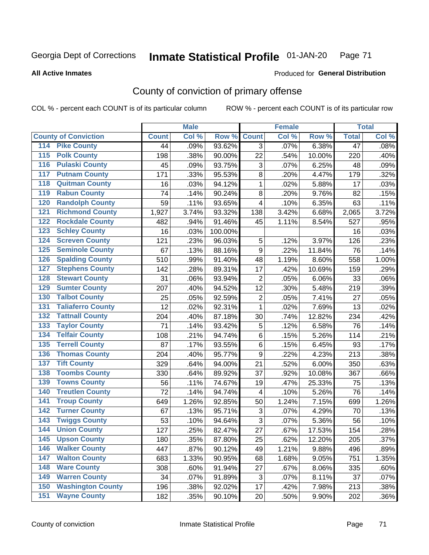#### Inmate Statistical Profile 01-JAN-20 Page 71

### **All Active Inmates**

## Produced for General Distribution

# County of conviction of primary offense

COL % - percent each COUNT is of its particular column

|                                          |              | <b>Male</b> |         |                  | <b>Female</b> |        |                 | <b>Total</b> |
|------------------------------------------|--------------|-------------|---------|------------------|---------------|--------|-----------------|--------------|
| <b>County of Conviction</b>              | <b>Count</b> | Col %       | Row %   | <b>Count</b>     | Col %         | Row %  | <b>Total</b>    | Col %        |
| <b>Pike County</b><br>114                | 44           | .09%        | 93.62%  | $\overline{3}$   | .07%          | 6.38%  | $\overline{47}$ | .08%         |
| <b>Polk County</b><br>$\overline{115}$   | 198          | .38%        | 90.00%  | 22               | .54%          | 10.00% | 220             | .40%         |
| <b>Pulaski County</b><br>116             | 45           | .09%        | 93.75%  | 3                | .07%          | 6.25%  | 48              | .09%         |
| 117<br><b>Putnam County</b>              | 171          | .33%        | 95.53%  | 8                | .20%          | 4.47%  | 179             | .32%         |
| <b>Quitman County</b><br>118             | 16           | .03%        | 94.12%  | $\mathbf{1}$     | .02%          | 5.88%  | 17              | .03%         |
| <b>Rabun County</b><br>119               | 74           | .14%        | 90.24%  | 8                | .20%          | 9.76%  | 82              | .15%         |
| <b>Randolph County</b><br>120            | 59           | .11%        | 93.65%  | 4                | .10%          | 6.35%  | 63              | .11%         |
| <b>Richmond County</b><br>121            | 1,927        | 3.74%       | 93.32%  | 138              | 3.42%         | 6.68%  | 2,065           | 3.72%        |
| <b>Rockdale County</b><br>122            | 482          | .94%        | 91.46%  | 45               | 1.11%         | 8.54%  | 527             | .95%         |
| <b>Schley County</b><br>123              | 16           | .03%        | 100.00% |                  |               |        | 16              | .03%         |
| <b>Screven County</b><br>124             | 121          | .23%        | 96.03%  | 5                | .12%          | 3.97%  | 126             | .23%         |
| <b>Seminole County</b><br>125            | 67           | .13%        | 88.16%  | 9                | .22%          | 11.84% | 76              | .14%         |
| <b>Spalding County</b><br>126            | 510          | .99%        | 91.40%  | 48               | 1.19%         | 8.60%  | 558             | 1.00%        |
| <b>Stephens County</b><br>127            | 142          | .28%        | 89.31%  | 17               | .42%          | 10.69% | 159             | .29%         |
| <b>Stewart County</b><br>128             | 31           | .06%        | 93.94%  | $\overline{2}$   | .05%          | 6.06%  | 33              | .06%         |
| <b>Sumter County</b><br>129              | 207          | .40%        | 94.52%  | 12               | .30%          | 5.48%  | 219             | .39%         |
| <b>Talbot County</b><br>130              | 25           | .05%        | 92.59%  | $\overline{c}$   | .05%          | 7.41%  | 27              | .05%         |
| <b>Taliaferro County</b><br>131          | 12           | .02%        | 92.31%  | $\mathbf{1}$     | .02%          | 7.69%  | 13              | .02%         |
| <b>Tattnall County</b><br>132            | 204          | .40%        | 87.18%  | 30               | .74%          | 12.82% | 234             | .42%         |
| <b>Taylor County</b><br>133              | 71           | .14%        | 93.42%  | 5                | .12%          | 6.58%  | 76              | .14%         |
| <b>Telfair County</b><br>134             | 108          | .21%        | 94.74%  | 6                | .15%          | 5.26%  | 114             | .21%         |
| <b>Terrell County</b><br>135             | 87           | .17%        | 93.55%  | 6                | .15%          | 6.45%  | 93              | .17%         |
| <b>Thomas County</b><br>136              | 204          | .40%        | 95.77%  | $\boldsymbol{9}$ | .22%          | 4.23%  | 213             | .38%         |
| <b>Tift County</b><br>137                | 329          | .64%        | 94.00%  | 21               | .52%          | 6.00%  | 350             | .63%         |
| <b>Toombs County</b><br>138              | 330          | .64%        | 89.92%  | 37               | .92%          | 10.08% | 367             | .66%         |
| <b>Towns County</b><br>139               | 56           | .11%        | 74.67%  | 19               | .47%          | 25.33% | 75              | .13%         |
| <b>Treutlen County</b><br>140            | 72           | .14%        | 94.74%  | 4                | .10%          | 5.26%  | 76              | .14%         |
| 141<br><b>Troup County</b>               | 649          | 1.26%       | 92.85%  | 50               | 1.24%         | 7.15%  | 699             | 1.26%        |
| <b>Turner County</b><br>142              | 67           | .13%        | 95.71%  | $\sqrt{3}$       | .07%          | 4.29%  | 70              | .13%         |
| <b>Twiggs County</b><br>$\overline{143}$ | 53           | .10%        | 94.64%  | 3                | .07%          | 5.36%  | 56              | .10%         |
| <b>Union County</b><br>144               | 127          | .25%        | 82.47%  | 27               | .67%          | 17.53% | 154             | .28%         |
| 145<br><b>Upson County</b>               | 180          | .35%        | 87.80%  | 25               | .62%          | 12.20% | 205             | $.37\%$      |
| <b>Walker County</b><br>146              | 447          | .87%        | 90.12%  | 49               | 1.21%         | 9.88%  | 496             | .89%         |
| <b>Walton County</b><br>147              | 683          | 1.33%       | 90.95%  | 68               | 1.68%         | 9.05%  | 751             | 1.35%        |
| <b>Ware County</b><br>148                | 308          | .60%        | 91.94%  | 27               | .67%          | 8.06%  | 335             | .60%         |
| <b>Warren County</b><br>149              | 34           | .07%        | 91.89%  | 3                | .07%          | 8.11%  | 37              | .07%         |
| <b>Washington County</b><br>150          | 196          | .38%        | 92.02%  | 17               | .42%          | 7.98%  | 213             | .38%         |
| <b>Wayne County</b><br>151               | 182          | .35%        | 90.10%  | 20               | .50%          | 9.90%  | 202             | .36%         |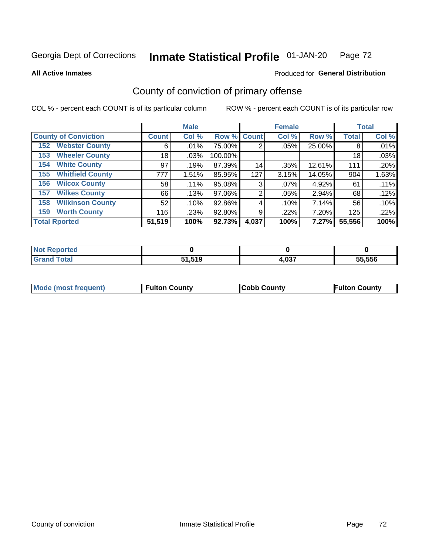#### Inmate Statistical Profile 01-JAN-20 Page 72

**All Active Inmates** 

## **Produced for General Distribution**

# County of conviction of primary offense

COL % - percent each COUNT is of its particular column

|                                |              | <b>Male</b> |             |       | <b>Female</b> |        |              | <b>Total</b> |
|--------------------------------|--------------|-------------|-------------|-------|---------------|--------|--------------|--------------|
| <b>County of Conviction</b>    | <b>Count</b> | Col %       | Row % Count |       | Col %         | Row %  | <b>Total</b> | Col %        |
| <b>Webster County</b><br>152   | 6            | .01%        | 75.00%      | 2     | .05%          | 25.00% | 8            | .01%         |
| <b>Wheeler County</b><br>153   | 18           | .03%        | 100.00%     |       |               |        | 18           | .03%         |
| <b>White County</b><br>154     | 97           | .19%        | 87.39%      | 14    | .35%          | 12.61% | 111          | .20%         |
| <b>Whitfield County</b><br>155 | 777          | 1.51%       | 85.95%      | 127   | 3.15%         | 14.05% | 904          | 1.63%        |
| <b>Wilcox County</b><br>156    | 58           | $.11\%$     | 95.08%      | 3     | $.07\%$       | 4.92%  | 61           | .11%         |
| <b>Wilkes County</b><br>157    | 66           | .13%        | 97.06%      | 2     | .05%          | 2.94%  | 68           | .12%         |
| <b>Wilkinson County</b><br>158 | 52           | .10%        | 92.86%      | 4     | .10%          | 7.14%  | 56           | .10%         |
| <b>Worth County</b><br>159     | 116          | .23%        | 92.80%      | 9     | .22%          | 7.20%  | 125          | .22%         |
| <b>Total Rported</b>           | 51,519       | 100%        | 92.73%      | 4,037 | 100%          | 7.27%  | 55,556       | 100%         |

| <b>Not Reported</b> |        |       |        |
|---------------------|--------|-------|--------|
| <b>Grand Total</b>  | 51,519 | 4,037 | 55,556 |

| Mode (most frequent) | <b>Fulton County</b> | <b>Cobb County</b> | <b>Fulton County</b> |
|----------------------|----------------------|--------------------|----------------------|
|                      |                      |                    |                      |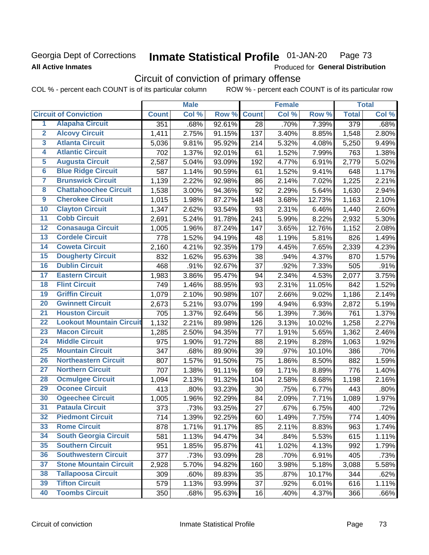## Georgia Dept of Corrections **All Active Inmates**

#### Inmate Statistical Profile 01-JAN-20 Page 73

Produced for General Distribution

# Circuit of conviction of primary offense

|                         |                                 | <b>Male</b>  |       |        |                 | <b>Female</b> |        | <b>Total</b>     |       |
|-------------------------|---------------------------------|--------------|-------|--------|-----------------|---------------|--------|------------------|-------|
|                         | <b>Circuit of Conviction</b>    | <b>Count</b> | Col % | Row %  | <b>Count</b>    | Col %         | Row %  | <b>Total</b>     | Col % |
| 1                       | <b>Alapaha Circuit</b>          | 351          | .68%  | 92.61% | $\overline{28}$ | .70%          | 7.39%  | $\overline{379}$ | .68%  |
| $\overline{2}$          | <b>Alcovy Circuit</b>           | 1,411        | 2.75% | 91.15% | 137             | 3.40%         | 8.85%  | 1,548            | 2.80% |
| $\overline{\mathbf{3}}$ | <b>Atlanta Circuit</b>          | 5,036        | 9.81% | 95.92% | 214             | 5.32%         | 4.08%  | 5,250            | 9.49% |
| 4                       | <b>Atlantic Circuit</b>         | 702          | 1.37% | 92.01% | 61              | 1.52%         | 7.99%  | 763              | 1.38% |
| $\overline{5}$          | <b>Augusta Circuit</b>          | 2,587        | 5.04% | 93.09% | 192             | 4.77%         | 6.91%  | 2,779            | 5.02% |
| $\overline{6}$          | <b>Blue Ridge Circuit</b>       | 587          | 1.14% | 90.59% | 61              | 1.52%         | 9.41%  | 648              | 1.17% |
| $\overline{\mathbf{7}}$ | <b>Brunswick Circuit</b>        | 1,139        | 2.22% | 92.98% | 86              | 2.14%         | 7.02%  | 1,225            | 2.21% |
| $\overline{\mathbf{8}}$ | <b>Chattahoochee Circuit</b>    | 1,538        | 3.00% | 94.36% | 92              | 2.29%         | 5.64%  | 1,630            | 2.94% |
| $\overline{9}$          | <b>Cherokee Circuit</b>         | 1,015        | 1.98% | 87.27% | 148             | 3.68%         | 12.73% | 1,163            | 2.10% |
| 10                      | <b>Clayton Circuit</b>          | 1,347        | 2.62% | 93.54% | 93              | 2.31%         | 6.46%  | 1,440            | 2.60% |
| $\overline{11}$         | <b>Cobb Circuit</b>             | 2,691        | 5.24% | 91.78% | 241             | 5.99%         | 8.22%  | 2,932            | 5.30% |
| $\overline{12}$         | <b>Conasauga Circuit</b>        | 1,005        | 1.96% | 87.24% | 147             | 3.65%         | 12.76% | 1,152            | 2.08% |
| 13                      | <b>Cordele Circuit</b>          | 778          | 1.52% | 94.19% | 48              | 1.19%         | 5.81%  | 826              | 1.49% |
| $\overline{14}$         | <b>Coweta Circuit</b>           | 2,160        | 4.21% | 92.35% | 179             | 4.45%         | 7.65%  | 2,339            | 4.23% |
| 15                      | <b>Dougherty Circuit</b>        | 832          | 1.62% | 95.63% | 38              | .94%          | 4.37%  | 870              | 1.57% |
| 16                      | <b>Dublin Circuit</b>           | 468          | .91%  | 92.67% | 37              | .92%          | 7.33%  | 505              | .91%  |
| 17                      | <b>Eastern Circuit</b>          | 1,983        | 3.86% | 95.47% | 94              | 2.34%         | 4.53%  | 2,077            | 3.75% |
| 18                      | <b>Flint Circuit</b>            | 749          | 1.46% | 88.95% | 93              | 2.31%         | 11.05% | 842              | 1.52% |
| 19                      | <b>Griffin Circuit</b>          | 1,079        | 2.10% | 90.98% | 107             | 2.66%         | 9.02%  | 1,186            | 2.14% |
| 20                      | <b>Gwinnett Circuit</b>         | 2,673        | 5.21% | 93.07% | 199             | 4.94%         | 6.93%  | 2,872            | 5.19% |
| $\overline{21}$         | <b>Houston Circuit</b>          | 705          | 1.37% | 92.64% | 56              | 1.39%         | 7.36%  | 761              | 1.37% |
| $\overline{22}$         | <b>Lookout Mountain Circuit</b> | 1,132        | 2.21% | 89.98% | 126             | 3.13%         | 10.02% | 1,258            | 2.27% |
| 23                      | <b>Macon Circuit</b>            | 1,285        | 2.50% | 94.35% | 77              | 1.91%         | 5.65%  | 1,362            | 2.46% |
| $\overline{24}$         | <b>Middle Circuit</b>           | 975          | 1.90% | 91.72% | 88              | 2.19%         | 8.28%  | 1,063            | 1.92% |
| 25                      | <b>Mountain Circuit</b>         | 347          | .68%  | 89.90% | 39              | .97%          | 10.10% | 386              | .70%  |
| 26                      | <b>Northeastern Circuit</b>     | 807          | 1.57% | 91.50% | 75              | 1.86%         | 8.50%  | 882              | 1.59% |
| $\overline{27}$         | <b>Northern Circuit</b>         | 707          | 1.38% | 91.11% | 69              | 1.71%         | 8.89%  | 776              | 1.40% |
| 28                      | <b>Ocmulgee Circuit</b>         | 1,094        | 2.13% | 91.32% | 104             | 2.58%         | 8.68%  | 1,198            | 2.16% |
| 29                      | <b>Oconee Circuit</b>           | 413          | .80%  | 93.23% | 30              | .75%          | 6.77%  | 443              | .80%  |
| 30                      | <b>Ogeechee Circuit</b>         | 1,005        | 1.96% | 92.29% | 84              | 2.09%         | 7.71%  | 1,089            | 1.97% |
| $\overline{31}$         | <b>Pataula Circuit</b>          | 373          | .73%  | 93.25% | 27              | .67%          | 6.75%  | 400              | .72%  |
| 32                      | <b>Piedmont Circuit</b>         | 714          | 1.39% | 92.25% | 60              | 1.49%         | 7.75%  | 774              | 1.40% |
| 33                      | <b>Rome Circuit</b>             | 878          | 1.71% | 91.17% | 85              | 2.11%         | 8.83%  | 963              | 1.74% |
| 34                      | <b>South Georgia Circuit</b>    | 581          | 1.13% | 94.47% | 34              | .84%          | 5.53%  | 615              | 1.11% |
| 35                      | <b>Southern Circuit</b>         | 951          | 1.85% | 95.87% | 41              | 1.02%         | 4.13%  | 992              | 1.79% |
| 36                      | <b>Southwestern Circuit</b>     | 377          | .73%  | 93.09% | 28              | .70%          | 6.91%  | 405              | .73%  |
| 37                      | <b>Stone Mountain Circuit</b>   | 2,928        | 5.70% | 94.82% | 160             | 3.98%         | 5.18%  | 3,088            | 5.58% |
| 38                      | <b>Tallapoosa Circuit</b>       | 309          | .60%  | 89.83% | 35              | .87%          | 10.17% | 344              | .62%  |
| 39                      | <b>Tifton Circuit</b>           | 579          | 1.13% | 93.99% | 37              | .92%          | 6.01%  | 616              | 1.11% |
| 40                      | <b>Toombs Circuit</b>           | 350          | .68%  | 95.63% | 16              | .40%          | 4.37%  | 366              | .66%  |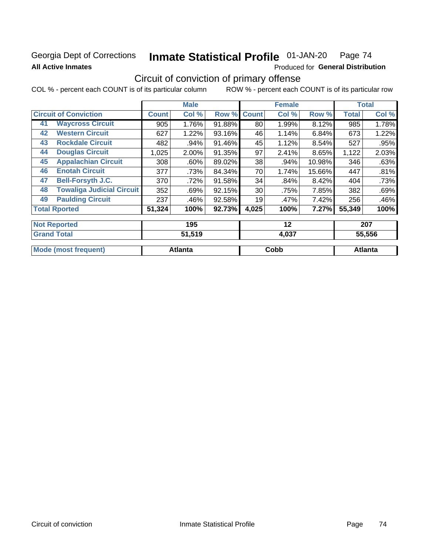## Georgia Dept of Corrections **All Active Inmates**

#### Inmate Statistical Profile 01-JAN-20 Page 74

Produced for General Distribution

# Circuit of conviction of primary offense

|                                        |              | <b>Male</b> |        |              | <b>Female</b> | <b>Total</b> |              |       |
|----------------------------------------|--------------|-------------|--------|--------------|---------------|--------------|--------------|-------|
| <b>Circuit of Conviction</b>           | <b>Count</b> | Col %       | Row %  | <b>Count</b> | Col %         | Row %        | <b>Total</b> | Col % |
| <b>Waycross Circuit</b><br>41          | 905          | 1.76%       | 91.88% | 80           | 1.99%         | 8.12%        | 985          | 1.78% |
| <b>Western Circuit</b><br>42           | 627          | 1.22%       | 93.16% | 46           | 1.14%         | 6.84%        | 673          | 1.22% |
| <b>Rockdale Circuit</b><br>43          | 482          | .94%        | 91.46% | 45           | 1.12%         | 8.54%        | 527          | .95%  |
| <b>Douglas Circuit</b><br>44           | 1,025        | 2.00%       | 91.35% | 97           | 2.41%         | 8.65%        | 1,122        | 2.03% |
| <b>Appalachian Circuit</b><br>45       | 308          | $.60\%$     | 89.02% | 38           | .94%          | 10.98%       | 346          | .63%  |
| <b>Enotah Circuit</b><br>46            | 377          | .73%        | 84.34% | 70           | 1.74%         | 15.66%       | 447          | .81%  |
| <b>Bell-Forsyth J.C.</b><br>47         | 370          | .72%        | 91.58% | 34           | .84%          | 8.42%        | 404          | .73%  |
| <b>Towaliga Judicial Circuit</b><br>48 | 352          | .69%        | 92.15% | 30           | .75%          | 7.85%        | 382          | .69%  |
| <b>Paulding Circuit</b><br>49          | 237          | .46%        | 92.58% | 19           | .47%          | 7.42%        | 256          | .46%  |
| <b>Total Rported</b>                   | 51,324       | 100%        | 92.73% | 4,025        | 100%          | 7.27%        | 55,349       | 100%  |
| <b>Not Reported</b>                    |              | 195         |        |              | 12            |              |              | 207   |

| Grar<br>Total               | 51,519  | 4,037 | 55,556  |
|-----------------------------|---------|-------|---------|
| <b>Mode (most frequent)</b> | Atlanta | Cobb  | Atlanta |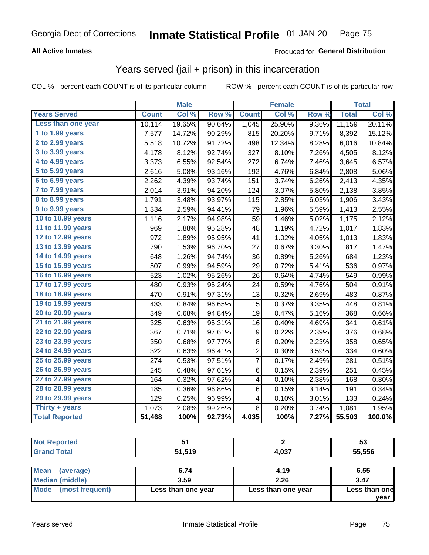### **All Active Inmates**

#### Produced for **General Distribution**

## Years served (jail + prison) in this incarceration

COL % - percent each COUNT is of its particular column ROW % - percent each COUNT is of its particular row

|                       |              | <b>Male</b> |                  |              | <b>Female</b> |                  | <b>Total</b> |        |
|-----------------------|--------------|-------------|------------------|--------------|---------------|------------------|--------------|--------|
| <b>Years Served</b>   | <b>Count</b> | Col %       | Row <sup>%</sup> | <b>Count</b> | Col %         | Row <sup>%</sup> | <b>Total</b> | Col %  |
| Less than one year    | 10,114       | 19.65%      | 90.64%           | 1,045        | 25.90%        | 9.36%            | 11,159       | 20.11% |
| 1 to 1.99 years       | 7,577        | 14.72%      | 90.29%           | 815          | 20.20%        | 9.71%            | 8,392        | 15.12% |
| 2 to 2.99 years       | 5,518        | 10.72%      | 91.72%           | 498          | 12.34%        | 8.28%            | 6,016        | 10.84% |
| $3$ to $3.99$ years   | 4,178        | 8.12%       | 92.74%           | 327          | 8.10%         | 7.26%            | 4,505        | 8.12%  |
| 4 to 4.99 years       | 3,373        | 6.55%       | 92.54%           | 272          | 6.74%         | 7.46%            | 3,645        | 6.57%  |
| 5 to 5.99 years       | 2,616        | 5.08%       | 93.16%           | 192          | 4.76%         | 6.84%            | 2,808        | 5.06%  |
| 6 to 6.99 years       | 2,262        | 4.39%       | 93.74%           | 151          | 3.74%         | 6.26%            | 2,413        | 4.35%  |
| 7 to 7.99 years       | 2,014        | 3.91%       | 94.20%           | 124          | 3.07%         | 5.80%            | 2,138        | 3.85%  |
| 8 to 8.99 years       | 1,791        | 3.48%       | 93.97%           | 115          | 2.85%         | 6.03%            | 1,906        | 3.43%  |
| 9 to 9.99 years       | 1,334        | 2.59%       | 94.41%           | 79           | 1.96%         | 5.59%            | 1,413        | 2.55%  |
| 10 to 10.99 years     | 1,116        | 2.17%       | 94.98%           | 59           | 1.46%         | 5.02%            | 1,175        | 2.12%  |
| 11 to 11.99 years     | 969          | 1.88%       | 95.28%           | 48           | 1.19%         | 4.72%            | 1,017        | 1.83%  |
| 12 to 12.99 years     | 972          | 1.89%       | 95.95%           | 41           | 1.02%         | 4.05%            | 1,013        | 1.83%  |
| 13 to 13.99 years     | 790          | 1.53%       | 96.70%           | 27           | 0.67%         | 3.30%            | 817          | 1.47%  |
| 14 to 14.99 years     | 648          | 1.26%       | 94.74%           | 36           | 0.89%         | 5.26%            | 684          | 1.23%  |
| 15 to 15.99 years     | 507          | 0.99%       | 94.59%           | 29           | 0.72%         | 5.41%            | 536          | 0.97%  |
| 16 to 16.99 years     | 523          | 1.02%       | 95.26%           | 26           | 0.64%         | 4.74%            | 549          | 0.99%  |
| 17 to 17.99 years     | 480          | 0.93%       | 95.24%           | 24           | 0.59%         | 4.76%            | 504          | 0.91%  |
| 18 to 18.99 years     | 470          | 0.91%       | 97.31%           | 13           | 0.32%         | 2.69%            | 483          | 0.87%  |
| 19 to 19.99 years     | 433          | 0.84%       | 96.65%           | 15           | 0.37%         | 3.35%            | 448          | 0.81%  |
| 20 to 20.99 years     | 349          | 0.68%       | 94.84%           | 19           | 0.47%         | 5.16%            | 368          | 0.66%  |
| 21 to 21.99 years     | 325          | 0.63%       | 95.31%           | 16           | 0.40%         | 4.69%            | 341          | 0.61%  |
| 22 to 22.99 years     | 367          | 0.71%       | 97.61%           | 9            | 0.22%         | 2.39%            | 376          | 0.68%  |
| 23 to 23.99 years     | 350          | 0.68%       | 97.77%           | 8            | 0.20%         | 2.23%            | 358          | 0.65%  |
| 24 to 24.99 years     | 322          | 0.63%       | 96.41%           | 12           | 0.30%         | 3.59%            | 334          | 0.60%  |
| 25 to 25.99 years     | 274          | 0.53%       | 97.51%           | 7            | 0.17%         | 2.49%            | 281          | 0.51%  |
| 26 to 26.99 years     | 245          | 0.48%       | 97.61%           | 6            | 0.15%         | 2.39%            | 251          | 0.45%  |
| 27 to 27.99 years     | 164          | 0.32%       | 97.62%           | 4            | 0.10%         | 2.38%            | 168          | 0.30%  |
| 28 to 28.99 years     | 185          | 0.36%       | 96.86%           | 6            | 0.15%         | 3.14%            | 191          | 0.34%  |
| 29 to 29.99 years     | 129          | 0.25%       | 96.99%           | 4            | 0.10%         | 3.01%            | 133          | 0.24%  |
| Thirty + years        | 1,073        | 2.08%       | 99.26%           | 8            | 0.20%         | 0.74%            | 1,081        | 1.95%  |
| <b>Total Reported</b> | 51,468       | 100%        | 92.73%           | 4,035        | 100%          | 7.27%            | 55,503       | 100.0% |

| <b>Not Reported</b>     | 51                        |                    | 53            |
|-------------------------|---------------------------|--------------------|---------------|
| <b>Grand Total</b>      | 55,556<br>51,519<br>4,037 |                    |               |
| Mean<br>(average)       | 6.74                      | 4.19               | 6.55          |
| <b>Median (middle)</b>  | 3.59                      | 2.26               | 3.47          |
| Mode<br>(most frequent) | Less than one year        | Less than one year | Less than one |

**year**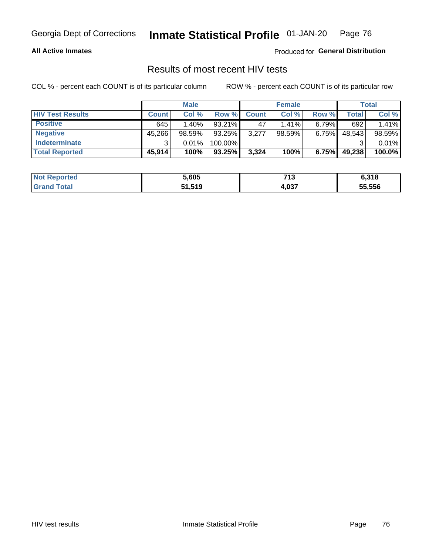### **All Active Inmates**

Produced for **General Distribution**

## Results of most recent HIV tests

|                         | <b>Male</b>  |          | <b>Female</b> |              |          | Total |        |        |
|-------------------------|--------------|----------|---------------|--------------|----------|-------|--------|--------|
| <b>HIV Test Results</b> | <b>Count</b> | Col %    | Row %I        | <b>Count</b> | Col %    | Row % | Total  | Col %  |
| <b>Positive</b>         | 645          | $1.40\%$ | $93.21\%$     | 47           | $1.41\%$ | 6.79% | 692    | 1.41%  |
| <b>Negative</b>         | 45,266       | 98.59%   | 93.25%        | 3,277        | 98.59%   | 6.75% | 48,543 | 98.59% |
| Indeterminate           | ົ            | 0.01%    | 100.00%       |              |          |       |        | 0.01%  |
| <b>Total Reported</b>   | 45,914       | 100%     | $93.25\%$     | 3,324        | 100%     | 6.75% | 49,238 | 100.0% |

| <b>Not Reported</b> | 5,605  | 74.2<br>. . U | 6,318  |
|---------------------|--------|---------------|--------|
| Total               | 51,519 | 4,037         | 55,556 |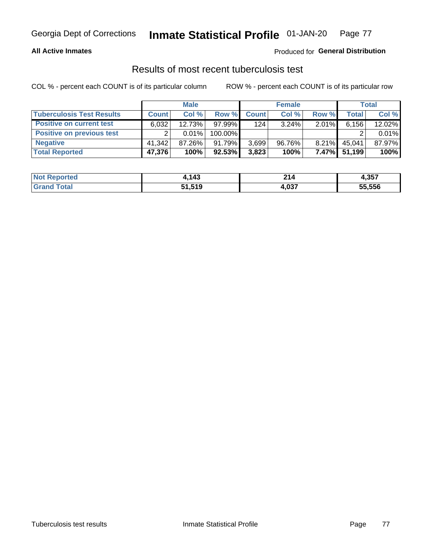### **All Active Inmates**

### Produced for **General Distribution**

### Results of most recent tuberculosis test

|                                  | <b>Male</b>  |           |           | <b>Female</b> |          | Total    |              |        |
|----------------------------------|--------------|-----------|-----------|---------------|----------|----------|--------------|--------|
| <b>Tuberculosis Test Results</b> | <b>Count</b> | Col%      | Row %     | <b>Count</b>  | Col %    | Row %    | <b>Total</b> | Col %  |
| <b>Positive on current test</b>  | 6,032        | $12.73\%$ | $97.99\%$ | 124           | $3.24\%$ | $2.01\%$ | 6,156        | 12.02% |
| <b>Positive on previous test</b> | ົ            | $0.01\%$  | 100.00%   |               |          |          |              | 0.01%  |
| <b>Negative</b>                  | 41.342       | 87.26%    | 91.79%    | 3,699         | 96.76%   | $8.21\%$ | 45,041       | 87.97% |
| <b>Total Reported</b>            | 47,376       | 100%      | $92.53\%$ | 3,823         | 100%     | $7.47\%$ | 51.199       | 100%   |

| <b>Not Reported</b> | 1.143  | O4.<br>Z 14 | 4,357  |
|---------------------|--------|-------------|--------|
| Гоtal               | 51,519 | 4,037       | 55,556 |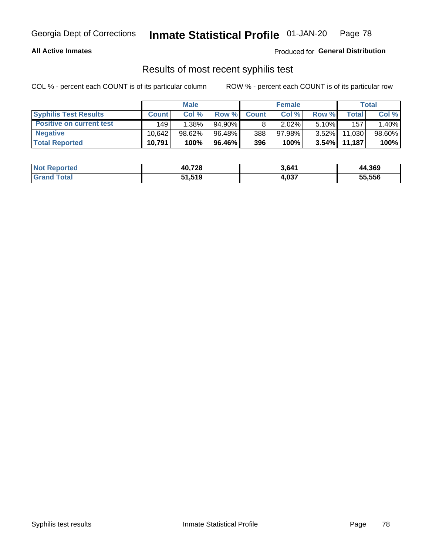### **All Active Inmates**

Produced for **General Distribution**

### Results of most recent syphilis test

|                                 | <b>Male</b>  |           | <b>Female</b> |              |           | Total    |        |        |
|---------------------------------|--------------|-----------|---------------|--------------|-----------|----------|--------|--------|
| <b>Syphilis Test Results</b>    | <b>Count</b> | Col%      | Row %         | <b>Count</b> | Col %     | Row %I   | Total  | Col %  |
| <b>Positive on current test</b> | 149          | $1.38\%$  | $94.90\%$     |              | 2.02%     | $5.10\%$ | 157    | 1.40%  |
| <b>Negative</b>                 | 10.642       | $98.62\%$ | 96.48%        | 388          | $97.98\%$ | $3.52\%$ | 11,030 | 98.60% |
| <b>Total Reported</b>           | 10,791       | 100%      | 96.46%        | 396          | 100%      | $3.54\%$ | 11,187 | 100%   |

| <b>Not Reported</b> | 40,728 | 3,641 | 44,369 |
|---------------------|--------|-------|--------|
| <b>Grand Total</b>  | 51,519 | 4,037 | 55,556 |